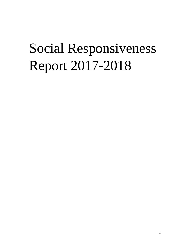# Social Responsiveness Report 2017-2018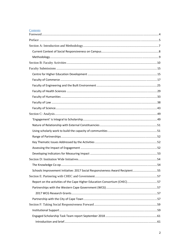# Contents

| Schools Improvement Initiative: 2017 Social Responsiveness Award Recipient55 |  |
|------------------------------------------------------------------------------|--|
|                                                                              |  |
| Report on the activities of the Cape Higher Education Consortium (CHEC)57    |  |
|                                                                              |  |
|                                                                              |  |
|                                                                              |  |
|                                                                              |  |
|                                                                              |  |
|                                                                              |  |
|                                                                              |  |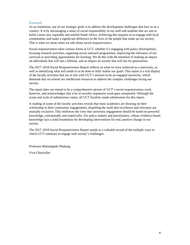#### Foreword

As an institution, one of our strategic goals is to address the development challenges that face us as a country. It is by encouraging a sense of social responsibility in our staff and students that we aim to build a more just, equitable and unified South Africa. Achieving this requires us to engage with local communities and make a significant difference to the lives of the people that make up our society. This is what we mean when we talk about social responsiveness.

Social responsiveness takes various forms at UCT, whether it's engaging with policy development, focusing research activities, organsing social outreach programmes, improving the relevance of our curricula or providing opportunities for learning. We do this with the intention of making an impact on individuals that will last a lifetime, and an impact on society that will last for generations.

The 2017–2018 Social Responsiveness Report reflects on what we have achieved as a university, as well as identifying what still needs to to be done to fully realise our goals. This report is a rich display of the faculty activities that are in line with UCT's mission to be an engaged university, which demands that we extend our intellectual resources to address the complex challenges facing our society.

The report does not intend to be a comprehensive picture of UCT's social responsiveness work, however, and acknowledges that a lot of socially responsive work goes unreported. Although the scope and scale of submissions varies, all UCT faculties made submissions for this report.

A reading of some of the faculty activities reveals that most academics are drawing on their scholarship in their community engagements, dispelling the myth that excellence and relevance are mutually exclusive. This reinforces the view that university engagement should be based on powerful knowledge, conceptually and empirically. For policy makers and practitioners, robust, evidence-based knowledge lays a solid foundation for developing interventions for real, positive change in our society.

The 2017–2018 Social Responsiveness Report stands as a valuable record of the multiple ways in which UCT continues to engage with society's challenges.

Professor Mamokgethi Phakeng

Vice-Chancellor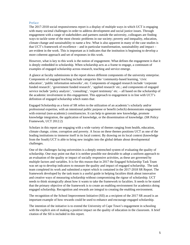#### Preface

The 2017-2018 social responsiveness report is a display of multiple ways in which UCT is engaging with many societal challenges in order to address development and social justice issues. Through engagement with a range of stakeholders and partners outside the university, colleagues are finding ways to tackle some of the most chronic problems in our society; poverty and inequality, education, climate change and sustainability to name a few. What is also apparent in many of the case studies is that UCT's framework of excellence – and in particular transformation, sustainability and impact – are evident in the work. This is important as it indicates that the institution is beginning to develop a more coherent approach and set of responses in this work.

However, what is key to this work is the notion of engagement. What defines the engagement is that it is deeply embedded in scholarship. When scholarship acts as a frame to engage, a continuum of examples of engaged scholarship across research, teaching and service emerge.

A glance at faculty submissions in the report shows different components of the university enterprise. Components of engaged teaching include categories like 'community-based learning, 'civic education', 'public information networks', etc. Components of engaged research include 'corporate funded research', 'government funded research', 'applied research' etc.; and components of engaged service include 'policy analysis', 'consulting', 'expert testimony' etc. – all based on the scholarship of the academic involvement in this engagement. This approach to engagement is in line with UCT's definition of engaged scholarship which states that:

Engaged Scholarship as a form of SR refers to the utilization of an academic's scholarly and/or professional expertise, with an intentional public purpose or benefit (which) demonstrates engagement with external (non-academic) constituencies. It can help to generate new knowledge, promote knowledge integration, the application of knowledge, or the dissemination of knowledge. (SR Policy Framework, UCT 2012:2)

Scholars in this report are engaging with a wide variety of themes ranging from health, education, climate change, crime, corruption and poverty. A focus on these themes positions UCT as one of the leading institutions to immerse itself in its local context. By drawing on its local context (knowledge from the South) UCT is able to bring new insights into the global debate about developmental challenges.

One of the challenges facing universities is a deeply entrenched system of evaluating the quality of scholarship. One may point out that it is neither possible nor desirable to adopt a uniform approach to an evaluation of the quality or impact of socially responsive activities, as these are governed by multiple factors and variables. It is for this reason that in 2017 the Engaged Scholarship Task Team was set up to develop indicators to measure the quality and impact of engaged scholarship. The task team completed its work and submitted a report which is contained in the 2017-2018 SR Report. The framework developed by the task team is a useful guide in helping faculties think about innovative and creative ways of measuring scholarship without compromising the rigour of scholarship. UCT needs to think strategically about how it wants to take the framework to faculties. It needs to be stated that the primary objective of the framework is to create an enabling environment for academics doing engaged scholarship. Recognition and rewards are integral to creating the enabling environment.

The recognition of the School Improvement Initiative (SII) as a recipient of the 2017 SR award is an important example of how rewards could be used to enhance and encourage engaged scholarship.

The intention of the initiative is to extend the University of Cape Town's engagement in schooling with the explicit aim of making a positive impact on the quality of education in the classroom. A brief citation of the SII is included in this report.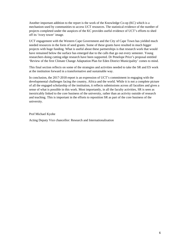Another important addition to the report is the work of the Knowledge Co-op (KC) which is a mechanism used by communities to access UCT resources. The statistical evidence of the number of projects completed under the auspices of the KC provides useful evidence of UCT's efforts to shed off its 'ivory tower' image.

UCT engagement with the Western Cape Government and the City of Cape Town has yielded much needed resources in the form of seed grants. Some of these grants have resulted in much bigger projects with huge funding. What is useful about these partnerships is that research work that would have remained below the surface has emerged due to the calls that go out every semester. Young researchers doing cutting edge research have been supported. Dr Penelope Price's proposal entitled 'Review of the first Climate Change Adaptation Plan for Eden District Municipality' comes to mind.

This final section reflects on some of the strategies and activities needed to take the SR and ES work at the institution forward in a transformative and sustainable way.

In conclusion, the 2017-2018 report is an expression of UCT's commitment in engaging with the developmental challenges facing the country, Africa and the world. While it is not a complete picture of all the engaged scholarship of the institution, it reflects submissions across all faculties and gives a sense of what is possible in this work. Most importantly, in all the faculty activities, SR is seen as inextricably linked to the core business of the university, rather than an activity outside of research and teaching. This is important in the efforts to reposition SR as part of the core business of the university.

Prof Michael Kyobe

Acting Deputy Vice chancellor: Research and Internationalisation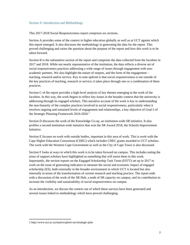#### Section A: Introduction and Methodology

This 2017-2018 Social Responsiveness report comprises six sections.

Section A provides some of the context in higher education globally as well as at UCT against which this report emerged. It also discusses the methodology in generating the data for the report. This proved challenging and raises the question about the purpose of the report and how this work is to be taken forward.

Section B is the substantive section of the report and comprises the data collected from the faculties in 2017 and 2018. While not nearly representative of the institution, the data reflects a diverse set of social responsiveness practices addressing a wide range of issues through engagement with nonacademic partners. We also highlight the nature of outputs, and the form of the engagement – teaching, research and/or service. Key to note upfront is that social responsiveness is not outside of the key practices of teaching, research or service; it takes place through one or a combination of these practices.

Section C of the report provides a high-level analysis of key themes emerging in the work of the faculties. In this way, the work begins to reflect key issues in the broader context that the university is addressing through its engaged scholars. This narrative account of the work is key to understanding the non-linearity of the complex practices involved in social responsiveness, particularly when it involves ongoing and sustained levels of engagement and relationships, a key objective of Goal 5 of the Strategic Planning Framework  $2016-2020$ .<sup>1</sup>

Section D discusses the work of the Knowledge Co-op, an institution-wide SR initiative. It also profiles a second institution-wide initiative that won the SR Award 2018, the Schools Improvement Initiative.

Section E focuses on work with outside bodies, important in this area of work. This is work with the Cape Higher Education Consortium (CHEC) which includes CHEC grants awarded to UCT scholars. The work with the Western Cape Government as well as the City of Cape Town is also discussed.

Section F looks at ways in which this work is to be taken forward on campus. This includes noting the areas of support scholars have highlighted as something that will assist them in this work. Importantly, the section reports on the Engaged Scholarship Task Team (ESTT) set up in 2017 to work on the issue of generating indicators to measure the social and economic impact of engaged scholarship (ES), both externally in the broader environment in which UCT is located but also internally in terms of the transformation of current research and teaching practice. The report ends with a discussion of the work of the SR Hub, a node of SR capacity on campus, and its contribution to increase the visibility and sustainability of social responsiveness on campus.

As an introduction, we discuss the context out of which these surveys have been generated and several issues linked to methodology which have proved challenging.

 $\overline{a}$ 

<sup>1</sup> http://www.uct.ac.za/main/explore-uct/strategic-plan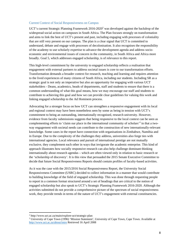#### Current Context of Social Responsiveness on Campus

UCT's current Strategic Planning Framework  $2016-2020<sup>2</sup>$  was developed against the backdrop of the widespread social action on campuses in South Africa. The Plan focuses strongly on transformation and aims to link the best of UCT's present and past, including engaging with processes of coloniality that are still very present on our campus. The plan is a clear signal that UCT is committed to understand, debate and engage with processes of decolonisation. It also recognises the responsibility of the academy to use scholarly expertise to advance the development agenda and address socioeconomic and environmental issues of concern in the community, in South Africa and Africa more broadly. Goal 5, which addresses engaged scholarship, is of relevance to this report.

This high-level commitment by the university to engaged scholarship reflects a realisation that engagement with external partners to address societal issues is core to our transformation efforts. Transformation demands a broader context for research, teaching and learning and requires attention to the lived experiences of many citizens of South Africa, including our students. Including SR as a strategic goal is not only an imperative but also an opportunity for engaging with various UCT stakeholders - Deans, academics, heads of departments, staff and students to ensure that there is a common understanding of what this goal means, how we may encourage our staff and students to contribute to achieving this goal and how we can provide clear guidelines for valuing this work and linking engaged scholarship to the Ad Hominem process.

Advocating for a stronger focus on how UCT can strengthen a responsive engagement with its local and regional context may have been nonetheless seen by some as being in tension with UCT's commitment to being an outstanding, internationally recognised, research university. However, evidence from faculty submissions suggests that being responsive to the local context can be seen as complementing efforts to 'claim our place in the international community of scholars'<sup>3</sup> in that a twoway engagement with societal needs can contribute to the construction of new internationally-relevant knowledge. Some cases in the report have connection with organisations in Zimbabwe, Namibia and in Europe. Due to the complexity of the challenges they address, universities also forge ties with international agencies. Local relevance and pursuit of international prestige are not mutually exclusive, they complement each other in ways that invigorate the academic enterprise. This kind of approach illustrates how socially responsive research can also help challenge dominant thinking internationally about research agendas – which are often viewed only in relation to basic research or the 'scholarship of discovery'. It is this view that persuaded the 2015 Senate Executive Committee to decide that future Social Responsiveness Reports should contain profiles of faculty-based activities.

As it was the case with the 2015/2016 Social Responsiveness Report, the University Social Responsiveness Committee (USRC) decided to collect information in a manner that would contribute to building knowledge of the field of engaged scholarship. This was done through requesting people to report in a common format structured around a set of headings that are critical to the notion of engaged scholarship but also speak to UCT's Strategic Planning Framework 2016-2020. Although the activities submitted do not provide a comprehensive picture of the spectrum of social responsiveness work, they provide trends in terms of the nature of UCT's engagement with external constituencies.

 $\overline{a}$ 

<sup>2</sup> http://www.uct.ac.za/main/explore-uct/strategic-plan

<sup>&</sup>lt;sup>3</sup> University of Cape Town (1996) 'Mission Statement', University of Cape Town, Cape Town. Available at http://www.uct.ac.za/about/intro Retrieved 16 April 2008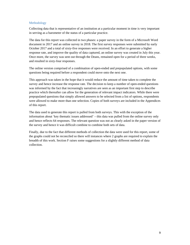#### Methodology

Collecting data that is representative of an institution at a particular moment in time is very important in serving as a barometer of the status of a particular practice.

The data for this report was collected in two phases: a paper survey in the form of a Microsoft Word document in 2017 and an online survey in 2018. The first survey responses were submitted by early October 2017 and a total of sixty-five responses were received. In an effort to generate a higher response rate, and improve the quality of data captured, an online survey was created in July this year. Once more, the survey was sent out through the Deans, remained open for a period of three weeks, and resulted in sixty-four responses.

The online version comprised of a combination of open-ended and prepopulated options, with some questions being required before a respondent could move onto the next one.

This approach was taken in the hope that it would reduce the amount of time taken to complete the survey and hence increase the response rate. The decision to keep a number of open-ended questions was informed by the fact that increasingly narratives are seen as an important first step to describe practice which thereafter can allow for the generation of relevant impact indicators. While there were prepopulated questions that simply allowed answers to be selected from a list of options, respondents were allowed to make more than one selection. Copies of both surveys are included in the Appendices of this report.

The data used to generate this report is pulled from both surveys. This with the exception of the information about 'key thematic issues addressed' – this data was pulled from the online survey only and hence reflects 64 responses. The relevant question was not as clearly asked in the paper version of the survey and hence it was difficult combine to combine both sets of data.

Finally, due to the fact that different methods of collection the data were used for this report, some of the graphs could not be reconciled so there will instances where 2 graphs are required to explain the breadth of this work. Section F raises some suggestions for a slightly different method of data collection.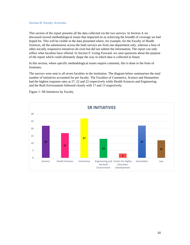#### Section B: Faculty Activities

This section of the report presents all the data collected via the two surveys. In Section A we discussed several methodological issues that impacted on us achieving the breadth of coverage we had hoped for. This will be visible in the data presented where, for example, for the Faculty of Health Sciences, all the submissions across the both surveys are from one department only, whereas a host of other socially responsive initiatives do exist but did not submit the information. The report can only reflect what faculties have offered. In Section F: Going Forward, we raise questions about the purpose of the report which could ultimately shape the way in which data is collected in future.

In this section, where specific methodological issues require comment, this is done in the form of footnotes.

The surveys were sent to all seven faculties in the institution. The diagram below summarises the total number of initiatives accounted for per faculty. The Faculties of Commerce, Science and Humanities had the highest response rates at 27, 22 and 22 respectively while Health Sciences and Engineering and the Built Environment followed closely with 17 and 13 respectively.



Figure 1: SR Initiatives by Faculty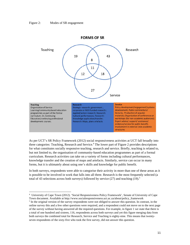#### Figure 2: Modes of SR engagement

 $\overline{a}$ 



As per UCT's SR Policy Framework (2012) social responsiveness activities at UCT fall broadly into three categories: Teaching, Research and Service.<sup>4</sup> The lower part of Figure 2 provides descriptions for what constitutes socially responsive teaching, research and service. Briefly, teaching is related to, but not limited to, the organisation of community-based education programmes as part of a formal curriculum. Research activities can take on a variety of forms including cultural performances, knowledge transfer and the creation of maps and artefacts. Similarly, service can occur in many forms, but it is ultimately about using one's skills and knowledge for public benefit.

In both surveys, respondents were able to categorise their activity in more than one of these areas as it is possible to be involved in work that falls into all three. Research is the most frequently selected (a total of 43 selections across both surveys) followed by service  $(27)$  and teaching  $(19)$ .<sup>5</sup>

<sup>4</sup> University of Cape Town (2012). 'Social Responsiveness Policy Framework', Senate of University of Cape Town document. Available at http://www.socialresponsiveness.uct.ac.za/about/policy\_framework 5

 $<sup>5</sup>$  In the original version of the survey respondents were not obliged to answer this question. In contrast, in the</sup> online survey this and a few other questions were required, and a respondent could not move on to the next page of the survey without having answered all the required questions. For example, in figure 1 we state that there is a total of one hundred and sixteen, 116, respondents across both surveys and yet this figure merging data from both surveys the combined total for Research, Service and Teaching is eighty-nine. This means that twentyseven respondents of the sixty-five who took the first survey, did not answer this question.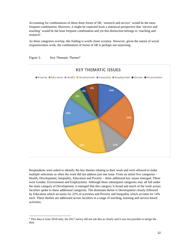Accounting for combinations of these three forms of SR, 'research and service' would be the most frequent combination. However, it might be expected from a statistical perspective that 'service and teaching' would be the least frequent combination and yet this distinction belongs to 'teaching and research'.

As these categories overlap, this finding is worth closer scrutiny. However, given the nature of social responsiveness work, the combination of forms of SR is perhaps not surprising.



Respondents were asked to identify the key themes relating to their work and were allowed to make multiple selections as often the work did not address just one issue. From an initial five categories – Health, Development, Inequality, Education and Poverty – three additional key issues emerged. These were Gender, Environment and Employment. Although these subsequent categories may all fall under the main category of Development, it emerged that this category is broad and much of the work across faculties spoke to these additional categories. The dominant theme is Development closely followed by Education which accounts for 22% of activities and Poverty and Inequality which account for 14% each. These themes are addressed across faculties in a range of teaching, learning and service-based activities.



 $\overline{a}$ 

<sup>&</sup>lt;sup>6</sup> This data is from 2018 only; the 2017 survey did not ask this as clearly and it was not possible to merge the data.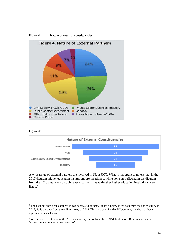

Figure 4: Nature of external constituencies<sup>7</sup>

Figure 4b.

 $\overline{a}$ 



A wide range of external partners are involved in SR at UCT. What is important to note is that in the 2017 diagram, higher education institutions are mentioned, while none are reflected in the diagram from the 2018 data, even though several partnerships with other higher education institutions were listed. $8$ 

 $<sup>7</sup>$  The data here has been captured in two separate diagrams. Figure 4 below is the data from the paper survey in</sup> 2017; 4b is the data from the online survey of 2018. This also explains the different way the data has been represented in each case.

<sup>&</sup>lt;sup>8</sup> We did not reflect them in the 2018 data as they fall outside the UCT definition of SR partner which is 'external *non-academic* constituencies'.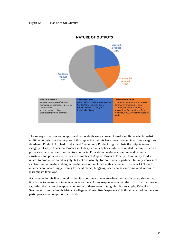

#### **NATURE OF OUTPUTS**

The surveys listed several outputs and respondents were allowed to make multiple selections/list multiple outputs. For the purpose of this report the outputs have been grouped into three categories: Academic Product, Applied Product and Community Product. Figure 5 lists the outputs in each category. Briefly, Academic Product includes journal articles, conference related materials such as posters and abstracts and competitive contacts. Educational materials, training and technical assistance and policies are just some examples of Applied Product. Finally, Community Product relates to products created largely, but not exclusively, for civil society partners. Initially items such as blogs, social media and digital media were not included in this category. However UCT staff members are increasingly turning to social media, blogging, open courses and animated videos to disseminate their work.

A challenge in this line of work is that it is not linear, there are often overlaps in categories and no tidy boxes to measure outcomes or even outputs. A few respondents noted the difficulty in accurately capturing the nature of outputs when some of these were 'intangible'. For example, Rebekka Sandmeier from the South African Collage of Music, lists 'experience' both on behalf of learners and participants as an output of their work.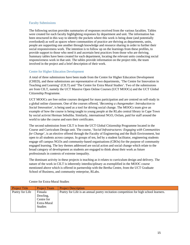#### Faculty Submissions

The following section provides summaries of responses received from the various faculties. Tables were created for each faculty highlighting responses by department and unit. The information has been structured in this way to identify the pockets where this work is being done (and potentially overlooked) as well as spaces where communities of practice are thriving as departments, units, people are supporting one another through knowledge and resource sharing in order to further their social responsiveness work. The intention is to follow up on the learnings from these profiles, to provide support to those who need it and ascertain best practices from those who are thriving. Summary tables have been created for each department, locating the relevant units conducting social responsiveness work in that unit. The tables provide information on the project title, the team involved in the project and a brief description of their work.

#### Centre for Higher Education Development

A total of three submissions have been made from the Centre for Higher Education Development (CHED), and these submissions are representative of two departments, 'The Centre for Innovation in Teaching and Learning' (CILT) and 'The Centre for Extra Mural Studies'. Two of the submissions are from CILT, namely the UCT Massive Open Online Courses (UCT MOOCs) and the UCT Global Citizenship Programme.

UCT MOOCs are free online courses designed for mass participation and are centred on self-study in a global online classroom. One of the courses offered, '*Becoming a changemaker: Introduction to Social Innovation*', is being used as a tool for driving social change. The MOOCs team give an example of how the course is being taught to young people at the RLabs central library in Cape Town by social activist Herman Sebuliba. Similarly, international NGO, Oxfam, paid for staff around the world to take the course and earn their certificates.

The second submission from CILT is from the UCT Global Citizenship Programme located in the Course and Curriculum Design unit. The course, '*Social Infrastructures: Engaging with Communities for Change*', is an elective offered through the Faculty of Engineering and the Built Environment, but open to all students across campus. In groups of ten, led by a student facilitator, engineering students engage off campus NGOs and community-based organisations (CBOs) for the purpose of community engaged learning. The key themes addressed are social action and social change which relate to the broad category of development as students are engaged to think about their work as future professionals in contexts of extreme inequality.

The dominant activity in these projects is teaching as it relates to curriculum design and delivery. The nature of the work in CILT is inherently interdisciplinary as exemplified in the MOOC course mentioned above which is offered in partnership with the Bertha Centre, from the UCT Graduate School of Business, and community enterprise, RLabs.

| <b>Project Title</b> | <b>Project Team</b> | <b>Project Description</b>                                                           |
|----------------------|---------------------|--------------------------------------------------------------------------------------|
| Poetry for Life      | Finuala             | Poetry for Life is an annual poetry recitation competition for high school learners. |
|                      | Dowling,            |                                                                                      |
|                      | Centre for          |                                                                                      |
|                      | Extra-Mural         |                                                                                      |
|                      | <b>Studies</b>      |                                                                                      |
|                      |                     |                                                                                      |

Centre for Extra-Mural Studies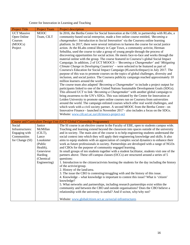# Centre for Innovation in Learning and Teaching

| <b>Project Title</b> | <b>Project Team</b>  | Project description                                                                                                                                                        |
|----------------------|----------------------|----------------------------------------------------------------------------------------------------------------------------------------------------------------------------|
| <b>UCT Massive</b>   | <b>MOOC</b>          | In 2016, the Bertha Centre for Social Innovation at the GSB, in partnership with RLabs, a                                                                                  |
| Open Online          | Team, CILT           | community-based social enterprise, made a free online course entitled, 'Becoming a                                                                                         |
| Courses              |                      | changemaker: Introduction to Social Innovation' via the Coursera online learning                                                                                           |
| (MOOCs)              |                      | platform. In 2017, there were several initiatives to harness the course for social justice                                                                                 |
| Project              |                      | action. At the RLabs central library in Cape Town, a community activist, Herman                                                                                            |
|                      |                      | Sebuliba, used the course to take a group of young people through the process of                                                                                           |
|                      |                      | discovering opportunities for social action. He meets face-to-face and works through the                                                                                   |
|                      |                      | material online with the group. The course featured in Coursera's global Social Impact<br>Campaign. In addition, 2 of UCT MOOCS - 'Becoming a Changemaker' and 'Mitigating |
|                      |                      | Climate Change in Developing Countries' - were selected to be featured as part of                                                                                          |
|                      |                      | Coursera's Education for Social Impact Campaign (#LearnActImpact) in July 2017. The                                                                                        |
|                      |                      | purpose of this was to promote courses on the topics of global challenges, diversity and                                                                                   |
|                      |                      | inclusion, and social justice. The Coursera publicity campaign reached approximately 10                                                                                    |
|                      |                      | million learners around the world.                                                                                                                                         |
|                      |                      | The course team also adapted 'Becoming a Changemaker' to include a project output for                                                                                      |
|                      |                      | participants linked to one of the United Nations Sustainable Development Goals (SDGs).                                                                                     |
|                      |                      | This allowed UCT to link 'Becoming a Changemaker' with another global campaign to                                                                                          |
|                      |                      | bring awareness to the UN's SDGs. This was initiated by the Centre for Innovation at                                                                                       |
|                      |                      | Leiden University to promote open online courses run on Coursera from universities                                                                                         |
|                      |                      | around the world. The campaign enlisted courses which offer real world challenges, and                                                                                     |
|                      |                      | which work with a civil society partner. A second MOOC from the Bertha Centre - on                                                                                         |
|                      |                      | Innovative Finance - launched in November 2017 - also includes a focus on the SDGs.<br>Website: www.cilt.uct.ac.za/cilt/moocs-project-uct                                  |
|                      |                      |                                                                                                                                                                            |
|                      |                      | Course and Curriculum Design Unit (UCT Global Citizenship Programme)                                                                                                       |
| Social               | Janice               | The SI course is an elective course in the Faculty of EBE, open to students campus wide.                                                                                   |
| Infrastructures:     | McMillan             | Teaching and learning extend beyond the classroom into spaces outside of the university                                                                                    |
| Engaging with        | (CLT),               | and in society. The main aim of the course is to help engineering students understand the                                                                                  |
| Communities          | Lance                | social context into which they will apply their engineering knowledge and skills. It also                                                                                  |
| for Change (SI)      | Louskieter           | aims to equip students with an appreciation of complex social dynamics to enhance their                                                                                    |
|                      | (Public              | work as future professionals in society. Partnerships are developed with a range of NGOs                                                                                   |
|                      | Health),             | and CBOs for the purpose of community engaged learning.                                                                                                                    |
|                      | Genevieve            | In small groups of ten students together with a student facilitator, students visit one of the                                                                             |
|                      | Harding<br>(Chemical | partners above. These off-campus classes (OCCs) are structured around a series of 5<br>questions:                                                                          |
|                      | Engineering)         | 1. Introduction to the citizen/activists hosting the students for the day including the history                                                                            |
|                      |                      | of the activist/group.                                                                                                                                                     |
|                      |                      | 2. History of the land/area.                                                                                                                                               |
|                      |                      | 3. The issue the CBO is contesting/struggling with and the history of this issue.                                                                                          |
|                      |                      | 4. Knowledge – what knowledge is important to contest this issue? What is 'citizen'                                                                                        |
|                      |                      | knowledge?                                                                                                                                                                 |
|                      |                      | 5. What networks and partnerships, including research partnerships exist within the                                                                                        |
|                      |                      | community and between the CBO and outside organisations? Does the CBO believe a                                                                                            |
|                      |                      | relationship with the university is useful? And if so/not, why/why not?                                                                                                    |
|                      |                      | Website: www.globalcitizen.uct.ac.za/social-infrastructures                                                                                                                |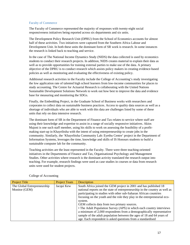#### Faculty of Commerce

The Faculty of Commerce represented the majority of responses with twenty-eight social responsiveness initiatives being reported across six departments and six units.

The Development Policy Research Unit (DPRU) from the School of Economics accounts for almost half of these activities. Two initiatives were captured from the Southern Africa Labour and Development Unit. In both these units the dominant form of SR work is research. In some instances the research is linked back to teaching and service.

In the case of The National Income Dynamics Study (NIDS) the data collected is used by economics students to conduct their research projects. In addition, NIDS creates material to explain their data as well as to provide opportunities for training external parties to make use of the data. A primary objective of the DPRU is to conduct research which assists policy makers in creating evidence-based policies as well as monitoring and evaluating the effectiveness of existing policy.

Additional research activities in the Faculty include the College of Accounting's study investigating the low application rate of talented high school learners from low-income communities for places to study accounting. The Centre for Actuarial Research is collaborating with the United Nations Sustainable Development Solutions Network to work out how best to improve the data and evidence base for measuring and monitoring the SDGs.

Finally, the Embedding Project, in the Graduate School of Business works with researchers and corporates to collect data on sustainable business practices. Access to quality data sources as well as a shortage of individuals who are able to work with this data are challenges listed by some of these units that rely on data intensive research.

The dominant form of SR in the Department of Finance and Tax relates to service where staff are using their knowledge and expertise to assist in a range of socially responsive initiatives. Akios Majoni is one such staff member, using his skills to work on assessing the feasibility of a profitmaking start-up in Khayelitsha with the intent of using entrepreneurship to create jobs in the community. Similarly, the 'Khayelitsha Community Lab: Eyethu Centre' project in the Department of Information Systems, leverages the time, knowledge and skills of IS Honours students to build a sustainable computer lab for the community.

Teaching activities are the least represented in the Faculty. There were three teaching-oriented initiatives in the Departments of Finance and Tax, Organisational Psychology and Management Studies. Other activities where research is the dominant activity translated the research output into teaching. For example, research findings were used as case studies in courses or data from research units were used for student projects.

| <b>Project Title</b>        | <b>Project Team</b> | <b>Description</b>                                                          |
|-----------------------------|---------------------|-----------------------------------------------------------------------------|
| The Global Entrepreneurship | Jacqui Kew          | South Africa joined the GEM project in 2001 and has published 18            |
| Monitor (GEM)               |                     | national reports on the state of entrepreneurship in the country as well as |
|                             |                     | participating in studies with other sub-Saharan African countries           |
|                             |                     | focusing on the youth and the role they play in the entrepreneurial eco-    |
|                             |                     | system.                                                                     |
|                             |                     | GEM collects data from two primary sources.                                 |
|                             |                     | • The Adult Population Survey (APS) in which each country interviews        |
|                             |                     | a minimum of 2,000 respondents from a demographically representative        |
|                             |                     | sample of the adult population between the ages of 18 and 64 years of       |
|                             |                     | age. Each respondent is asked questions from a standardised                 |

College of Accounting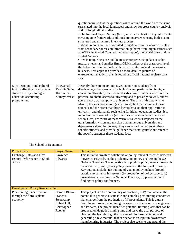|                                                                                                                                      |                                                          | questionnaire so that the questions asked around the world are the same<br>(translated into the local languages) and allow for cross country analysis<br>and for longitudinal studies<br>• The National Expert Survey (NES) in which at least 36 key informants<br>covering nine framework conditions are interviewed using both a semi-<br>structured and structured interview process.<br>National reports are then compiled using data from the above as well as<br>from secondary sources on information gathered from organisations such<br>as WEF (the Global Competitive Index report), the World Bank and the<br><b>United Nations.</b><br>GEM is unique because, unlike most entrepreneurship data sets that<br>measure newer and smaller firms, GEM studies, at the grassroots level,<br>the behaviour of individuals with respect to starting and managing a<br>business. This approach provides a more detailed picture of<br>entrepreneurial activity than is found in official national registry data<br>sets. |
|--------------------------------------------------------------------------------------------------------------------------------------|----------------------------------------------------------|------------------------------------------------------------------------------------------------------------------------------------------------------------------------------------------------------------------------------------------------------------------------------------------------------------------------------------------------------------------------------------------------------------------------------------------------------------------------------------------------------------------------------------------------------------------------------------------------------------------------------------------------------------------------------------------------------------------------------------------------------------------------------------------------------------------------------------------------------------------------------------------------------------------------------------------------------------------------------------------------------------------------------|
| Socio-economic and cultural<br>factors affecting disadvantaged<br>students' entry into higher<br>education accounting<br>programmes. | Moegamad<br>Rushdie Salie,<br>Ilse Lubbe,<br>Sumaya West | Recently there are many initiatives supporting students from<br>disadvantaged backgrounds for inclusion and participation in higher<br>education. This study focuses on disadvantaged students who have the<br>potential to obtain access to university and to possibly do well, but for<br>some reason, do not apply to university. The aim of this study is to<br>identify the socio-economic (and cultural) factors that impact these<br>students and the effect that these factors have on their application to<br>university and ultimately registering for higher education studies. It is<br>important that stakeholders (universities, education department and<br>schools, etc) are aware of these various issues as it impacts on the<br>transformation vision and mission that numerous universities and<br>departments share. In this way, they can work together to aid these<br>specific students and provide guidance that is not generic but caters to<br>the specific struggles these students face.        |

## The School of Economics

| <b>Project Title</b>                    | <b>Project Team</b> | Description                                                              |
|-----------------------------------------|---------------------|--------------------------------------------------------------------------|
| <b>Exchange Rates and Firm</b>          | Lawrence            | This initiative involves collaborative policy-relevant research between  |
| <b>Export Performance in South</b>      | Edwards             | Lawrence Edwards, as the academic, and policy analysts in the SA         |
| Africa                                  |                     | National Treasury. The objective is to produce policy relevant research  |
|                                         |                     | collaboratively with young policy makers in the National Treasury.       |
|                                         |                     | Key outputs include: (a) training of young policy makers through         |
|                                         |                     | practical experience in research (b) production of policy papers, (c)    |
|                                         |                     | presentation at seminars in National Treasury, (d) presentation of       |
|                                         |                     | findings at policy conferences.                                          |
|                                         |                     |                                                                          |
| <b>Development Policy Research Unit</b> |                     |                                                                          |
| Post-mining transformation              | Haroon Bhorat,      | This project is a true community of practice (COP) that looks at the     |
| through the fibrous plant               | François            | potential to generate sustainable and complex post-mining economies      |
| economy                                 | Steenkamp,          | that emerge from the production of fibrous plants. This is a trans-      |
|                                         | Robert Hill,        | disciplinary project, combining the expertise of economists, engineers   |
|                                         | Christopher         | and lawyers. The project identifies potential fibrous plants that can be |
|                                         | Rooney              | produced on degraded mining land and serve the dual purpose of           |
|                                         |                     | cleaning the land through the process of phyto-remediation and           |
|                                         |                     | generating a raw material that can serve as an input in downstream       |
|                                         |                     | manufacturing industries. The project also seeks to understand the       |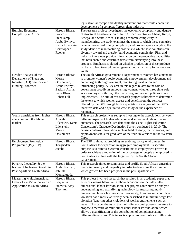| development of a complex fibrous plant industry.<br>The research project investigates the economic complexity and degree<br><b>Building Economic</b><br>Haroon Bhorat,<br>Complexity in Africa<br>Francois<br>of structural transformation of four African countries - Ghana, Kenya,<br>Senegal and South Africa. Linking economic complexity to<br>Steenkamp,<br>manufacturing, the study examines the extent to which these countries<br>Arabo Ewinyu,<br>Kezia Lilenstein,<br>have industrialised. Using complexity and product space analytics, the<br>study identifies manufacturing products to which these countries can<br>Christopher<br>diversify toward and thereby build economic complexity. Firm and<br>Rooney<br>industry interviews provide information on the productive capabilities<br>that both enable and constrain firms from diversifying into these<br>products. Emphasis is placed on whether production of these products<br>is likely to lead to employment generation, particularly for women and<br>youth.<br>The South African government's Department of Women has a mandate<br>Gender Analysis of the<br>Haroon Bhorat,<br>Department of Trade and<br>to promote women's socio-economic empowerment, development and<br>Morne<br>Industry (DTI) Services and<br>human rights through oversight, monitoring, evaluation and<br>Oosthuizen,<br><b>Funding Processes</b><br>Arabo Ewinyu,<br>influencing policy. A key area in this regard relates to the role of<br>government broadly in empowering women, whether through its role<br>Zaakhir Asmal,<br>Safia Khan,<br>as an employer or through the many programmes and policies it has<br>Robert Hill<br>implemented. The aim of this research project is therefore to determine<br>the extent to which women access and benefit from the services<br>offered by the DTI through both a quantitative analysis of the DIT's<br>incentive data and a qualitative case study on the experience of<br>recipients.<br>Youth transitions from higher<br>Haroon Bhorat,<br>This research project was set up to investigate the associations between<br>education into the labour<br>Adaiah<br>different aspects of higher education and subsequent labour market<br>market<br>Lilenstein, Kezia<br>outcomes. The research uses data from the Cape Higher Education<br>Lilenstein,<br>Consortium's Graduate Destination Survey conducted in 2010. The<br>Morné<br>dataset contains information such as field of study, matric grades, and<br>Oosthuizen<br>employment status for graduates of the four universities in the Western<br>Cape.<br>The EPP is aimed at providing an enabling policy environment in<br>Haroon Bhorat,<br><b>Employment Promotion</b><br>Toughedah<br>South Africa for expansion in aggregate employment. Its specific<br>Programme (IV)(EPP)<br>purpose is to remove systemic constraints to employment growth in<br><b>Jacobs</b><br>order to achieve a reduction of the percentage of people unemployed in<br>South Africa in line with the target set by the South African<br>Government.<br>Poverty, Inequality $&$ the<br>Haroon Bhorat,<br>This research aimed to summarise and profile South African emerging<br>Nature of Inclusive Growth in<br>trends in poverty and inequality in order to determine the extent to<br>Arabo Ewinyu,<br>Post-Apartheid South Africa.<br>which growth has been pro-poor in the post-apartheid era.<br>Jabulile<br>Monnakgotla<br><b>Measuring Multidimensional</b><br>Haroon Bhorat,<br>This project involved research that resulted in an academic paper that<br>Labour Law Violation with an<br>Benjamin<br>extends existing literature in labour economics to include multi-<br>dimensional labour law violation. The project contributes an analytic<br>Application to South Africa<br>Stanwix, Amy<br>Thornton<br>understanding and quantifying technology for measuring multi-<br>dimensional labour law violation. Previously, literature on labour law<br>violation has almost exclusively been described as minimum wage law<br>violation (ignoring other violations of worker entitlements such as<br>leave). This paper draws on the multi-dimensional poverty literature to<br>propose a measure of multidimensional labour law violation, which<br>allows a quantification of the contribution of compliance along<br>different dimensions. This index is applied to South Africa to illustrate |  |                                                                        |
|------------------------------------------------------------------------------------------------------------------------------------------------------------------------------------------------------------------------------------------------------------------------------------------------------------------------------------------------------------------------------------------------------------------------------------------------------------------------------------------------------------------------------------------------------------------------------------------------------------------------------------------------------------------------------------------------------------------------------------------------------------------------------------------------------------------------------------------------------------------------------------------------------------------------------------------------------------------------------------------------------------------------------------------------------------------------------------------------------------------------------------------------------------------------------------------------------------------------------------------------------------------------------------------------------------------------------------------------------------------------------------------------------------------------------------------------------------------------------------------------------------------------------------------------------------------------------------------------------------------------------------------------------------------------------------------------------------------------------------------------------------------------------------------------------------------------------------------------------------------------------------------------------------------------------------------------------------------------------------------------------------------------------------------------------------------------------------------------------------------------------------------------------------------------------------------------------------------------------------------------------------------------------------------------------------------------------------------------------------------------------------------------------------------------------------------------------------------------------------------------------------------------------------------------------------------------------------------------------------------------------------------------------------------------------------------------------------------------------------------------------------------------------------------------------------------------------------------------------------------------------------------------------------------------------------------------------------------------------------------------------------------------------------------------------------------------------------------------------------------------------------------------------------------------------------------------------------------------------------------------------------------------------------------------------------------------------------------------------------------------------------------------------------------------------------------------------------------------------------------------------------------------------------------------------------------------------------------------------------------------------------------------------------------------------------------------------------------------------------------------------------------------------------------------------------------------------------------------------------------------------------------------------------------------------------------------------------------------------------------------------------------------------------------------------------------------------------------------------------------------------------------------------------------------------------------------------------------------------------------------------------------------------------------------------------------------------------------------------------------------------------------------------------------------------------------------------------|--|------------------------------------------------------------------------|
|                                                                                                                                                                                                                                                                                                                                                                                                                                                                                                                                                                                                                                                                                                                                                                                                                                                                                                                                                                                                                                                                                                                                                                                                                                                                                                                                                                                                                                                                                                                                                                                                                                                                                                                                                                                                                                                                                                                                                                                                                                                                                                                                                                                                                                                                                                                                                                                                                                                                                                                                                                                                                                                                                                                                                                                                                                                                                                                                                                                                                                                                                                                                                                                                                                                                                                                                                                                                                                                                                                                                                                                                                                                                                                                                                                                                                                                                                                                                                                                                                                                                                                                                                                                                                                                                                                                                                                                                                                                            |  | legislative landscape and identify interventions that would enable the |
|                                                                                                                                                                                                                                                                                                                                                                                                                                                                                                                                                                                                                                                                                                                                                                                                                                                                                                                                                                                                                                                                                                                                                                                                                                                                                                                                                                                                                                                                                                                                                                                                                                                                                                                                                                                                                                                                                                                                                                                                                                                                                                                                                                                                                                                                                                                                                                                                                                                                                                                                                                                                                                                                                                                                                                                                                                                                                                                                                                                                                                                                                                                                                                                                                                                                                                                                                                                                                                                                                                                                                                                                                                                                                                                                                                                                                                                                                                                                                                                                                                                                                                                                                                                                                                                                                                                                                                                                                                                            |  |                                                                        |
|                                                                                                                                                                                                                                                                                                                                                                                                                                                                                                                                                                                                                                                                                                                                                                                                                                                                                                                                                                                                                                                                                                                                                                                                                                                                                                                                                                                                                                                                                                                                                                                                                                                                                                                                                                                                                                                                                                                                                                                                                                                                                                                                                                                                                                                                                                                                                                                                                                                                                                                                                                                                                                                                                                                                                                                                                                                                                                                                                                                                                                                                                                                                                                                                                                                                                                                                                                                                                                                                                                                                                                                                                                                                                                                                                                                                                                                                                                                                                                                                                                                                                                                                                                                                                                                                                                                                                                                                                                                            |  |                                                                        |
|                                                                                                                                                                                                                                                                                                                                                                                                                                                                                                                                                                                                                                                                                                                                                                                                                                                                                                                                                                                                                                                                                                                                                                                                                                                                                                                                                                                                                                                                                                                                                                                                                                                                                                                                                                                                                                                                                                                                                                                                                                                                                                                                                                                                                                                                                                                                                                                                                                                                                                                                                                                                                                                                                                                                                                                                                                                                                                                                                                                                                                                                                                                                                                                                                                                                                                                                                                                                                                                                                                                                                                                                                                                                                                                                                                                                                                                                                                                                                                                                                                                                                                                                                                                                                                                                                                                                                                                                                                                            |  |                                                                        |
|                                                                                                                                                                                                                                                                                                                                                                                                                                                                                                                                                                                                                                                                                                                                                                                                                                                                                                                                                                                                                                                                                                                                                                                                                                                                                                                                                                                                                                                                                                                                                                                                                                                                                                                                                                                                                                                                                                                                                                                                                                                                                                                                                                                                                                                                                                                                                                                                                                                                                                                                                                                                                                                                                                                                                                                                                                                                                                                                                                                                                                                                                                                                                                                                                                                                                                                                                                                                                                                                                                                                                                                                                                                                                                                                                                                                                                                                                                                                                                                                                                                                                                                                                                                                                                                                                                                                                                                                                                                            |  |                                                                        |
|                                                                                                                                                                                                                                                                                                                                                                                                                                                                                                                                                                                                                                                                                                                                                                                                                                                                                                                                                                                                                                                                                                                                                                                                                                                                                                                                                                                                                                                                                                                                                                                                                                                                                                                                                                                                                                                                                                                                                                                                                                                                                                                                                                                                                                                                                                                                                                                                                                                                                                                                                                                                                                                                                                                                                                                                                                                                                                                                                                                                                                                                                                                                                                                                                                                                                                                                                                                                                                                                                                                                                                                                                                                                                                                                                                                                                                                                                                                                                                                                                                                                                                                                                                                                                                                                                                                                                                                                                                                            |  |                                                                        |
|                                                                                                                                                                                                                                                                                                                                                                                                                                                                                                                                                                                                                                                                                                                                                                                                                                                                                                                                                                                                                                                                                                                                                                                                                                                                                                                                                                                                                                                                                                                                                                                                                                                                                                                                                                                                                                                                                                                                                                                                                                                                                                                                                                                                                                                                                                                                                                                                                                                                                                                                                                                                                                                                                                                                                                                                                                                                                                                                                                                                                                                                                                                                                                                                                                                                                                                                                                                                                                                                                                                                                                                                                                                                                                                                                                                                                                                                                                                                                                                                                                                                                                                                                                                                                                                                                                                                                                                                                                                            |  |                                                                        |
|                                                                                                                                                                                                                                                                                                                                                                                                                                                                                                                                                                                                                                                                                                                                                                                                                                                                                                                                                                                                                                                                                                                                                                                                                                                                                                                                                                                                                                                                                                                                                                                                                                                                                                                                                                                                                                                                                                                                                                                                                                                                                                                                                                                                                                                                                                                                                                                                                                                                                                                                                                                                                                                                                                                                                                                                                                                                                                                                                                                                                                                                                                                                                                                                                                                                                                                                                                                                                                                                                                                                                                                                                                                                                                                                                                                                                                                                                                                                                                                                                                                                                                                                                                                                                                                                                                                                                                                                                                                            |  |                                                                        |
|                                                                                                                                                                                                                                                                                                                                                                                                                                                                                                                                                                                                                                                                                                                                                                                                                                                                                                                                                                                                                                                                                                                                                                                                                                                                                                                                                                                                                                                                                                                                                                                                                                                                                                                                                                                                                                                                                                                                                                                                                                                                                                                                                                                                                                                                                                                                                                                                                                                                                                                                                                                                                                                                                                                                                                                                                                                                                                                                                                                                                                                                                                                                                                                                                                                                                                                                                                                                                                                                                                                                                                                                                                                                                                                                                                                                                                                                                                                                                                                                                                                                                                                                                                                                                                                                                                                                                                                                                                                            |  |                                                                        |
|                                                                                                                                                                                                                                                                                                                                                                                                                                                                                                                                                                                                                                                                                                                                                                                                                                                                                                                                                                                                                                                                                                                                                                                                                                                                                                                                                                                                                                                                                                                                                                                                                                                                                                                                                                                                                                                                                                                                                                                                                                                                                                                                                                                                                                                                                                                                                                                                                                                                                                                                                                                                                                                                                                                                                                                                                                                                                                                                                                                                                                                                                                                                                                                                                                                                                                                                                                                                                                                                                                                                                                                                                                                                                                                                                                                                                                                                                                                                                                                                                                                                                                                                                                                                                                                                                                                                                                                                                                                            |  |                                                                        |
|                                                                                                                                                                                                                                                                                                                                                                                                                                                                                                                                                                                                                                                                                                                                                                                                                                                                                                                                                                                                                                                                                                                                                                                                                                                                                                                                                                                                                                                                                                                                                                                                                                                                                                                                                                                                                                                                                                                                                                                                                                                                                                                                                                                                                                                                                                                                                                                                                                                                                                                                                                                                                                                                                                                                                                                                                                                                                                                                                                                                                                                                                                                                                                                                                                                                                                                                                                                                                                                                                                                                                                                                                                                                                                                                                                                                                                                                                                                                                                                                                                                                                                                                                                                                                                                                                                                                                                                                                                                            |  |                                                                        |
|                                                                                                                                                                                                                                                                                                                                                                                                                                                                                                                                                                                                                                                                                                                                                                                                                                                                                                                                                                                                                                                                                                                                                                                                                                                                                                                                                                                                                                                                                                                                                                                                                                                                                                                                                                                                                                                                                                                                                                                                                                                                                                                                                                                                                                                                                                                                                                                                                                                                                                                                                                                                                                                                                                                                                                                                                                                                                                                                                                                                                                                                                                                                                                                                                                                                                                                                                                                                                                                                                                                                                                                                                                                                                                                                                                                                                                                                                                                                                                                                                                                                                                                                                                                                                                                                                                                                                                                                                                                            |  |                                                                        |
|                                                                                                                                                                                                                                                                                                                                                                                                                                                                                                                                                                                                                                                                                                                                                                                                                                                                                                                                                                                                                                                                                                                                                                                                                                                                                                                                                                                                                                                                                                                                                                                                                                                                                                                                                                                                                                                                                                                                                                                                                                                                                                                                                                                                                                                                                                                                                                                                                                                                                                                                                                                                                                                                                                                                                                                                                                                                                                                                                                                                                                                                                                                                                                                                                                                                                                                                                                                                                                                                                                                                                                                                                                                                                                                                                                                                                                                                                                                                                                                                                                                                                                                                                                                                                                                                                                                                                                                                                                                            |  |                                                                        |
|                                                                                                                                                                                                                                                                                                                                                                                                                                                                                                                                                                                                                                                                                                                                                                                                                                                                                                                                                                                                                                                                                                                                                                                                                                                                                                                                                                                                                                                                                                                                                                                                                                                                                                                                                                                                                                                                                                                                                                                                                                                                                                                                                                                                                                                                                                                                                                                                                                                                                                                                                                                                                                                                                                                                                                                                                                                                                                                                                                                                                                                                                                                                                                                                                                                                                                                                                                                                                                                                                                                                                                                                                                                                                                                                                                                                                                                                                                                                                                                                                                                                                                                                                                                                                                                                                                                                                                                                                                                            |  |                                                                        |
|                                                                                                                                                                                                                                                                                                                                                                                                                                                                                                                                                                                                                                                                                                                                                                                                                                                                                                                                                                                                                                                                                                                                                                                                                                                                                                                                                                                                                                                                                                                                                                                                                                                                                                                                                                                                                                                                                                                                                                                                                                                                                                                                                                                                                                                                                                                                                                                                                                                                                                                                                                                                                                                                                                                                                                                                                                                                                                                                                                                                                                                                                                                                                                                                                                                                                                                                                                                                                                                                                                                                                                                                                                                                                                                                                                                                                                                                                                                                                                                                                                                                                                                                                                                                                                                                                                                                                                                                                                                            |  |                                                                        |
|                                                                                                                                                                                                                                                                                                                                                                                                                                                                                                                                                                                                                                                                                                                                                                                                                                                                                                                                                                                                                                                                                                                                                                                                                                                                                                                                                                                                                                                                                                                                                                                                                                                                                                                                                                                                                                                                                                                                                                                                                                                                                                                                                                                                                                                                                                                                                                                                                                                                                                                                                                                                                                                                                                                                                                                                                                                                                                                                                                                                                                                                                                                                                                                                                                                                                                                                                                                                                                                                                                                                                                                                                                                                                                                                                                                                                                                                                                                                                                                                                                                                                                                                                                                                                                                                                                                                                                                                                                                            |  |                                                                        |
|                                                                                                                                                                                                                                                                                                                                                                                                                                                                                                                                                                                                                                                                                                                                                                                                                                                                                                                                                                                                                                                                                                                                                                                                                                                                                                                                                                                                                                                                                                                                                                                                                                                                                                                                                                                                                                                                                                                                                                                                                                                                                                                                                                                                                                                                                                                                                                                                                                                                                                                                                                                                                                                                                                                                                                                                                                                                                                                                                                                                                                                                                                                                                                                                                                                                                                                                                                                                                                                                                                                                                                                                                                                                                                                                                                                                                                                                                                                                                                                                                                                                                                                                                                                                                                                                                                                                                                                                                                                            |  |                                                                        |
|                                                                                                                                                                                                                                                                                                                                                                                                                                                                                                                                                                                                                                                                                                                                                                                                                                                                                                                                                                                                                                                                                                                                                                                                                                                                                                                                                                                                                                                                                                                                                                                                                                                                                                                                                                                                                                                                                                                                                                                                                                                                                                                                                                                                                                                                                                                                                                                                                                                                                                                                                                                                                                                                                                                                                                                                                                                                                                                                                                                                                                                                                                                                                                                                                                                                                                                                                                                                                                                                                                                                                                                                                                                                                                                                                                                                                                                                                                                                                                                                                                                                                                                                                                                                                                                                                                                                                                                                                                                            |  |                                                                        |
|                                                                                                                                                                                                                                                                                                                                                                                                                                                                                                                                                                                                                                                                                                                                                                                                                                                                                                                                                                                                                                                                                                                                                                                                                                                                                                                                                                                                                                                                                                                                                                                                                                                                                                                                                                                                                                                                                                                                                                                                                                                                                                                                                                                                                                                                                                                                                                                                                                                                                                                                                                                                                                                                                                                                                                                                                                                                                                                                                                                                                                                                                                                                                                                                                                                                                                                                                                                                                                                                                                                                                                                                                                                                                                                                                                                                                                                                                                                                                                                                                                                                                                                                                                                                                                                                                                                                                                                                                                                            |  |                                                                        |
|                                                                                                                                                                                                                                                                                                                                                                                                                                                                                                                                                                                                                                                                                                                                                                                                                                                                                                                                                                                                                                                                                                                                                                                                                                                                                                                                                                                                                                                                                                                                                                                                                                                                                                                                                                                                                                                                                                                                                                                                                                                                                                                                                                                                                                                                                                                                                                                                                                                                                                                                                                                                                                                                                                                                                                                                                                                                                                                                                                                                                                                                                                                                                                                                                                                                                                                                                                                                                                                                                                                                                                                                                                                                                                                                                                                                                                                                                                                                                                                                                                                                                                                                                                                                                                                                                                                                                                                                                                                            |  |                                                                        |
|                                                                                                                                                                                                                                                                                                                                                                                                                                                                                                                                                                                                                                                                                                                                                                                                                                                                                                                                                                                                                                                                                                                                                                                                                                                                                                                                                                                                                                                                                                                                                                                                                                                                                                                                                                                                                                                                                                                                                                                                                                                                                                                                                                                                                                                                                                                                                                                                                                                                                                                                                                                                                                                                                                                                                                                                                                                                                                                                                                                                                                                                                                                                                                                                                                                                                                                                                                                                                                                                                                                                                                                                                                                                                                                                                                                                                                                                                                                                                                                                                                                                                                                                                                                                                                                                                                                                                                                                                                                            |  |                                                                        |
|                                                                                                                                                                                                                                                                                                                                                                                                                                                                                                                                                                                                                                                                                                                                                                                                                                                                                                                                                                                                                                                                                                                                                                                                                                                                                                                                                                                                                                                                                                                                                                                                                                                                                                                                                                                                                                                                                                                                                                                                                                                                                                                                                                                                                                                                                                                                                                                                                                                                                                                                                                                                                                                                                                                                                                                                                                                                                                                                                                                                                                                                                                                                                                                                                                                                                                                                                                                                                                                                                                                                                                                                                                                                                                                                                                                                                                                                                                                                                                                                                                                                                                                                                                                                                                                                                                                                                                                                                                                            |  |                                                                        |
|                                                                                                                                                                                                                                                                                                                                                                                                                                                                                                                                                                                                                                                                                                                                                                                                                                                                                                                                                                                                                                                                                                                                                                                                                                                                                                                                                                                                                                                                                                                                                                                                                                                                                                                                                                                                                                                                                                                                                                                                                                                                                                                                                                                                                                                                                                                                                                                                                                                                                                                                                                                                                                                                                                                                                                                                                                                                                                                                                                                                                                                                                                                                                                                                                                                                                                                                                                                                                                                                                                                                                                                                                                                                                                                                                                                                                                                                                                                                                                                                                                                                                                                                                                                                                                                                                                                                                                                                                                                            |  |                                                                        |
|                                                                                                                                                                                                                                                                                                                                                                                                                                                                                                                                                                                                                                                                                                                                                                                                                                                                                                                                                                                                                                                                                                                                                                                                                                                                                                                                                                                                                                                                                                                                                                                                                                                                                                                                                                                                                                                                                                                                                                                                                                                                                                                                                                                                                                                                                                                                                                                                                                                                                                                                                                                                                                                                                                                                                                                                                                                                                                                                                                                                                                                                                                                                                                                                                                                                                                                                                                                                                                                                                                                                                                                                                                                                                                                                                                                                                                                                                                                                                                                                                                                                                                                                                                                                                                                                                                                                                                                                                                                            |  |                                                                        |
|                                                                                                                                                                                                                                                                                                                                                                                                                                                                                                                                                                                                                                                                                                                                                                                                                                                                                                                                                                                                                                                                                                                                                                                                                                                                                                                                                                                                                                                                                                                                                                                                                                                                                                                                                                                                                                                                                                                                                                                                                                                                                                                                                                                                                                                                                                                                                                                                                                                                                                                                                                                                                                                                                                                                                                                                                                                                                                                                                                                                                                                                                                                                                                                                                                                                                                                                                                                                                                                                                                                                                                                                                                                                                                                                                                                                                                                                                                                                                                                                                                                                                                                                                                                                                                                                                                                                                                                                                                                            |  |                                                                        |
|                                                                                                                                                                                                                                                                                                                                                                                                                                                                                                                                                                                                                                                                                                                                                                                                                                                                                                                                                                                                                                                                                                                                                                                                                                                                                                                                                                                                                                                                                                                                                                                                                                                                                                                                                                                                                                                                                                                                                                                                                                                                                                                                                                                                                                                                                                                                                                                                                                                                                                                                                                                                                                                                                                                                                                                                                                                                                                                                                                                                                                                                                                                                                                                                                                                                                                                                                                                                                                                                                                                                                                                                                                                                                                                                                                                                                                                                                                                                                                                                                                                                                                                                                                                                                                                                                                                                                                                                                                                            |  |                                                                        |
|                                                                                                                                                                                                                                                                                                                                                                                                                                                                                                                                                                                                                                                                                                                                                                                                                                                                                                                                                                                                                                                                                                                                                                                                                                                                                                                                                                                                                                                                                                                                                                                                                                                                                                                                                                                                                                                                                                                                                                                                                                                                                                                                                                                                                                                                                                                                                                                                                                                                                                                                                                                                                                                                                                                                                                                                                                                                                                                                                                                                                                                                                                                                                                                                                                                                                                                                                                                                                                                                                                                                                                                                                                                                                                                                                                                                                                                                                                                                                                                                                                                                                                                                                                                                                                                                                                                                                                                                                                                            |  |                                                                        |
|                                                                                                                                                                                                                                                                                                                                                                                                                                                                                                                                                                                                                                                                                                                                                                                                                                                                                                                                                                                                                                                                                                                                                                                                                                                                                                                                                                                                                                                                                                                                                                                                                                                                                                                                                                                                                                                                                                                                                                                                                                                                                                                                                                                                                                                                                                                                                                                                                                                                                                                                                                                                                                                                                                                                                                                                                                                                                                                                                                                                                                                                                                                                                                                                                                                                                                                                                                                                                                                                                                                                                                                                                                                                                                                                                                                                                                                                                                                                                                                                                                                                                                                                                                                                                                                                                                                                                                                                                                                            |  |                                                                        |
|                                                                                                                                                                                                                                                                                                                                                                                                                                                                                                                                                                                                                                                                                                                                                                                                                                                                                                                                                                                                                                                                                                                                                                                                                                                                                                                                                                                                                                                                                                                                                                                                                                                                                                                                                                                                                                                                                                                                                                                                                                                                                                                                                                                                                                                                                                                                                                                                                                                                                                                                                                                                                                                                                                                                                                                                                                                                                                                                                                                                                                                                                                                                                                                                                                                                                                                                                                                                                                                                                                                                                                                                                                                                                                                                                                                                                                                                                                                                                                                                                                                                                                                                                                                                                                                                                                                                                                                                                                                            |  |                                                                        |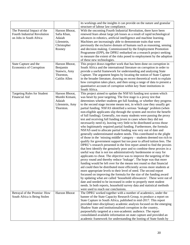|                                    |                 | its workings and the insights it can provide on the nature and granular<br>structure of labour law compliance. |
|------------------------------------|-----------------|----------------------------------------------------------------------------------------------------------------|
| The Potential Impact of the        |                 |                                                                                                                |
|                                    | Haroon Bhorat,  | With the oncoming Fourth Industrial Revolution, there have been                                                |
| Fourth Industrial Revolution       | Safia Khan,     | renewed fears about large job losses as a result of rapid technological                                        |
| on Jobs in South Africa            | Adaiah          | advances in robotics, artificial intelligence and machine learning.                                            |
|                                    | Lilenstein,     | Machines are increasingly able to demonstrate traits that were                                                 |
|                                    | Christopher     | previously the exclusive domain of humans such as reasoning, sensing                                           |
|                                    | Rooney          | and decision making. Commissioned by the Employment Promotion                                                  |
|                                    |                 | Programme (EPP), the DPRU embarked on a research project seeking                                               |
|                                    |                 | to measure the extent of the risks posed to employment by the adoption                                         |
|                                    |                 | of these new technologies.                                                                                     |
| State Capture and the              | Haroon Bhorat,  | This project draws together work that has been done on corruption in                                           |
| <b>Economics of Corruption</b>     | Benjamin        | South Africa and the international literature on corruption in order to                                        |
|                                    | Stanwix, Amy    | provide a useful framework for understanding and analysing State                                               |
|                                    |                 |                                                                                                                |
|                                    | Thornton,       | Capture. The argument begins by locating the notion of State Capture                                           |
|                                    | Caitlin Allen   | in the broader literature, drawing on recent theoretical work to explain                                       |
|                                    |                 | how corruption takes place, and then using a range of data to present a                                        |
|                                    |                 | quantitative account of corruption within key State institutions in                                            |
|                                    |                 | South Africa.                                                                                                  |
| <b>Targeting Rules for Student</b> | Haroon Bhorat,  | This project aimed to update the NSFAS funding test system which                                               |
| Financial Aid                      | Mumbi Kimani,   | was beset by poor targeting. The first stage is a proxy test that                                              |
|                                    | Adaiah          | determines whether students get full funding, or whether they progress                                         |
|                                    | Lilenstein, Amy | to the second stage income means test, in which case they usually get                                          |
|                                    | Thornton.       | partial funding. NSFAS identified a serious 'leakage' problem (when                                            |
|                                    |                 | non-eligible applicants slip through the system and receive the benefit                                        |
|                                    |                 | of full funding). Generally, too many students were passing the proxy                                          |
|                                    |                 |                                                                                                                |
|                                    |                 | test and receiving full funding (even in cases where they did not                                              |
|                                    |                 | necessarily need it), leaving very little to be distributed across those                                       |
|                                    |                 | who legitimately required partial funding. Furthermore, the formula                                            |
|                                    |                 | NSFAS used to allocate partial funding was very out of date and                                                |
|                                    |                 | generally underestimated student needs. This contributed to the plight                                         |
|                                    |                 | of those in the 'missing middle' category – students deemed too rich to                                        |
|                                    |                 | qualify for government support but too poor to afford tuition fees. The                                        |
|                                    |                 | DPRU's research presented in the first report aimed to find the proxies                                        |
|                                    |                 | that best identify the genuinely poor and to combine these proxies in a                                        |
|                                    |                 | useful way that is not too administratively burdensome or easy for                                             |
|                                    |                 | applicants to cheat. The objective was to improve the targeting of the                                         |
|                                    |                 |                                                                                                                |
|                                    |                 | proxy round and thereby reduce 'leakage'. The hope was that more                                               |
|                                    |                 | funding would be left over for the means test round so that financial                                          |
|                                    |                 | aid could then be distributed more efficiently across more students at                                         |
|                                    |                 | more appropriate levels to their level of need. The second report                                              |
|                                    |                 | focussed on improving the formula for the size of the funding award                                            |
|                                    |                 | by updating what are called 'household allowances'. These were out of                                          |
|                                    |                 | date and needed to be increased in order to properly meet student                                              |
|                                    |                 | needs. In both reports, household survey data and statistical methods                                          |
|                                    |                 | were used to reach our conclusions.                                                                            |
| Betrayal of the Promise: How       | Haroon Bhorat   | The DPRU worked together with a number of academics, under the                                                 |
| South Africa is Being Stolen       |                 | banner of the State Capacity Research Group, to produce a report on                                            |
|                                    |                 | State Capture in South Africa, published in mid-2017. This report                                              |
|                                    |                 | provided inter-disciplinary academic analysis focused on the emerging                                          |
|                                    |                 |                                                                                                                |
|                                    |                 | Shadow State and institutionalised corruption in the country,                                                  |
|                                    |                 | purposefully targeted at a non-academic audience. The report                                                   |
|                                    |                 | consolidated available information on state capture and provided an                                            |
|                                    |                 | academic framework for understanding the looting of State funds by                                             |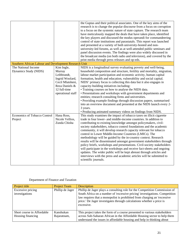| Southern African Labour and Development Research Unit |                                                                                                                     | the Guptas and their political associates. One of the key aims of the<br>research is to change the popular discourse from a focus on corruption<br>to a focus on the systemic nature of state capture. The research team<br>have meticulously mapped the deals that have taken place, identified<br>the key players and discussed the modus operandi for commandeering<br>control of state institutions and parastatals. This report was launched<br>and presented at a variety of both university-hosted and non-<br>university-led forums, as well as at well-attended public seminars and<br>panel discussion events. The findings were also widely discussed in<br>the broadcast media (on both radio and television), and covered by the<br>print media through press releases and op-eds.                                                                                     |
|-------------------------------------------------------|---------------------------------------------------------------------------------------------------------------------|-------------------------------------------------------------------------------------------------------------------------------------------------------------------------------------------------------------------------------------------------------------------------------------------------------------------------------------------------------------------------------------------------------------------------------------------------------------------------------------------------------------------------------------------------------------------------------------------------------------------------------------------------------------------------------------------------------------------------------------------------------------------------------------------------------------------------------------------------------------------------------------|
| The National Income                                   | Kim Ingle,                                                                                                          | NIDS is a longitudinal survey evaluating poverty and well-being,                                                                                                                                                                                                                                                                                                                                                                                                                                                                                                                                                                                                                                                                                                                                                                                                                    |
| Dynamics Study (NIDS)                                 | Murray<br>Leibbrandt,<br>Ingrid Woolard,<br>Cecil Mlatsheni,<br>Reza Daniels &<br>12 full-time<br>operational staff | household composition and structure, fertility and mortality, migration,<br>labour market participation and economic activity, human capital<br>formation, health and education, vulnerability and social capital.<br>NIDS' primary focus is collecting this data but it also engages in<br>capacity-building initiatives including:<br>• Training courses on how to analyse the NIDS data.<br>• Presentations and workshops with government departments and<br>entities; research consulting firms and universities.<br>• Providing example findings through discussion papers, summarised<br>into an overview document and presented at the NIDS launch every 2-<br>3 years.<br>• Producing animated summary videos on findings from NIDS.                                                                                                                                        |
| Economics of Tobacco Control<br>Project               | Hana Ross,<br>Nicole Vellios,<br>Zunda Chisha                                                                       | This study examines the impact of tobacco taxes on illicit cigarette<br>trade in four lower- and middle-income countries. In addition to<br>contributing to existing knowledge amongst policymakers, civil-<br>society stakeholders, tobacco control foundations and the academic<br>community, it will develop research capacity relevant for tobacco<br>control in Lower Middle-Income Countries (LMICs). The<br>methodology will be guided by the in-country context. Research<br>results will be disseminated amongst government stakeholders through<br>policy briefs, workshops and presentations. Civil-society stakeholders<br>will participate in the workshops and receive fact-sheets and ongoing<br>updates. The wider public will be kept abreast through articles and<br>interviews with the press and academic articles will be submitted to<br>scientific journals. |

# Department of Finance and Taxation

| Project title                                   | <b>Project Team</b>      | Description                                                                                                                                                                                                                                                                                                                  |
|-------------------------------------------------|--------------------------|------------------------------------------------------------------------------------------------------------------------------------------------------------------------------------------------------------------------------------------------------------------------------------------------------------------------------|
| <b>Excessive pricing</b><br>investigations      | Phillip de Jager         | Phillip de Jager plays a consulting role for the Competition Commission of<br>South Africa on a number of 'excessive pricing' investigations. Competition<br>law requires that a monopolist is prohibited from charging an 'excessive<br>price.' De Jager investigates through calculations whether a price is<br>excessive. |
| Short course in Affordable<br>Housing financing | Kanshukan<br>Rajaratnam, | This project takes the form of a course presented to various stakeholders<br>across Sub-Saharan African in the Affordable Housing sector to help them<br>understand the issues in affordable housing and help in thinking about                                                                                              |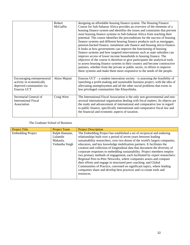|                                                                                                    | Robert<br>McGaffin | designing an affordable housing finance system. The Housing Finance<br>Course for Sub-Saharan Africa provides an overview of the elements of a<br>housing finance system and identifies the issues and constraints that prevent<br>most housing finance systems in Sub-Saharan Africa from reaching their<br>potential. The course identifies the preconditions for the success of housing<br>finance systems and different housing finance products such as mortgages,<br>pension-backed finance, instalment sale finance and housing micro-finance.<br>It looks at how governments can improve the functioning of housing<br>finance systems and how targeted interventions such as state subsidies can<br>improve access of lower income households to housing finance. The<br>objective of the course is therefore to give participants the analytical tools<br>to assess housing finance systems in their country and become constructive<br>partners, whether from the private or public sector, in efforts to improve<br>these systems and make them more responsive to the needs of the people. |
|----------------------------------------------------------------------------------------------------|--------------------|---------------------------------------------------------------------------------------------------------------------------------------------------------------------------------------------------------------------------------------------------------------------------------------------------------------------------------------------------------------------------------------------------------------------------------------------------------------------------------------------------------------------------------------------------------------------------------------------------------------------------------------------------------------------------------------------------------------------------------------------------------------------------------------------------------------------------------------------------------------------------------------------------------------------------------------------------------------------------------------------------------------------------------------------------------------------------------------------------------|
| Encouraging entrepreneurial<br>activity in economically<br>deprived communities via<br>Enactus UCT | Akios Majoni       | Enactus UCT – a student innovation society - is assessing the feasibility of<br>launching a profit-making and sustainable business project, with the idea of<br>alleviating unemployment and all the other social problems that exists in<br>less privileged communities like Khayelitsha.                                                                                                                                                                                                                                                                                                                                                                                                                                                                                                                                                                                                                                                                                                                                                                                                              |
| Secretarial General of<br><b>International Fiscal</b><br>Association                               | Craig West         | The International Fiscal Association is the only non-governmental and non-<br>sectoral international organisation dealing with fiscal matters. Its objects are<br>the study and advancement of international and comparative law in regard<br>to public finance, specifically international and comparative fiscal law and<br>the financial and economic aspects of taxation.                                                                                                                                                                                                                                                                                                                                                                                                                                                                                                                                                                                                                                                                                                                           |

## The Graduate School of Business

| <b>Project Title</b>     | <b>Project Team</b>                                     | <b>Project Description</b>                                                                                                                                                                                                                                                                                                                                                                                                                                                                                                                                                                                                                                                                                                                                                                                                                           |
|--------------------------|---------------------------------------------------------|------------------------------------------------------------------------------------------------------------------------------------------------------------------------------------------------------------------------------------------------------------------------------------------------------------------------------------------------------------------------------------------------------------------------------------------------------------------------------------------------------------------------------------------------------------------------------------------------------------------------------------------------------------------------------------------------------------------------------------------------------------------------------------------------------------------------------------------------------|
| <b>Embedding Project</b> | Ralph Hamann,<br>Lulamile<br>Makaula,<br>Vedantha Singh | The Embedding Project has established a set of reciprocal and enduring<br>relationships built over a period of seven years between leading<br>sustainability researchers, over two dozen of the world's largest companies,<br>educators, and key knowledge mobilisation partners. It facilitates the<br>creation and collection of longitudinal data that document the diversity of<br>corporate responses to embedding sustainability. Project members employ<br>two primary methods of engagement, each facilitated by expert researchers:<br>Regional Peer-to-Peer Networks, where companies assess and compare<br>their efforts and engage in structured peer coaching; and Global<br>Communities of Practice, convened on significant topics, where leading<br>companies share and develop best practices and co-create tools and<br>resources. |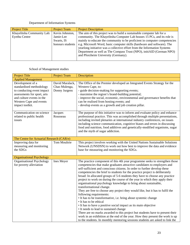# Department of Information Systems

| <b>Project Title</b>       | <b>Project Team</b> | <b>Project Description</b>                                                |
|----------------------------|---------------------|---------------------------------------------------------------------------|
| Khayelitsha Community Lab: | Kevin Johnston,     | The aim of this project was to build a sustainable computer lab for a     |
| <b>Eyethu Centre</b>       | Jamie-Lee           | community. The Khayelitsha Computer Lab houses 15 PCs, and its role is    |
|                            | Swarts, IS          | mainly to educate the community to be proficient in computer competencies |
|                            | honours students    | e.g. Microsoft Word, basic computer skills (hardware and software). The   |
|                            |                     | yearlong initiative was a collective effort from the Information Systems  |
|                            |                     | Department as well as The Compass Trust (NPO), initiAID (German NPO)      |
|                            |                     | and Pforzheim University (Germany).                                       |
|                            |                     |                                                                           |

## School of Management studies

| <b>Project Title</b>                                                                                                                                                                 | <b>Project Team</b>                               | Description                                                                                                                                                                                                                                                                                                                                                                                                                                                                                                                                                                                                                                                                                                                                                                                                                                                                                                                                                                                                                                                                                                                                             |
|--------------------------------------------------------------------------------------------------------------------------------------------------------------------------------------|---------------------------------------------------|---------------------------------------------------------------------------------------------------------------------------------------------------------------------------------------------------------------------------------------------------------------------------------------------------------------------------------------------------------------------------------------------------------------------------------------------------------------------------------------------------------------------------------------------------------------------------------------------------------------------------------------------------------------------------------------------------------------------------------------------------------------------------------------------------------------------------------------------------------------------------------------------------------------------------------------------------------------------------------------------------------------------------------------------------------------------------------------------------------------------------------------------------------|
| <b>Applied Management</b>                                                                                                                                                            |                                                   |                                                                                                                                                                                                                                                                                                                                                                                                                                                                                                                                                                                                                                                                                                                                                                                                                                                                                                                                                                                                                                                                                                                                                         |
| Development of a<br>standardised methodology<br>to conducting event impact<br>assessments for sport, arts<br>and culture events in the<br>Western Cape and events<br>impact toolkit. | David Maralack,<br>Chao Mulenga,<br>Donny Jurgens | The Office of the Premier developed an Integrated Events Strategy for the<br>Western Cape, to:<br>- guide decision-making for supporting events;<br>- maximise the region's brand-building potential;<br>- improve the social, economic, environmental and governance benefits that<br>can be realised from hosting events; and<br>- develop events as a growth and job creation pillar.                                                                                                                                                                                                                                                                                                                                                                                                                                                                                                                                                                                                                                                                                                                                                                |
| Communication on science<br>related to public health<br>issues                                                                                                                       | Jacques<br>Rousseau                               | The purpose of this initiative was to inform and evaluate policy and enhance<br>professional practice. This was accomplished through multiple presentations,<br>including invited plenaries at international industry conferences, on issues<br>including science communication, cognitive biases and errors in discussing<br>food and nutrition, food additives and genetically-modified organisms, sugar<br>and the myth of sugar addiction.                                                                                                                                                                                                                                                                                                                                                                                                                                                                                                                                                                                                                                                                                                          |
| The Centre for Actuarial Research (CAR/e)                                                                                                                                            |                                                   |                                                                                                                                                                                                                                                                                                                                                                                                                                                                                                                                                                                                                                                                                                                                                                                                                                                                                                                                                                                                                                                                                                                                                         |
| Improving data for<br>measuring and monitoring<br>the SDGs                                                                                                                           | Tom Moultrie                                      | This project involves working with the United Nations Sustainable Solutions<br>Network (UNSDSN) to work out how best to improve the data and evidence<br>base for measuring and monitoring the SDGs.                                                                                                                                                                                                                                                                                                                                                                                                                                                                                                                                                                                                                                                                                                                                                                                                                                                                                                                                                    |
| <b>Organisational Psychology</b>                                                                                                                                                     |                                                   |                                                                                                                                                                                                                                                                                                                                                                                                                                                                                                                                                                                                                                                                                                                                                                                                                                                                                                                                                                                                                                                                                                                                                         |
| <b>Organisational Psychology</b><br>for poverty alleviation                                                                                                                          | Ines Meyer                                        | The practice component of this 4th year programme seeks to strengthen those<br>competencies that make graduates attractive candidates to employers and<br>self-sufficient and conscious citizens. In order to further develop these<br>competencies the brief to students for the practice project is deliberately<br>broad: In allocated groups of 5-6 students they have to choose any practice<br>project to work on during the course of the year in which they apply their<br>organisational psychology knowledge to bring about sustainable,<br>transformational change.<br>They are free to choose any project they would like, but it has to fulfil the<br>following requirements:<br>• It has to be transformative, i.e. bring about systemic change<br>• It has to be ethical<br>• It has to have a positive social impact as its main objective<br>• It needs to lead to sustained change<br>There are no marks awarded to this project but students have to present their<br>work in an exhibition at the end of the year. How they present the work is up<br>to the students. In monthly mentoring sessions students are asked to link the |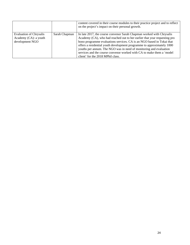|                                                                            |               | content covered in their course modules to their practice project and to reflect<br>on the project's impact on their personal growth.                                                                                                                                                                                                                                                                                                                                                     |
|----------------------------------------------------------------------------|---------------|-------------------------------------------------------------------------------------------------------------------------------------------------------------------------------------------------------------------------------------------------------------------------------------------------------------------------------------------------------------------------------------------------------------------------------------------------------------------------------------------|
| <b>Evaluation of Chrysalis</b><br>Academy (CA): a youth<br>development NGO | Sarah Chapman | In late 2017, the course convenor Sarah Chapman worked with Chrysalis<br>Academy (CA), who had reached out to her earlier that year requesting pro<br>bono programme evaluations services. CA is an NGO based in Tokai that<br>offers a residential youth development programme to approximately 1000<br>youths per annum. The NGO was in need of monitoring and evaluation<br>services and the course convenor worked with CA to make them a 'model<br>client' for the 2018 MPhil class. |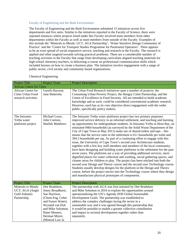#### Faculty of Engineering and the Built Environment

The Faculty of Engineering and the Built Environment submitted 15 initiatives across five departments and five units. Similar to the initiatives reported in the Faculty of Science, there were repeated instances where projects listed under this Faculty involved team members from other departments within the Faculty as well as team members from outside of the Faculty. Examples of this include the 'Minerals to Metals: UCT, AGA Partnership', 'Water Sensitive Design Community of Practice' and the 'Centre for Transport Studies Programme for Paratransit Operators'. There appears to be an even spread of social responsive service, teaching and research in the Faculty. The research is applied and often targeted towards solving practical problems. There are a considerable number of teaching activities in the Faculty that range from developing curriculum aligned teaching materials for high school chemistry teachers, to delivering a course on professional communication skills which included lessons on how to create a business plan. The initiatives involve engagement with a range of public sector, civil society and community-based organisations.

| <b>Project Title</b>                                                  | <b>Project Team</b>                                                                                                                                                                        | <b>Project Description</b>                                                                                                                                                                                                                                                                                                                                                                                                                                                                                                                                                                                                                                                                                                                                                                                                                                                                                                                                                                                                                                                                                                                                                                                                                                                                                                                                                |  |
|-----------------------------------------------------------------------|--------------------------------------------------------------------------------------------------------------------------------------------------------------------------------------------|---------------------------------------------------------------------------------------------------------------------------------------------------------------------------------------------------------------------------------------------------------------------------------------------------------------------------------------------------------------------------------------------------------------------------------------------------------------------------------------------------------------------------------------------------------------------------------------------------------------------------------------------------------------------------------------------------------------------------------------------------------------------------------------------------------------------------------------------------------------------------------------------------------------------------------------------------------------------------------------------------------------------------------------------------------------------------------------------------------------------------------------------------------------------------------------------------------------------------------------------------------------------------------------------------------------------------------------------------------------------------|--|
| <b>African Centre for Cities</b>                                      |                                                                                                                                                                                            |                                                                                                                                                                                                                                                                                                                                                                                                                                                                                                                                                                                                                                                                                                                                                                                                                                                                                                                                                                                                                                                                                                                                                                                                                                                                                                                                                                           |  |
| African Centre for<br>Cities Urban Food<br>research activities        | Gareth Haysom,<br>Jane Battersby                                                                                                                                                           | The Urban Food Research Initiatives span a number of projects: the<br>Consuming Urban Poverty Project, the Hungry Cities Partnership, and the<br>Centre of Excellence in Food Security. All are intended to build academic<br>knowledge and as such, could be considered conventional academic research.<br>However, each has as its core objective direct engagement with the wider<br>public, specifically policy makers.                                                                                                                                                                                                                                                                                                                                                                                                                                                                                                                                                                                                                                                                                                                                                                                                                                                                                                                                               |  |
| The Imizamo<br>Yethu water<br>platforms project                       | Michael Louw,<br>John Coetzee,<br><b>Shafiek Matthews</b>                                                                                                                                  | The Imizamo Yethu water platforms project has two primary purposes:<br>improved service delivery in an informal settlement, and teaching and learning<br>op opportunities for undergraduate students. In Imizamo Yethu in Hout Bay, an<br>estimated 9464 households (as surveyed by the Solid Waste Department of the<br>City of Cape Town in May 2011) make use of shared toilets and taps – this<br>means that the service ratio in the settlement is 611 households per toilet and<br>394.3 households per tap. As part of a continuing effort to engage with this<br>issue, the University of Cape Town's second year Architecture students,<br>together with a few key staff members and members of the local community,<br>have been designing and building water platforms in the settlement for the past<br>seven years. The platforms are a way of providing additional services, more<br>dignified places for water collection and washing, social gathering spaces, and<br>cleaner areas for children to play. The project has been stitched into both the<br>second year Design and Theory course and the second year Technology course.<br>Students usually develop designs for the platform in the Design and Theory<br>course, before the project moves into the Technology course where they design<br>and manufacture physical prototypes of components. |  |
| <b>Project Title</b>                                                  | Project Team                                                                                                                                                                               | <b>Project Description</b>                                                                                                                                                                                                                                                                                                                                                                                                                                                                                                                                                                                                                                                                                                                                                                                                                                                                                                                                                                                                                                                                                                                                                                                                                                                                                                                                                |  |
| Minerals to Metals<br>UCT, AGA (Anglo<br>Gold Ashanti)<br>Partnership | Dee Bradshaw,<br>Jenny Broadhurst,<br>Sue Harrison,<br>(Chem Eng, Ceber<br>and Future Water),<br>Wynand van Dyk<br>and Mike Solomon,<br>Hanri Mostert,<br>Herman Meyer,<br>(Mineral Law in | The partnership with AGA was first initiated by Dee Bradshaw<br>and Mike Solomon in 2016 to explore the opportunities around<br>operationalising the UN's Agenda 2030 Global Sustainable<br>Development Goals. The partnership was established to<br>address the complex challenges facing the sector in a<br>sustainable way and it was agreed through this partnership that<br>it would be possible to enable a greater collective contribution<br>and impact to societal development together rather than<br>separately.                                                                                                                                                                                                                                                                                                                                                                                                                                                                                                                                                                                                                                                                                                                                                                                                                                               |  |

#### Chemical Engineering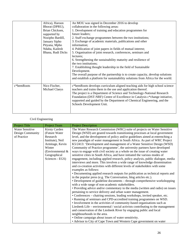|            | Africa), Haroon   | An MOU was signed in December 2016 to develop                                    |
|------------|-------------------|----------------------------------------------------------------------------------|
|            | Bhorat (DPRU),    | collaboration in the following areas:                                            |
|            | Brian Chicksen,   | 1. Development of training and education programmes for                          |
|            | supported by      | future leaders;                                                                  |
|            | Nozipho Bardill,  | 2. Staff exchange programmes between the two institutions;                       |
|            | January Sipho     | 3. Exchange of academic materials, publications and other                        |
|            | Pityana, Mpho     | information;                                                                     |
|            | Ndaba, Kailesh    | 4. Publication of joint papers in fields of mutual interest;                     |
|            | Bhana, Rudi Dicks | 5. Organisation of joint research, conferences, seminars and                     |
|            |                   | lectures;                                                                        |
|            |                   | 6. Strengthening the sustainability maturity and resilience of                   |
|            |                   | the two institutions;                                                            |
|            |                   | 7. Establishing thought leadership in the field of Sustainable                   |
|            |                   | Development.                                                                     |
|            |                   | The overall purpose of the partnership is to create capacity, develop solutions  |
|            |                   | and establish a platform for sustainability solutions from Africa for the world. |
|            |                   |                                                                                  |
| c*hemRoots | Nico Fischer,     | c*hemRoots develops curriculum aligned teaching aids for high school science     |
|            | Michael Claeys    | teachers and trains them in the use and application thereof.                     |
|            |                   | The project is a Department of Science and Technology-National Research          |
|            |                   | Foundation (DST-NRF) Centre of Excellence in Catalysis c*change initiative,      |
|            |                   | supported and guided by the Department of Chemical Engineering, and the          |
|            |                   | Schools Development Unit.                                                        |
|            |                   |                                                                                  |
|            |                   |                                                                                  |

# Civil Engineering

| <b>Project Title</b>   | <b>Project Team</b>  | <b>Project Description</b>                                                      |
|------------------------|----------------------|---------------------------------------------------------------------------------|
| <b>Water Sensitive</b> | <b>Kirsty Carden</b> | The Water Research Commission (WRC) suite of projects on Water Sensitive        |
| Design Community       | (Future Water)       | Design (WSD) are geared towards transitioning processes at local government     |
| of Practice            | Research             | level, and the development of policy and/or guidelines aimed at entrenching a   |
|                        | Institute), Neil     | new paradigm of water management in South Africa. As part of WRC Project        |
|                        | Armitage, Kevin      | K5/2413: 'Development and management of a Water Sensitive Design (WSD)          |
|                        | Winter               | Community of Practice programme', the university partners have developed        |
|                        | (Environmental &     | ways to engage with civil society as a whole on the issue of creating water     |
|                        | Geographical         | sensitive cities in South Africa, and have initiated the various modes of       |
|                        | Sciences - EGS)      | engagement, including applied research, policy analysis, public dialogue, media |
|                        |                      | interviews and more. This involves a wide range of knowledge dissemination      |
|                        |                      | and co-creation activities with different levels of stakeholders with some      |
|                        |                      | examples as follows:                                                            |
|                        |                      | • Documenting applied research outputs for publication as technical reports and |
|                        |                      | in the popular press (e.g. The Conversation, blog articles etc.).               |
|                        |                      | • Development of guideline documents – through comprehensive workshopping       |
|                        |                      | with a wide range of non-academic stakeholders.                                 |
|                        |                      | • Providing advice and/or commentary to the media (written and radio) on issues |
|                        |                      | pertaining to service delivery and urban water management.                      |
|                        |                      | • Conferences – chairing sessions, leading workshops, invited speaker, etc.     |
|                        |                      | • Running of seminars and CPD-accredited training programmes on WSD.            |
|                        |                      | • Involvement in the activities of community-based organisations such as        |
|                        |                      | Liesbeek Life – environmental / social activists contributing to the management |
|                        |                      | and conservation of the Liesbeek River by engaging public and local             |
|                        |                      | neighbourhoods in the area.                                                     |
|                        |                      | • Online campaign about issues of water sensitivity.                            |
|                        |                      | • Advisor to City of Cape Town and Western Cape government on water             |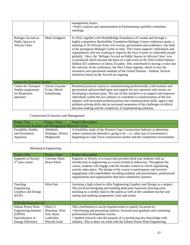|                                                                           |                                               | management issues.<br>• Policy analysis and representation at Parliamentary portfolio committee<br>meetings.                                                                                                                                                                                                                                                                                                                                                                                                                                                                                                                                                                                                                                                                                                                                                                   |  |
|---------------------------------------------------------------------------|-----------------------------------------------|--------------------------------------------------------------------------------------------------------------------------------------------------------------------------------------------------------------------------------------------------------------------------------------------------------------------------------------------------------------------------------------------------------------------------------------------------------------------------------------------------------------------------------------------------------------------------------------------------------------------------------------------------------------------------------------------------------------------------------------------------------------------------------------------------------------------------------------------------------------------------------|--|
| Bellagio Accord on<br>Public Spaces in<br><b>African Cities</b>           | Mark Zuidgeest                                | In 2016, together with HealthBridge Foundation of Canada and through a<br>highly-competitive Rockefeller Foundation Bellagio Centre conference grant, a<br>meeting of 18 Africans from civil society, government and academics, was held<br>at the prestigious Bellagio Centre in Italy. The Centre supports 'individuals and<br>organisations who are working to improve the lives of poor or vulnerable people<br>globally'. Here, the 'Bellagio Accord on Public Spaces in African Cities' was<br>co-produced which became the basis of a side-event at the 2016 United Nations<br>Habitat III Conference in Quito, Ecuador. This contributed to having a voice into<br>the outcome of the conference, the New Urban Agenda, which is now the<br>normative and operational mandate of the United Nations - Habitat. Several<br>initiatives based on the Accord are ongoing. |  |
| <b>Centre for Transport Studies</b>                                       |                                               |                                                                                                                                                                                                                                                                                                                                                                                                                                                                                                                                                                                                                                                                                                                                                                                                                                                                                |  |
| Centre for Transport<br>Studies programme<br>for Paratransit<br>operators | Alison Gwynne-<br>Evans, Herrie<br>Schalekamp | Presented practical course in communicating professionally with business and<br>government and provided input and support for taxi operators and owners on<br>developing a business plan. The aim of this initiative is to support and empower<br>individuals within the taxi industry to contribute to transformation of the taxi<br>industry with increased professionalism and communication skills, agency and<br>problem-solving skills and an increased awareness of the challenges of ethical<br>decision-making and the complexity of implementing solutions.                                                                                                                                                                                                                                                                                                          |  |

Construction Economics and Management

| <b>Project Title</b>                                       | <b>Project Team</b> | <b>Project Description</b>                                                   |
|------------------------------------------------------------|---------------------|------------------------------------------------------------------------------|
| <b>Construction Business and Management Research Group</b> |                     |                                                                              |
| <b>Feasibility Studies</b>                                 | Abimbola            | A feasibility study of the Western Cape Construction Industry to determine   |
| and Investment                                             | Windapo, Alireza    | where construction demand is going to be $-$ i.e. what type of investment is |
| Appraisal                                                  | Moghayedi           | happening in Cape Town construction market and the competitive environment.  |
|                                                            |                     |                                                                              |

# Mechanical Engineering

| <b>Project Title</b>         | Project Team       | <b>Project Description</b>                                                                                                                                                                                                                                                                                                                                                                   |
|------------------------------|--------------------|----------------------------------------------------------------------------------------------------------------------------------------------------------------------------------------------------------------------------------------------------------------------------------------------------------------------------------------------------------------------------------------------|
| <b>Engineer</b> in Society   | Corrinne Shaw,     | Engineer in Society is a course that provides third year students with an                                                                                                                                                                                                                                                                                                                    |
| $3rd$ year course            | <b>Bruce Kloot</b> | introduction to engineering as a socio-technical endeavour. Throughout the<br>course, students will engage with the broader context in which engineering<br>activity takes place. The design of the course is participatory and involves<br>engagement with stakeholders including students and practitioners, professional<br>organisations and organisations that have community partners. |
| Teaching                     | Wim Fuls           | Assisting a high school to offer Engineering Graphics and Design as a subject.                                                                                                                                                                                                                                                                                                               |
| Engineering                  |                    | This involved designing and building dedicated classroom drawing tools,                                                                                                                                                                                                                                                                                                                      |
| Graphics and Design          |                    | teaching on a weekly basis to the pupils as well as the candidate teacher and                                                                                                                                                                                                                                                                                                                |
| (EGD)                        |                    | setting and marking assignments, tests and exams.                                                                                                                                                                                                                                                                                                                                            |
| <b>ATProM Research Unit</b>  |                    |                                                                                                                                                                                                                                                                                                                                                                                              |
| <b>Eskom Power Plant</b>     | Pieter G           | This contribution to social responsiveness is mainly focussed on:                                                                                                                                                                                                                                                                                                                            |
| <b>Engineering Institute</b> | Rousseau, Wim      | • Developing and presenting industry focussed post-graduate and continuing                                                                                                                                                                                                                                                                                                                   |
| (EPPEI)                      | Fuls, Ryno         | professional development courses.                                                                                                                                                                                                                                                                                                                                                            |
| Specialisation in            | Laubscher,         | • Applied research with the purpose of co-producing new knowledge with                                                                                                                                                                                                                                                                                                                       |
|                              |                    |                                                                                                                                                                                                                                                                                                                                                                                              |
| <b>Energy Efficiency</b>     | Priyesh Gosai      | industry. This is done via work with the Eskom Power Plant Engineering                                                                                                                                                                                                                                                                                                                       |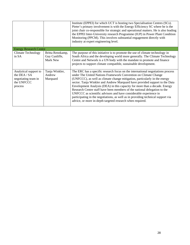|                                                                                         |                                               | Institute (EPPEI) for which UCT is hosting two Specialisation Centres (SCs).<br>Pieter's primary involvement is with the Energy Efficiency SC where he is the<br>joint chair co-responsible for strategic and operational matters. He is also leading<br>the EPPEI Inter-University research Programme (IUP) in Power Plant Condition<br>Monitoring (PPCM). This involves substantial engagement directly with<br>industry at expert engineering level.                                                                                                                                                                                                                                          |
|-----------------------------------------------------------------------------------------|-----------------------------------------------|--------------------------------------------------------------------------------------------------------------------------------------------------------------------------------------------------------------------------------------------------------------------------------------------------------------------------------------------------------------------------------------------------------------------------------------------------------------------------------------------------------------------------------------------------------------------------------------------------------------------------------------------------------------------------------------------------|
| <b>Energy Research Centre</b>                                                           |                                               |                                                                                                                                                                                                                                                                                                                                                                                                                                                                                                                                                                                                                                                                                                  |
| <b>Climate Technology</b><br>in SA                                                      | Britta Rennkamp,<br>Guy Cunliffe,<br>Mark New | The purpose of this initiative is to promote the use of climate technology in<br>South Africa and the developing world more generally. The Climate Technology<br>Centre and Network is a UN body with the mandate to promote and finance<br>projects to support climate compatible, sustainable development.                                                                                                                                                                                                                                                                                                                                                                                     |
| Analytical support to<br>the DEA $/$ SA<br>negotiating team in<br>the UNFCCC<br>process | Tanja Winkler,<br>Andrew<br>Marquard          | The ERC has a specific research focus on the international negotiations process<br>under The United Nations Framework Convention on Climate Change<br>(UNFCCC), as well as climate change mitigation, particularly in the energy<br>sector. Tanja Winkler and Andrew Marquard have provided support to the Data<br>Envelopment Analysis (DEA) in this capacity for more than a decade. Energy<br>Research Centre staff have been members of the national delegation to the<br>UNFCCC as scientific advisors and have considerable experience in<br>participating in the negotiations, as well as in providing technical support via<br>advice, or more in-depth targeted research when required. |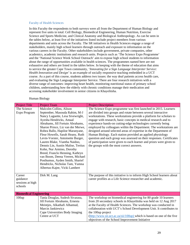#### Faculty of Health Sciences

In this Faculty the respondents to both surveys were all from the Department of Human Biology and represent five units in total: Cell Biology, Biomedical Engineering, Human Nutrition, Exercise Science and Sports Medicine, and Clinical Anatomy and Biological Anthropology. As can be seen in the tables below, at least five of the initiatives listed include project members from various departments and units across the Faculty. The SR initiatives in Health Sciences engage a range of stakeholders, mainly high school learners through outreach and exposure to information on the various careers in the Faculty. Other stakeholders include government, private companies, other academics, academic institutions and research units. Projects such as 'The Science Expo Programme' and the 'National Science Week School Outreach' aim to expose high school students to information about the range of opportunities available in health sciences. The programmes named here are not exhaustive and others are listed in the tables below. In keeping with the theme of education that aims to service the greater Cape Town community, '*Innovating for a Sign Language Interpreter Service: Health Innovation and Design'* is an example of socially responsive teaching embedded in a UCT course. As a part of this course, students address two issues: the way deaf patients access health care, and evaluating the Sign Language Interpreter Service. There are four research initiatives with a diverse range of outcomes: improving heart health, monitoring nutritional status of primary school children, understanding how the elderly with chronic conditions manage their medication and accessing stakeholder involvement in senior citizens in Khayelitsha.

#### Human Biology

| <b>Project Title</b>                              | <b>Project Team</b>                                                                                                                                                                                                                                                                                                                                                                                                                                                                                                                                                                          | <b>Project Description</b>                                                                                                                                                                                                                                                                                                                                                                                                                                                                                                                                                                                                                                                                                                                         |
|---------------------------------------------------|----------------------------------------------------------------------------------------------------------------------------------------------------------------------------------------------------------------------------------------------------------------------------------------------------------------------------------------------------------------------------------------------------------------------------------------------------------------------------------------------------------------------------------------------------------------------------------------------|----------------------------------------------------------------------------------------------------------------------------------------------------------------------------------------------------------------------------------------------------------------------------------------------------------------------------------------------------------------------------------------------------------------------------------------------------------------------------------------------------------------------------------------------------------------------------------------------------------------------------------------------------------------------------------------------------------------------------------------------------|
| The Science<br>Expo Program                       | Malcolm Collins, Alison<br>September, Masouda Rahim, M-J<br>Nancy Laguette, Lesa Sivewright,<br>Ayesha Hendricks, Amaal<br>Abrahams, Jill Fortuin Abrahams,<br>Sharon Prince, Liz van der Merwe,<br>Robea Ballo, Hapiloe Maranyane,<br>Fleur Howells, Sarah Heany, Ruth<br>Levin-Vorster, Antoinette Burger,<br>Lauren Blake, Viantha Naidoo,<br>Dennis Lin, Austin Malise, Tertius<br>Kohn, Nur Armino, Dorothy<br>Breed, Franclo Henning, Kathryn<br>van Boom, Deena Veeren, Michael<br>Posthumus, Ayden Smith, Sharief<br>Hendricks, Nicholas Tam, Yumna<br>Albertus-Kajee, Vicki Lambert | The Science Expo programme was first launched in 2015. Learners<br>are divided into groups and rotate between several interactive<br>workstations. These workstations provide a platform for scholars to<br>engage with research, basic concepts in medical research and to<br>experience hands-on cutting-edge technologies currently being<br>employed by colleagues within the Department. The workstations are<br>designed around selected areas of expertise in the Department of<br>Human Biology. Each station provided an applied physiology<br>question and each group was assessed on their responses. Certificates<br>of participation were given to each learner and prizes were given to<br>the groups with the most correct answers. |
| Career<br>guidance<br>sessions at high<br>schools | Dirk M. Lang                                                                                                                                                                                                                                                                                                                                                                                                                                                                                                                                                                                 | The purpose of this initiative is to inform High School learners about<br>career profiles as a Life Science researcher and academic.                                                                                                                                                                                                                                                                                                                                                                                                                                                                                                                                                                                                               |
| <b>Biomedical Engineering</b>                     |                                                                                                                                                                                                                                                                                                                                                                                                                                                                                                                                                                                              |                                                                                                                                                                                                                                                                                                                                                                                                                                                                                                                                                                                                                                                                                                                                                    |
| 100up                                             | Tania Douglas, Sudesh Sivarasu,<br>Jill Fortuin Abrahams, Ernesta<br>Meintjes, Alkathafi Alhamud,<br>Marcin Jankiewicz<br>Cape Universities Body Imaging<br>Centre at UCT                                                                                                                                                                                                                                                                                                                                                                                                                    | The workshop on biomedical engineering for 80 grade 10 learners<br>from 20 secondary schools in Khayelitsha was held on 12 Aug 2017<br>at the Faculty of Health Sciences. The workshop was conducted in<br>collaboration with UCT's School Development Unit. It contributes to<br>the 100up project<br>(http://www.sii.uct.ac.za/sii/100up) which is based on one of the five<br>objectives of the School Improvement Initiative                                                                                                                                                                                                                                                                                                                   |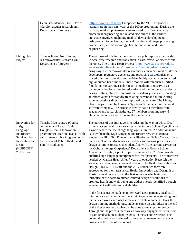|                                                                                                                                  | Deon Bezuidenhout, Neil Davies<br>(Cardio vascular research unit,<br>Department of Surgery)                                                                                                                      | (http://www.sii.uct.ac.za/) supported by the VC. The grade10<br>learners are in their first year of the 100up programme. During the<br>half-day workshop, learners were exposed to different aspects of<br>biomedical engineering and related disciplines at the various<br>units/sites involved including medical device development,<br>orthopaedic biomechanics, medical imaging and image processing,<br>biomaterials, mechanobiology, health innovation and tissue<br>engineering.                                                                                                                                                                                                                                                                                                                                                                                                                                                                                                                                                                                                                                                                                                                                                                                                                                                                                                                                                                                                                                                                                                                                                                                                                                                                                                                                                                                              |
|----------------------------------------------------------------------------------------------------------------------------------|------------------------------------------------------------------------------------------------------------------------------------------------------------------------------------------------------------------|--------------------------------------------------------------------------------------------------------------------------------------------------------------------------------------------------------------------------------------------------------------------------------------------------------------------------------------------------------------------------------------------------------------------------------------------------------------------------------------------------------------------------------------------------------------------------------------------------------------------------------------------------------------------------------------------------------------------------------------------------------------------------------------------------------------------------------------------------------------------------------------------------------------------------------------------------------------------------------------------------------------------------------------------------------------------------------------------------------------------------------------------------------------------------------------------------------------------------------------------------------------------------------------------------------------------------------------------------------------------------------------------------------------------------------------------------------------------------------------------------------------------------------------------------------------------------------------------------------------------------------------------------------------------------------------------------------------------------------------------------------------------------------------------------------------------------------------------------------------------------------------|
| Living Heart<br>Project                                                                                                          | Thomas Franz, Neil Davies,<br>(Cardiovascular Research Unit,<br>Department of Surgery)                                                                                                                           | The purpose of this initiative is to form a public-private partnership<br>to accelerate research and translation in cardiovascular diseases and<br>therapies. The Living Heart Project (http://www.3ds.com/products-<br>services/simulia/solutions/life-sciences/the-living-heart-project)<br>brings together cardiovascular researchers, educators, medical device<br>developers, regulatory agencies, and practicing cardiologists on a<br>shared mission to develop and validate highly accurate personalised<br>digital human heart models. These models will establish a unified<br>foundation for cardiovascular in silico medicine and serve as a<br>common technology base for education and training, medical device<br>design, testing, clinical diagnosis and regulatory science — creating<br>an effective path for rapidly translating current and future cutting-<br>edge innovations directly into improved patient care. The Living<br>Heart Project is led by Dassault Systèmes Simulia, a multinational<br>software company. The project currently has 44 members from<br>academic and research institutes, 27 members from industry, 6<br>clinician members and two regulatory members.                                                                                                                                                                                                                                                                                                                                                                                                                                                                                                                                                                                                                                                                           |
| Innovating for<br>a Sign<br>Language<br>Interpreter<br>Service: Health<br>Innovation and<br>Design<br>(HUB5031F),<br>2017 cohort | Tinashe Mutsvangwa (Course<br>convener and Lead), Tania<br>Douglas (Health Innovation<br>programme), Marion Heap (Health<br>and Human Rights Programme in<br>the School of Public Health and<br>Family Medicine) | The purpose of this initiative is to redesign the way in which Deaf<br>patients access health care services at the Groote Schuur Eye clinic in<br>a world where the use of sign language is limited. An additional aim<br>is to evaluate the Sign Language Interpreter Service in general.<br>Students in HUB5031F under the facilitation of Nailah Conrad, Trust<br>Saidi and Tinashe Mutsvangwa used design thinking principles to<br>design solutions to issues they identified with the current service. In<br>the Ophthalmology Outpatients' Department at Groote Schuur<br>Academic Hospital, a pilot project commenced in 2010 to provide<br>qualified sign language interpreters for Deaf patients. The project was<br>headed by Marion Heap. After 7 years of operation Heap felt the<br>service needed an evaluation and revamp. The Health Innovation and<br>Design (HUB5031F) staff and the 2017 student cohort were<br>approached for their assistance. Health Innovation and Design is a<br>Master's level course run in the first semester which aims to<br>introduce participants to human-centred design of solutions to<br>promote health and well-being and address needs identified through<br>engagement with relevant stakeholders.<br>In the first semester students interviewed Deaf patients, Deaf staff,<br>interpreters and nurses at an Eye clinic to gain an understanding how<br>this service works and what it means to all stakeholders. Using the<br>design thinking methodology, students came up with ideas at the end<br>of the first semester on what can be done to revamp the service.<br>Throughout the process there was a two-way engagement with users<br>to gain feedback on student insights. In the second semester, one<br>potential solution was selected for further refinement and this was<br>ongoing at the time of this report. |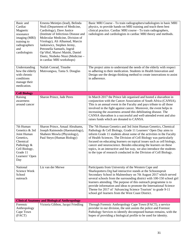| Basic and<br>Cardiac<br>Magnetic<br>resonance<br>imaging (MRI)<br>training to<br>radiographers<br>and<br>cardiologists                   | Ernesta Meintjes (lead), Belinda<br>Ntuli (Department of Medicine,<br>Cardiology), Dave Justice<br>(Institute of Infectious Disease and<br>Molecular Medicine, Division of<br>Virology), Ali Alhamud, Marcin<br>Jankiewicz, Stephen Jermy,<br>Petronella Samuels, Ingrid<br>Op'tHof, Mazwi Maishi, Daniel<br>Doetz, Ntobeko Ntusi (Medicine -<br>in cardiac MRI workshops) | Basic MRI Course - To train radiographers/radiologists in basic MRI<br>physics, to provide hands-on MRI training and teach them best<br>clinical practice. Cardiac MRI course - To train radiographers,<br>radiologists and cardiologists in cardiac MRI theory and methods.                                                                                                                                                                                                                                                                                            |
|------------------------------------------------------------------------------------------------------------------------------------------|----------------------------------------------------------------------------------------------------------------------------------------------------------------------------------------------------------------------------------------------------------------------------------------------------------------------------------------------------------------------------|-------------------------------------------------------------------------------------------------------------------------------------------------------------------------------------------------------------------------------------------------------------------------------------------------------------------------------------------------------------------------------------------------------------------------------------------------------------------------------------------------------------------------------------------------------------------------|
| Understanding<br>how the elderly<br>with chronic<br>conditions<br>manage their<br>medication.                                            | Nailah Conrad, Tinashe<br>Mutsvangwa, Tania S. Douglas                                                                                                                                                                                                                                                                                                                     | The project aims to understand the needs of the elderly with respect<br>to adhering to their medication. Students in Health Innovation and<br>Design use the design thinking method to create innovations to assist<br>in adherence.                                                                                                                                                                                                                                                                                                                                    |
| <b>Cell Biology</b>                                                                                                                      |                                                                                                                                                                                                                                                                                                                                                                            |                                                                                                                                                                                                                                                                                                                                                                                                                                                                                                                                                                         |
| Raising<br>awareness<br>around cancer                                                                                                    | Sharon Prince, Jade Peres                                                                                                                                                                                                                                                                                                                                                  | In March 2017 the Prince lab organised and hosted a shavathon in<br>conjunction with the Cancer Association of South Africa (CANSA).<br>This is an annual event in the Faculty and pays tribute to all those<br>involved in the fight against cancer. Moreover, the event helps in<br>increasing the awareness around this debilitating disease. The<br>CANSA shavathon is a successful and well-attended event and also<br>raises funds which are donated to CANSA.                                                                                                    |
| 7th Human<br>Genetics & 3rd<br>Joint Human<br>Genetics,<br>Chemical<br>Pathology &<br>Cell Biology,<br>Grade 11<br>Learners' Open<br>Day | Sharon Prince, Amaal Abrahams,<br>Joseph Raimondo (Haematology),<br>Shaheen Mowla (Physiology),<br>Paul Steyn (Human Biology)                                                                                                                                                                                                                                              | The 7th Human Genetics and 3rd Joint Human Genetics, Chemical<br>Pathology & Cell Biology, Grade 11 Learners' Open Day aims to<br>inform Grade 11 students about some of the activities in the Faculty<br>of Health Sciences. The Division of Cell Biology was particularly<br>focused on educating learners on topical issues such as cell biology,<br>cancer and neuroscience. Besides educating the learners on these<br>topics, in an interactive and fun way, we also introduce the students<br>to the type of research conducted in the Division of Cell Biology. |
| National<br>Science Week<br>School<br>outreach                                                                                           | Liz van der Merwe                                                                                                                                                                                                                                                                                                                                                          | Participants from University of the Western Cape and<br>Sharkspotters. Org had interactive stands at the Schoonspruit<br>Secondary School in Malmesbury on 7th August 2017 which served<br>several schools from the surrounding district with 100-150 school girl<br>learners attending. The purpose of this outreach programme is to<br>provide information and ideas to promote the International Science<br>Theme for 2017 of 'Advancing Science Tourism' to grade 9-11<br>school girl learners from the West Coast District.                                        |
|                                                                                                                                          | <b>Clinical Anatomy and Biological Anthropology</b>                                                                                                                                                                                                                                                                                                                        |                                                                                                                                                                                                                                                                                                                                                                                                                                                                                                                                                                         |
| Forensic<br>Anthropology<br>Cape Town<br>(FACT)                                                                                          | Victoria Gibbon, Jacqui Friedling                                                                                                                                                                                                                                                                                                                                          | Through Forensic Anthropology Cape Town (FACT), a service<br>provider in our division, the unit assists the police and Forensic<br>Pathology Services to identify decomposed human remains, with the<br>hopes of providing a biological profile to be used for identity.                                                                                                                                                                                                                                                                                                |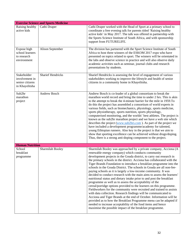|                                                                    | <b>Exercise Science and Sports Medicine</b> |                                                                                                                                                                                                                                                                                                                                                                                                                                                                                                                                                                                                                                                                                                                                                                                                                                                                                                                                                                                                                                                                                                                                                                                                   |
|--------------------------------------------------------------------|---------------------------------------------|---------------------------------------------------------------------------------------------------------------------------------------------------------------------------------------------------------------------------------------------------------------------------------------------------------------------------------------------------------------------------------------------------------------------------------------------------------------------------------------------------------------------------------------------------------------------------------------------------------------------------------------------------------------------------------------------------------------------------------------------------------------------------------------------------------------------------------------------------------------------------------------------------------------------------------------------------------------------------------------------------------------------------------------------------------------------------------------------------------------------------------------------------------------------------------------------------|
| Raising healthy<br>active kids                                     | Cathi Draper                                | Cathi Draper worked with the Head of Sport at a primary school to<br>coordinate a free evening talk for parents titled 'Raising healthy<br>active kids' in May 2017. The talk was offered in partnership with<br>the Sports Science Institute of South Africa, and with sponsorship<br>support from FUTURELIFE.                                                                                                                                                                                                                                                                                                                                                                                                                                                                                                                                                                                                                                                                                                                                                                                                                                                                                   |
| Expose high<br>school learners<br>to research<br>environment       | Alison September                            | The division has partnered with the Sport Science Institute of South<br>Africa to host three winners of the ESKOM 2017 expo who have<br>presented on topics related to sport. The winners will be orientated in<br>the labs and observe science in practice and will also observe daily<br>academic activities such as seminar, journal clubs and research<br>presentations by students.                                                                                                                                                                                                                                                                                                                                                                                                                                                                                                                                                                                                                                                                                                                                                                                                          |
| Stakeholder<br>involvement in<br>senior citizens<br>in Khayelitsha | <b>Sharief Hendricks</b>                    | Sharief Hendricks is assessing the level of engagement of various<br>stakeholders working to improve the lifestyle and health of senior<br>citizens in a community home in Khayelitsha.                                                                                                                                                                                                                                                                                                                                                                                                                                                                                                                                                                                                                                                                                                                                                                                                                                                                                                                                                                                                           |
| Sub2hr<br>marathon<br>project                                      | Andrew Bosch                                | Andrew Bosch is co-leader of a global consortium to break the<br>marathon world record and bring the time to under 2 hrs. This is akin<br>to the attempt to break the 4-minute barrier for the mile in 1959.To<br>do this the project has assembled a consortium of world experts in<br>various fields, such as biomechanics, physiology, sports medicine,<br>sports physiotherapy, sports nutrition, sports physiology,<br>computerised monitoring, and the worlds' best athletes. The project is<br>known as the sub2hr marathon project and we have a web site which<br>describes the project (www.sub2hrs.com). As part of the project we<br>have included a development programme/academy for talented,<br>young Ethiopian runners. Also key in the project is that we aim to<br>show that sporting excellence can be achieved without drugs/doping.<br>Thus, there is a strong anti-doping component to the project.                                                                                                                                                                                                                                                                        |
| <b>Human Nutrition</b>                                             |                                             |                                                                                                                                                                                                                                                                                                                                                                                                                                                                                                                                                                                                                                                                                                                                                                                                                                                                                                                                                                                                                                                                                                                                                                                                   |
| School<br>breakfast<br>programme                                   | Sharmilah Booley                            | Sharmilah Booley was approached by a private company, Acciona (A<br>renewable energy company) which conducts community<br>development projects in the Gouda district, to carry out research in<br>the primary schools in the district. Acciona has collaborated with the<br>Tiger Brands Foundation to introduce a breakfast programme into the<br>schools in the Gouda District. The schools in Gouda are all non-fee-<br>paying schools as it is largely a low-income community. It was<br>decided to conduct research with the main aims to assess the learners'<br>nutritional status and dietary intake prior to and post the breakfast<br>programme as well as to assess the acceptability of the<br>cereal/porridge options provided to the learners on this programme.<br>Fieldworkers for the community were recruited and trained to assists<br>with data collection. Research findings will be communicated to<br>Acciona and Tiger Brands at the end of October. Information will be<br>provided as to how the Breakfast Programme menu can be adapted if<br>needed to increase acceptability of the food items and hence<br>maximise the possible impact of the breakfast programme. |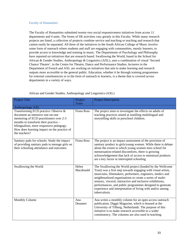#### Faculty of Humanities

The Faculty of Humanities submitted twenty-two social responsiveness initiatives from across 11 departments and 4 units. The forms of SR activities vary greatly in this Faculty. While many research projects are listed, a collection of projects combine service and teaching or teaching and research that cannot easily be separated. All three of the initiatives in the South African College of Music involve some form of outreach where students and staff are engaging with communities, mostly learners, to provide access to knowledge and training in music. The Departments of Psychology and Philosophy have reported on initiatives that are research based. Swallowing the World, based in the School for African & Gender Studies, Anthropology & Linguistics (AXL), uses a combination of visual 'Second Chance Theatre', in the Centre for Theatre, Dance and Performance Studies; lecturers in the Department of French and AXL are working on initiatives that aim to make learning and research outputs more accessible to the general public. Education, whether it be through training programmes for external constituencies or in the form of outreach to learners, is a theme that is covered across departments in a variety of ways.

| <b>Project Title</b>                                                                                                                                                                                                                                                   | Project<br>Team    | <b>Project Description</b>                                                                                                                                                                                                                                                                                                                                                                                                                               |
|------------------------------------------------------------------------------------------------------------------------------------------------------------------------------------------------------------------------------------------------------------------------|--------------------|----------------------------------------------------------------------------------------------------------------------------------------------------------------------------------------------------------------------------------------------------------------------------------------------------------------------------------------------------------------------------------------------------------------------------------------------------------|
| Anthropology AXL                                                                                                                                                                                                                                                       |                    |                                                                                                                                                                                                                                                                                                                                                                                                                                                          |
| Transforming ECD practice: Observe &<br>document an intensive one-on-one<br>mentoring of ECD practitioners over 2-3<br>months to transform their practice -<br>bilingualism, more responsive pedagogy.<br>How does learning impact on the practice of<br>the teachers? | <b>Fiona Ross</b>  | The project aims to investigate the effects on adults of<br>teaching practices aimed at instilling multilingual and<br>storytelling skills in preschool children.                                                                                                                                                                                                                                                                                        |
| Sanitary pads for schools: Study the impact<br>of providing sanitary pads to teenage girls on<br>their schooling attendance and outcomes.                                                                                                                              | <b>Fiona Ross</b>  | The project is an impact assessment of the provision of<br>sanitary product to girls/young women. While there is debate<br>about the extent to which young women miss school for<br>menstruation-related discomforts, there is growing<br>acknowledgement that lack of access to menstrual products<br>are a key factor in interrupted schooling.                                                                                                        |
| Swallowing the World                                                                                                                                                                                                                                                   | Helen<br>Macdonald | The Swallowing the World project (funded by the Wellcome<br>Trust) was a first step towards engaging with visual artists,<br>musicians, filmmakers, performers, engineers, medics and<br>neighbourhood organisations to create a series of multi-<br>sensory, visceral, interactive and inclusive exhibitions,<br>performances, and public programmes designed to generate<br>experience and interpretation of living with and/or among<br>tuberculosis. |
| Monthly Column                                                                                                                                                                                                                                                         | Ana<br>Deumert     | Ana writes a monthly column for an open access outreach<br>publication, Diggit Magazine, which is housed at the<br>University of Tilburg, Netherlands. The purpose of this<br>initiative is to make research accessible to a wider<br>constituency. The columns are also used in teaching.                                                                                                                                                               |

#### African and Gender Studies, Anthropology and Linguistics (AXL)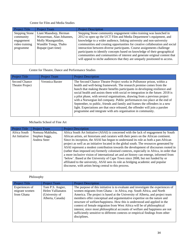## Centre for Film and Media Studies

| <b>Project Title</b>  | <b>Project Team</b>       | <b>Project Description</b>                                                   |
|-----------------------|---------------------------|------------------------------------------------------------------------------|
| <b>Stepping Stone</b> | Liani Maasdorp, Herman    | Stepping Stone community engagement video training was launched in           |
| community             | Wasserman, Alan Johannes, | 2012 to open up the UCT Film and Media Department's equipment, and           |
| engagement            | Molly Maunganidze,        | knowledge to a wider audience, linking university and non-university         |
| video training        | Wandile Tonqa, Thabo      | communities and creating opportunities for creative collaboration and social |
| programme             | Bopape (part time)        | interaction between diverse participants. Course assignments challenge       |
|                       |                           | participants to identify concepts based on knowledge of their geographical   |
|                       |                           | communities and communities of interest and generate original content that   |
|                       |                           | will appeal to niche audiences that they are uniquely positioned to access.  |
|                       |                           |                                                                              |

# Centre for Theatre, Dance and Performance Studies

| Project Title                    | Project Team    | <b>Project Description</b>                                                                                                                                                                                                                                                                                                                                                                                                                                                                                                                                                                                                                                                                                 |
|----------------------------------|-----------------|------------------------------------------------------------------------------------------------------------------------------------------------------------------------------------------------------------------------------------------------------------------------------------------------------------------------------------------------------------------------------------------------------------------------------------------------------------------------------------------------------------------------------------------------------------------------------------------------------------------------------------------------------------------------------------------------------------|
| Second Chance<br>Theatre Project | Veronica Baxter | The Second Chance Theatre Project works in Pollsmoor prison, within a<br>health and well-being framework. The research premise comes from the<br>hunch that making theatre benefits participants in developing resilience and<br>social health and assists them with social re-integration in the future. 2018 is<br>a pilot phase, with several organisations, drawing from a previous project<br>with a Norwegian led company. Public performances too place at the end of<br>September, to public, friends and family and frames the offenders in a new<br>light. Expectations are that once released, the offender will join a parolee<br>programme and integrate with arts organisation in community. |

## Michaelis School of Fine Art

| <b>Project Title</b>           | <b>Project Team</b>                               | <b>Project Description</b>                                                                                                                                                                                                                                                                                                                                                                                                                                                                                                                                                                                                                                                                                                                                                                                                                                                          |
|--------------------------------|---------------------------------------------------|-------------------------------------------------------------------------------------------------------------------------------------------------------------------------------------------------------------------------------------------------------------------------------------------------------------------------------------------------------------------------------------------------------------------------------------------------------------------------------------------------------------------------------------------------------------------------------------------------------------------------------------------------------------------------------------------------------------------------------------------------------------------------------------------------------------------------------------------------------------------------------------|
| Africa South<br>Art Initiative | Nomusa Makhubu,<br>Stephen Inggs,<br>Andrea Steer | Africa South Art Initiative (ASAI) is concerned with the lack of engagement by South<br>African artists, art historians and curators with their peers on the African continent.<br>Since its inception, the ASAI has begun to understand its role as both a pan-African<br>project as well as an initiative located in the global south. The resources generated by<br>ASAI represent a modest contribution towards the development of discourses rooted in<br>(rather than imposed on) formerly colonised contexts, especially in Africa, in order that<br>a more inclusive vision of international art and art history can emerge, informed from<br>'below'. Based at the University of Cape Town since 2008, but not funded by or<br>affiliated to the university, ASAI sees its role as bridging academic and popular<br>discourse, with artists being central to this process. |
|                                |                                                   |                                                                                                                                                                                                                                                                                                                                                                                                                                                                                                                                                                                                                                                                                                                                                                                                                                                                                     |

## Philosophy

| <b>Project Title</b> | Project Team             | <b>Project Description</b>                                                       |
|----------------------|--------------------------|----------------------------------------------------------------------------------|
| Experiences of       | Tom P.S. Angier,         | The purpose of this initiative is to evaluate and investigate the experiences of |
| migrant women        | <b>Helen Vallianatos</b> | women migrants from Ghana - in Africa, esp. South Africa, and North              |
| from Ghana           | (University of           | America. The project is based at the University of Alberta, and project team     |
|                      | Alberta, Canada)         | members offer conceptual and argumentative expertise on the nature and           |
|                      |                          | structure of welfare/happiness. How this is understood and applied in the        |
|                      |                          | context of female migration from West Africa will be of philosophical            |
|                      |                          | interest, since most philosophical accounts of welfare and happiness are not     |
|                      |                          | sufficiently sensitive to different contexts or empirical findings from other    |
|                      |                          | disciplines.                                                                     |
|                      |                          |                                                                                  |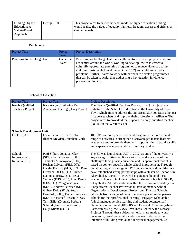| <b>Funding Higher</b> | George Hull | This project aims to determine what model of higher education funding          |
|-----------------------|-------------|--------------------------------------------------------------------------------|
| Education: A          |             | would realise the values of equality, fairness, freedom, access and efficiency |
| Values-Based          |             | simultaneously.                                                                |
| Approach              |             |                                                                                |
|                       |             |                                                                                |

# Psychology

| <b>Project Title</b>          | Project           | <b>Project Description</b>                                                                                                                                                                                                                                                                                                                                                                                                                                                       |
|-------------------------------|-------------------|----------------------------------------------------------------------------------------------------------------------------------------------------------------------------------------------------------------------------------------------------------------------------------------------------------------------------------------------------------------------------------------------------------------------------------------------------------------------------------|
|                               | Team              |                                                                                                                                                                                                                                                                                                                                                                                                                                                                                  |
| Parenting for Lifelong Health | Catherine<br>Ward | Parenting for Lifelong Health is a collaborative research project of several<br>academics around the world, working to develop low-cost, effective,<br>culturally-appropriate parenting programmes to reduce violence against<br>children (Sustainable Development Goal 16.2) and children's conduct<br>problems. Further, it aims to work with partners to develop programmes<br>that can be taken to scale, thus addressing a key question in violence<br>prevention globally. |

#### School of Education

| <b>Project Title</b>                        | <b>Project Team</b>                                                                                                                                                                                                                                                                                                                                                                                                                                                     | <b>Project Description</b>                                                                                                                                                                                                                                                                                                                                                                                                                                                                                                                                                                                                                                                                                                                                                                                                                                                                                                                                                                                                                                                                                                               |
|---------------------------------------------|-------------------------------------------------------------------------------------------------------------------------------------------------------------------------------------------------------------------------------------------------------------------------------------------------------------------------------------------------------------------------------------------------------------------------------------------------------------------------|------------------------------------------------------------------------------------------------------------------------------------------------------------------------------------------------------------------------------------------------------------------------------------------------------------------------------------------------------------------------------------------------------------------------------------------------------------------------------------------------------------------------------------------------------------------------------------------------------------------------------------------------------------------------------------------------------------------------------------------------------------------------------------------------------------------------------------------------------------------------------------------------------------------------------------------------------------------------------------------------------------------------------------------------------------------------------------------------------------------------------------------|
| Newly-Qualified<br><b>Teachers' Project</b> | Kate Angier, Catherine Kell,<br>Annemarie Hattingh, Gary Powell                                                                                                                                                                                                                                                                                                                                                                                                         | The Newly Qualified Teachers Project, or NQT Project, is an<br>initiative of the School of Education at the University of Cape<br>Town which aims to address the significant attrition rates amongst<br>first year teachers and improve their professional resilience. The<br>project aims to provide direct support to newly qualified teachers<br>(NQTs) in the Western Cape.                                                                                                                                                                                                                                                                                                                                                                                                                                                                                                                                                                                                                                                                                                                                                          |
| <b>Schools Development Unit</b>             |                                                                                                                                                                                                                                                                                                                                                                                                                                                                         |                                                                                                                                                                                                                                                                                                                                                                                                                                                                                                                                                                                                                                                                                                                                                                                                                                                                                                                                                                                                                                                                                                                                          |
| <b>UCT 100-UP</b>                           | Ferial Parker, Gilbert Dolo,<br>Ilhaam Dreyden, Jonathan Clark                                                                                                                                                                                                                                                                                                                                                                                                          | 100-UP is a three-year enrichment program structured around a<br>range of activities to strengthen disadvantaged matric learners'<br>academics and to provide them with opportunities to acquire skills<br>and experiences in preparation for tertiary studies.                                                                                                                                                                                                                                                                                                                                                                                                                                                                                                                                                                                                                                                                                                                                                                                                                                                                          |
| Schools                                     | Patti Silbert, Jonathan Clark                                                                                                                                                                                                                                                                                                                                                                                                                                           | The SII was launched at UCT in 2012, as one of the university's                                                                                                                                                                                                                                                                                                                                                                                                                                                                                                                                                                                                                                                                                                                                                                                                                                                                                                                                                                                                                                                                          |
| Improvement<br>Initiative (SII)             | (SDU), Ferial Parker (SDU),<br>Tembeka Mzozoyana (SDU),<br>Roshan Galvaan (FHS, OT),<br>Harsha Kathard (FHS, SLT), Pam<br>Gretschell (FHS, OT), Shireen<br>Damonse (FHS, OT), Freda<br>Walters (FHS, SLT), Liesl Peters<br>(FHS, OT), Morgan Voges<br>(SDU), Andrew Petersen (SDU),<br>Gilbert Dolo (SDU), Susan<br>Brundrit (SDU), Diane Hendricks<br>(SDU), Kaashief Hassan (SDU),<br>Terri Elliot (Drama), Barbara<br>Schmid (Knowledge Co-op),<br>Cally Kuhne (SDU) | key strategic initiatives. It was set up to address some of the<br>challenges facing basic education, and its operational model is<br>based on context specific whole-school improvement. Through<br>collaborating with a range of UCT departments and faculties, we<br>have established strong partnerships with a cluster of 5 schools in<br>Khayelitsha. Recently the work has extended beyond these<br>'anchor' schools to include a further 4 primary schools in Site B,<br>Khayelitsha. All interventions within the SII are informed by our<br>5 objectives: Teacher Professional Development & School<br>Organisational Development; Professional Practice Schools<br>(students from a range of departments are placed in the partner<br>schools for their professional learning); Engaged Scholarship<br>(which includes service learning and student volunteerism);<br>University recruitment (100-UP) and External Community-based<br>Partnerships (e.g. the COSAT Wellness Center & the Library<br>Project). Through these objectives, efforts are made to work<br>coherently, developmentally and collaboratively, with the |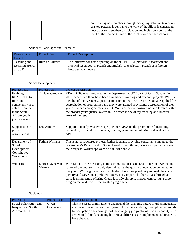|  | constructing new practices through disrupting habitual, taken-for-<br>granted patterns is central to the work of the SII, as is generating |
|--|--------------------------------------------------------------------------------------------------------------------------------------------|
|  | new ways to strengthen participation and inclusion - both at the                                                                           |
|  | level of the university and at the level of our partner schools.                                                                           |
|  |                                                                                                                                            |

## School of Languages and Literacies

| Project Title                             | <b>Project Team</b> | <b>Project Description</b>                                                                                                                                                                 |
|-------------------------------------------|---------------------|--------------------------------------------------------------------------------------------------------------------------------------------------------------------------------------------|
| French                                    |                     |                                                                                                                                                                                            |
| Teaching and<br>Learning French<br>at UCT | Ruth de Oliveira    | The initiative consists of putting on the 'OPEN UCT platform' theoretical and<br>practical resources (in French and English) to teach/learn French as a foreign<br>language at all levels. |

## Social Development

| <b>Project Title</b>                                                                                                                   | <b>Project Team</b>                | <b>Project Description</b>                                                                                                                                                                                                                                                                                                                                                                                                                                                                                                                |
|----------------------------------------------------------------------------------------------------------------------------------------|------------------------------------|-------------------------------------------------------------------------------------------------------------------------------------------------------------------------------------------------------------------------------------------------------------------------------------------------------------------------------------------------------------------------------------------------------------------------------------------------------------------------------------------------------------------------------------------|
| Enabling<br><b>REALISTIC</b> to<br>function<br>competently as a<br>valuable partner<br>in the South<br>African youth<br>justice system | Thulane Gxubane                    | REALISTIC was introduced to the Department at UCT by Prof Crain Soudien in<br>2010. Since then there have been a number of training and research projects. Whilst a<br>member of the Western Cape Division Committee REALISTIC, Gxubane applied for<br>accreditation of programmes and they were granted provisional accreditation of their<br>youth diversion programmes in 2014. Youth diversion programmes are located within<br>the broader youth justice system in SA which is one of my teaching and research<br>areas of interest. |
| Support to non-<br>profit<br>organisations                                                                                             | Eric Atmore                        | Support to mainly Western Cape province NPOs on the programme functioning,<br>leadership, financial management, funding, planning, monitoring and evaluation of<br>NPO <sub>s</sub> .                                                                                                                                                                                                                                                                                                                                                     |
| Department of<br>Social<br>Development<br>Consultative<br>Workshops                                                                    | Fatima Williams                    | This is not a structured project. Rather it entails providing consultative inputs to the<br>government's Department of Social Development through workshop participation at<br>their request. Workshops were held in 2017 and 2018.                                                                                                                                                                                                                                                                                                       |
| Won Life                                                                                                                               | Lauren-Jayne van<br><b>Niekerk</b> | Won Life is a NPO working in the community of Fisantekraal. They believe that the<br>future of our country is largely determined by the quality of education delivered to<br>our youth. With a good education, children have the opportunity to break the cycle of<br>poverty and carve out a preferred future. They impact children's lives through an<br>early learning centre offering Grade R to 120 children, literacy centre, high school<br>programme, and teacher mentorship programme.                                           |

# Sociology

| <b>Project Title</b>                                                    | <b>Project Team</b> | <b>Project Description</b>                                                                                                                                                                                                                                                                                                                                         |
|-------------------------------------------------------------------------|---------------------|--------------------------------------------------------------------------------------------------------------------------------------------------------------------------------------------------------------------------------------------------------------------------------------------------------------------------------------------------------------------|
| Social Polarisation and<br>Inequality in South<br><b>African Cities</b> | Owen<br>Crankshaw   | This is a research initiative to understand the changing nature of urban inequality<br>and poverty over the last forty years. This entails studying (i) employment trends<br>by occupation and earnings, (ii) the changing geography of urban inequality with<br>a view to (iii) understanding how racial differences in employment and residence<br>have changed. |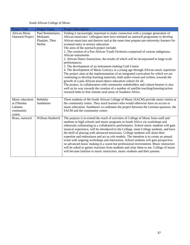South African College of Music

| Project Title                                                   | Project Team                                              | <b>Project Description</b>                                                                                                                                                                                                                                                                                                                                                                                                                                                                                                                                                                                                                                                                                                                                                                                                                                                                                                                                                                                                                                                                                                                                                                                                            |
|-----------------------------------------------------------------|-----------------------------------------------------------|---------------------------------------------------------------------------------------------------------------------------------------------------------------------------------------------------------------------------------------------------------------------------------------------------------------------------------------------------------------------------------------------------------------------------------------------------------------------------------------------------------------------------------------------------------------------------------------------------------------------------------------------------------------------------------------------------------------------------------------------------------------------------------------------------------------------------------------------------------------------------------------------------------------------------------------------------------------------------------------------------------------------------------------------------------------------------------------------------------------------------------------------------------------------------------------------------------------------------------------|
| <b>African Music</b><br><b>Outreach Project</b>                 | Paul Rommelaere,<br>Mzikantu<br>Plaatjies, Theo<br>Herbst | Finding it increasingly important to make connection with a younger generation of<br>African musicians' colleagues here have initiated an outreach programme to develop<br>African musicians and dancers and at the same time prepare pre-university learners for<br>eventual entry in tertiary education.<br>The aims of the outreach project include:<br>1. The creation of a Pan-African Youth Orchestra comprised of various indigenous<br>African instruments<br>2. African Dance Instruction, the results of which will be incorporated in large-scale<br>performances.<br>3. The development of an instrument-making Craft Centre.<br>4. The development of Music Literacy at a young age through African music repertoire<br>The project aims at the implementation of an integrated curriculum for which we are<br>continuing to develop learning materials, both audio-visual and written, towards the<br>growth of a pan-African music/dance education culture for all.<br>The project, in collaboration with community stakeholders and culture-bearers is also<br>well on its way towards the creation of a number of satellite teaching/learning/action<br>research hubs in four remote rural areas of Southern Africa. |
| Music education<br>at iThemba<br>Labantu<br>community<br>centre | Rebekka<br>Sandmeier                                      | Three students of the South African Collage of Music (SACM) provide music tuition at<br>the community centre. They teach learners who would otherwise have no access to<br>music education. Sandmeier co-ordinates the project between the German sponsors, the<br>SACM and the community centre.                                                                                                                                                                                                                                                                                                                                                                                                                                                                                                                                                                                                                                                                                                                                                                                                                                                                                                                                     |
| Brass, outreach                                                 | William Haubrich                                          | The purpose is to extend the reach of activities of College of Music brass staff and<br>students to high schools and music programs in South Africa via workshops and<br>rehearsals culminating in a collaborative performance. School music students will gain<br>musical experience, will be introduced to the College, meet College students, and have<br>the thrill of playing with advanced musicians. College students will share their<br>expertise and enthusiasm and act as role models. The intention is to create an annual<br>event with ongoing workshops and interaction. School students will gain perspective<br>on advanced music making in a warm but professional environment. Music instructors<br>will be asked to garner reactions from students and relay them to me. College of music<br>will become familiar to music instructors, music students and their parents.                                                                                                                                                                                                                                                                                                                                         |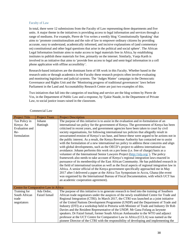# Faculty of Law

In total, there were 12 submissions from the Faculty of Law representing three departments and five units. A major theme in the initiatives is providing access to legal information and services through a range of mediums. For example, Pierre de Vos writes a weekly blog 'Constitutionally Speaking' that aims to 'promote constitutionalism and the rule of law to empower ordinary citizens by providing accurate, easy to understand, academically informed, and incisive explanations of (and commentary on) constitutional and other legal questions that arise in the political and social sphere'. The African Legal Information Institute aims to make access to legal materials free in Africa, by establishing institutes to publish these materials for free, primarily on the internet. Similarly, Vanja Karth is involved in an initiative that aims to 'provide free access to legal and semi-legal information in a cell phone application with offline accessibility'.

Research-based initiatives are the dominant form of SR work in this Faculty. Whether based in the research units or through academics in the Faculty these research projects often involve evaluating and monitoring legislative and judicial systems. The 'Judges Matter' campaign in the Democratic Governance and Rights Unit and the 'Monitoring progress of traditional governances' laws before Parliament in the Land and Accountability Research Centre are just two examples of this.

Two initiatives that fall into the categories of teaching and service are the blog written by Pierre de Vos, in the Department of Public Law and a response, by Tjakie Naude, in the Department of Private Law, to social justice issues raised in the classroom.

| <b>Project Title</b>                                  | <b>Project Team</b>                  | <b>Project Description</b>                                                                                                                                                                                                                                                                                                                                                                                                                                                                                                                                                                                                                                                                                                                                                                                                                                                                                                                                                                                                                                                                                                                                     |
|-------------------------------------------------------|--------------------------------------|----------------------------------------------------------------------------------------------------------------------------------------------------------------------------------------------------------------------------------------------------------------------------------------------------------------------------------------------------------------------------------------------------------------------------------------------------------------------------------------------------------------------------------------------------------------------------------------------------------------------------------------------------------------------------------------------------------------------------------------------------------------------------------------------------------------------------------------------------------------------------------------------------------------------------------------------------------------------------------------------------------------------------------------------------------------------------------------------------------------------------------------------------------------|
| Tax Policy in<br>Kenya: An<br><b>Evaluation</b> and   | Johann<br>Hattingh                   | The purpose of this initiative is to assist in the evaluation and re-formulation of an<br>international tax policy for the government of Kenya. The government of Kenya has been                                                                                                                                                                                                                                                                                                                                                                                                                                                                                                                                                                                                                                                                                                                                                                                                                                                                                                                                                                               |
| $Re-$                                                 |                                      | criticised in recent years, and government agencies have been taken to court by civil<br>society organisations, for following international tax policies that allegedly result in                                                                                                                                                                                                                                                                                                                                                                                                                                                                                                                                                                                                                                                                                                                                                                                                                                                                                                                                                                              |
| formulation                                           |                                      | unwarranted erosion of Kenya's tax base, and hence these were argued to be actions not in<br>the public interest. As a result, the Kenya Revenue Authority has contacted me to assist<br>with the formulation of a new international tax policy to address these concerns and align<br>with global developments, such as the OECD's project to address international tax<br>avoidance. Johann performs this work on a pro bono (i.e. free of charge) basis as a<br>volunteer of the International Senior Lawyers Project (http://islp.org/). The policy<br>framework also needs to take account of Kenya's regional integration laws enacted in<br>pursuance of its membership of the East African Community. He has published research in<br>the field of international taxation as well as the fiscal aspects of regional integration law in<br>Africa. A senior official of the Kenya government specifically approached me in May<br>2017 after I delivered a paper at the Africa Tax Symposium in Accra, Ghana (the event<br>was organised by the International Bureau of Fiscal Documentation, with which UCT has<br>an academic cooperation agreement). |
|                                                       | Centre for Comparative Law in Africa |                                                                                                                                                                                                                                                                                                                                                                                                                                                                                                                                                                                                                                                                                                                                                                                                                                                                                                                                                                                                                                                                                                                                                                |
| Training for<br>South African<br>trade<br>negotiators | Ada Ordor,<br>Faizel Ismail          | The purpose of this initiative is to generate research to feed into the training of Southern<br>African trade negotiators under the auspices of the newly established Centre for Trade and<br>Regional Integration (CTRI). In March 2017, the CTRI was launched as a joint initiative<br>of the United Nations Development Programme (UNDP) and the Department of Trade and<br>Industry (DTI) at a workshop held in Pretoria with Minister of Trade and Industry Dr Rob<br>Davies and the Resident Representative of the UNDP, Mr Gana Fofang as keynote<br>speakers. Dr Faizel Ismail, former South African Ambassador to the WTO and adjunct<br>professor at the UCT Centre for Comparative Law in Africa (CCLA) was named as the<br>pioneer Director of the CTRI with the responsibility of developing and implementing the                                                                                                                                                                                                                                                                                                                                 |

# Commercial Law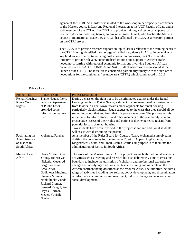|  | agenda of the CTRI. Ada Ordor was invited to the workshop in her capacity as convener<br>of the Masters course in Law and Regional Integration at the UCT Faculty of Law and a<br>staff member of the CCLA. The CTRI is to provide training and technical support for<br>Southern African trade negotiators, among other goals. Ismail, who teaches the Masters<br>course in International Trade Law at UCT, has affiliated the CCLA as a research partner<br>on the CTRI project.                                                                                                                                                                                                                                                |
|--|-----------------------------------------------------------------------------------------------------------------------------------------------------------------------------------------------------------------------------------------------------------------------------------------------------------------------------------------------------------------------------------------------------------------------------------------------------------------------------------------------------------------------------------------------------------------------------------------------------------------------------------------------------------------------------------------------------------------------------------|
|  | The CCLA is to provide research support on topical issues relevant to the training needs of<br>the CTRI. Having identified the shortage of skilled negotiators in Africa in general as a<br>key hindrance to the continent's regional integration processes, the CTRI is a pilot<br>initiative to provide relevant, contextualised training and support to Africa's trade<br>negotiators, starting with regional economic formations involving Southern African<br>countries such as SADC, COMESA and SACU (all of whom were represented at the<br>launch of the CTRI). The initiative is considered particularly timely with the take-off of<br>negotiations for the continental free trade area (CFTA) which commenced in 2016. |

# Private Law

| <b>Project Title</b>   | <b>Project Team</b>    | <b>Project Description</b>                                                         |
|------------------------|------------------------|------------------------------------------------------------------------------------|
| <b>Rental Housing:</b> | Tjakie Naude, Pierre   | During a class on the right not to be discriminated against under the Rental       |
| Know Your              | de Vos (Department     | Housing taught by Tjakie Naude, a student in class mentioned pervasive racism      |
| Rights                 | of Public Law)         | from lessors in Cape Town towards black applicants for rental housing,             |
|                        | provided some          | particularly black students. Naude suggested to the class that they should all do  |
|                        | information that we    | something about that and from that this project was born. The purpose of this      |
|                        | used.                  | initiative is to inform students and other members of the community who are        |
|                        |                        | prospective lessees of their rights and options if they experience racism from     |
|                        |                        | potential lessors of rental housing.                                               |
|                        |                        | Two students have been involved in the project so far and additional students      |
|                        |                        | will assist with distributing the posters.                                         |
| Facilitating the       | <b>Mohamed Paleker</b> | As a member of the Rules Board for Courts of Law, Mohamed is involved in           |
| Administration         |                        | drafting the court rules for the Supreme Court of Appeal, High Courts,             |
| of Justice in          |                        | Magistrates' Courts, and Small Claims Courts Our purpose is to facilitate the      |
| South Africa           |                        | administration of justice in South Africa.                                         |
|                        |                        |                                                                                    |
| Mineral Law in         | Hanri Mostert, Cheri   | The work of the Mineral Law in Africa project covers both traditional academic     |
| Africa                 | Young, Heleen van      | activities such as teaching and research but also deliberately aims to cross this  |
|                        | Niekerk, Meyer vd      | boundary to include the utilisation of scholarly and professional expertise to     |
|                        | Berg, Louie van        | change the underlying conditions that leads to mining and minerals on the          |
|                        | Schalkwyk,             | African continent being described as the resource curse. The initiative includes a |
|                        | Godknows Mudimu,       | range of activities including law reform, policy development, and dissemination    |
|                        | Shamila Mpinga,        | of information, community empowerment, industry change and economic and            |
|                        | Nonkululeko Zondo,     | social development.                                                                |
|                        | Richard Cramer,        |                                                                                    |
|                        | Bernard Kengni, Anri   |                                                                                    |
|                        | Heyns, Herman          |                                                                                    |
|                        | Meyer, Vuyisile        |                                                                                    |
|                        | Ncube                  |                                                                                    |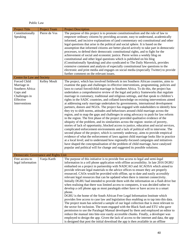# Public Law

| <b>Project Title</b>                                                                                       | Project Team                          | <b>Project Description</b>                                                                                                                                                                                                                                                                                                                                                                                                                                                                                                                                                                                                                                                                                                                                                                                                                                                                                                                                                                                                                                                                                                                                                                                                                                                                                                                                                                                                                                                                                                                                                                                                                                                                                                |
|------------------------------------------------------------------------------------------------------------|---------------------------------------|---------------------------------------------------------------------------------------------------------------------------------------------------------------------------------------------------------------------------------------------------------------------------------------------------------------------------------------------------------------------------------------------------------------------------------------------------------------------------------------------------------------------------------------------------------------------------------------------------------------------------------------------------------------------------------------------------------------------------------------------------------------------------------------------------------------------------------------------------------------------------------------------------------------------------------------------------------------------------------------------------------------------------------------------------------------------------------------------------------------------------------------------------------------------------------------------------------------------------------------------------------------------------------------------------------------------------------------------------------------------------------------------------------------------------------------------------------------------------------------------------------------------------------------------------------------------------------------------------------------------------------------------------------------------------------------------------------------------------|
| Constitutionally<br>Speaking                                                                               | Pierre de Vos                         | The purpose of this project is to promote constitutionalism and the rule of law to<br>empower ordinary citizens by providing accurate, easy to understand, academically<br>informed, and incisive explanations of (and commentary on) constitutional and other<br>legal questions that arise in the political and social sphere. It is based on the<br>assumption that informed citizens are better placed actively to take part in democratic<br>processes, to defend their democratic constitutional rights, and to fight for the<br>achievement of social and economic justice. Pierre writes a weekly blog on<br>constitutional and other legal questions which is published on his blog<br>(Constitutionally Speaking) and also syndicated to The Daily Maverick, provides<br>extensive comment and analysis of especially constitutional law questions to the<br>electronic and print media and engages on social media (especially Twitter) to provide<br>further comment on the relevant issues.                                                                                                                                                                                                                                                                                                                                                                                                                                                                                                                                                                                                                                                                                                                  |
| Centre for Law and Society                                                                                 |                                       |                                                                                                                                                                                                                                                                                                                                                                                                                                                                                                                                                                                                                                                                                                                                                                                                                                                                                                                                                                                                                                                                                                                                                                                                                                                                                                                                                                                                                                                                                                                                                                                                                                                                                                                           |
| Forced Child<br>Marriage in<br>Southern Africa:<br>Gaps and<br>Challenges in<br>Effective<br>Interventions | Kelley Moult                          | The project, which has involved fieldwork in ten Southern African countries, aims to<br>examine the gaps and challenges in effective interventions, programming, policies and<br>laws to curtail forced/child marriage in Southern Africa. To do this, the project has<br>undertaken a comprehensive review of the legal and policy frameworks that regulate<br>marriage in customary, traditional and religious settings, and that speak to children's<br>rights in the SADC countries, and collated knowledge on existing interventions aimed<br>at addressing early marriage undertaken by governments, international development<br>partners, donors and NGOs. The project has engaged with stakeholders to identify how<br>they try to shift norms, attitudes and behaviours around child marriage across the<br>region, and to map the gaps and challenges in using advocacy to push for law reform<br>in the region. The first phase of the project provided qualitative evidence of the<br>ubiquity of the problem, and its similarities across the region: stories of poverty,<br>stories of lack of opportunity, blocked access to justice, education and social services,<br>complicated enforcement environments and a lack of political will to intervene. The<br>second phase of the project, which is currently underway, aims to provide empirical<br>evidence of what the enforcement of laws against child marriage looks like in practice<br>at a local level; and to understand how regionally-focused campaigns and initiatives<br>have shaped the conceptualisation of the problem of child marriage, have catalysed<br>popular and political will for change and suggested its possible solutions. |
|                                                                                                            | Democratic Governance and Rights Unit |                                                                                                                                                                                                                                                                                                                                                                                                                                                                                                                                                                                                                                                                                                                                                                                                                                                                                                                                                                                                                                                                                                                                                                                                                                                                                                                                                                                                                                                                                                                                                                                                                                                                                                                           |
| Free access to<br>legal information                                                                        | Vanja Karth                           | The purpose of this initiative is to provide free access to legal and semi-legal<br>information in a cell phone application with offline accessibility. In late 2016 DGRU<br>embarked on a project in partnership with NADCAO and ACAOSA which aimed to<br>provide relevant legal materials to the advice offices to ensure they are properly<br>resourced. CAOs would be provided with offline, up to date and easily accessibly<br>relevant legal resources that can be updated when there is internet connectivity.<br>Initially DGRU had intended to provide them with the information on a flash drive but<br>when realising that there was limited access to computers, it was decided rather to<br>develop a cell phone app as most paralegals either have or have access to a smart<br>phone.<br>DGRU is the home of the South African Free Legal Information Institute which<br>provides free access to case law and legislation thus enabling us to tap into this data.<br>The project team has selected a sample of our legal collection that is most relevant to<br>the sector for inclusion. The team engaged with the Black Sash and ETU who gave<br>permission to use the Paralegal Manual developed by them and employed an editor to<br>reduce the manual into bite-size easily accessible chunks. Finally, a developer was<br>employed to design the app. Given the lack of access to the internet and data, the app<br>is designed that post the initial download the app is then available in an offline                                                                                                                                                                                              |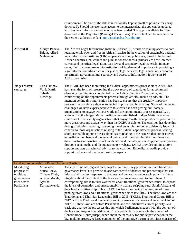|                                                                                      |                                                                                       | environment. The size of the data is intentionally kept as small as possible for cheap<br>download), Should the user have access to the internet/data, the app can be updated<br>with any new information that may have been added. The app is available for free<br>download in the Play Store (Paralegal Pocket Law). The content can be seen here on<br>the server that hosts the data http://paralegals.africanlii.org/                                                                                                                                                                                                                                                                                                                                                                                                                                                                                                                                                                                                                                                                                                                                                                                                                                                                                                                                                                                                                                                                                                                                                                                                                                          |
|--------------------------------------------------------------------------------------|---------------------------------------------------------------------------------------|----------------------------------------------------------------------------------------------------------------------------------------------------------------------------------------------------------------------------------------------------------------------------------------------------------------------------------------------------------------------------------------------------------------------------------------------------------------------------------------------------------------------------------------------------------------------------------------------------------------------------------------------------------------------------------------------------------------------------------------------------------------------------------------------------------------------------------------------------------------------------------------------------------------------------------------------------------------------------------------------------------------------------------------------------------------------------------------------------------------------------------------------------------------------------------------------------------------------------------------------------------------------------------------------------------------------------------------------------------------------------------------------------------------------------------------------------------------------------------------------------------------------------------------------------------------------------------------------------------------------------------------------------------------------|
| AfricanLII                                                                           | Mariya Badeva-<br>Bright, Alfred<br>Mahlangu                                          | The African Legal Information Institute (AfricanLII) works on making access to core<br>legal materials open and free in Africa. It assists in the creation of sustainable national<br>legal information institutes (LIIs) – open access law publishers, based in individual<br>African countries that collect and publish for free access, primarily via the Internet,<br>current and historical legislation, case law and secondary legal materials. In many<br>cases, the LIIs have grown into institutions of fundamental importance in providing a<br>legal information infrastructure for justice, legal services, legal education, economic<br>investment, government transparency and access to information. It works in 16<br>African countries.                                                                                                                                                                                                                                                                                                                                                                                                                                                                                                                                                                                                                                                                                                                                                                                                                                                                                                             |
| Judges Matter<br>campaign                                                            | Chris Oxtoby,<br>Vanja Karth,<br>Tabeth<br>Masengu,                                   | The DGRU has been monitoring the judicial appointments process since 2009. This<br>has taken the form of researching the track record of candidates for appointment,<br>observing the interviews conducted by the Judicial Service Commission, and<br>commenting on the appointments process through articles, media op eds, etc. The<br>intention behind this intervention has been to ensure that the crucially important<br>process of appointing judges is subjected to proper public scrutiny. Some of the major<br>challenges we have experienced with this work has been getting civil society<br>organisations to engage with our work and the appointments process generally. To<br>address this, the Judges Matter coalition was established. Judges Matter is a loose<br>coalition of civil society organisations that engages with the appointments process in a<br>more grassroots and activist way than the DGRU is able to. The coalition has done this<br>through activities including convening meetings of civil societies to identify issues of<br>concern to those organisations relating to the judicial appointments process, writing<br>short, accessible opinion pieces about issues relating to the process that are of interest<br>to coalition members and the general public, and livestreaming the interviews and<br>disseminating information about candidates and the interview and appointment process<br>through social media and the judges matter website. DGRU provides administrative<br>support and acts as technical advisor to the coalition. Edge digital media provide<br>support on the social media and website aspects. |
| Land and Accountability Research Centre (LARC)                                       |                                                                                       |                                                                                                                                                                                                                                                                                                                                                                                                                                                                                                                                                                                                                                                                                                                                                                                                                                                                                                                                                                                                                                                                                                                                                                                                                                                                                                                                                                                                                                                                                                                                                                                                                                                                      |
| Monitoring<br>progress of<br>traditional<br>governances<br>laws before<br>Parliament | Monica de<br>Souza Louw,<br>Thiyane Duda,<br>Ayesha Motala,<br>Nyasha<br>Karimakwenda | The aim of monitoring and analysing the parliamentary processes around traditional<br>governance laws is to provide an accurate record of debates and proceedings that can<br>inform civil society responses to the laws and be used as evidence in potential future<br>litigation about the content of the laws, or the procedures used to draft them. A<br>corresponding aim is to raise awareness about traditional governance issues, to expose<br>the levels of corruption and unaccountability that are stripping rural South Africans of<br>their land and citizenship rights. LARC has been monitoring the progress of three<br>pending/draft laws about traditional governance since late 2015. The three laws are the<br>Traditional and Khoi-San Leadership Bill of 2015 (TKLB), Traditional Courts Bill of<br>2017, and the Traditional Leadership and Governance Framework Amendment Act of<br>2017. All three laws are before Parliament, and the initiative's current priority is to<br>track and analyse the processes through which Parliament engages with the content of<br>the laws and responds to criticisms. This is particularly relevant in the context of<br>Constitutional Court jurisprudence about the necessity for public participation in the<br>law-making process. A large component of the initiative's current activities consists of                                                                                                                                                                                                                                                                                            |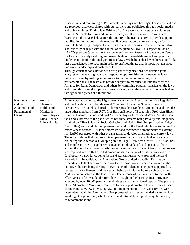|                                                                        |                                                                                                         | observation and monitoring of Parliament's meetings and hearings. These observations<br>are recorded, analysed, shared with our partners and publicised through social media<br>and opinion pieces. During late 2016 and 2017 we worked with student volunteers<br>from the Students for Law and Social Justice (SLSJ) to monitor three rounds of<br>hearings on the TKLB held across the country. The team also try to provide support to<br>mobilisation initiatives that demand public consultation by government, by for<br>example facilitating transport for activists to attend hearings. However, the initiative<br>also critically engages with the content of the pending laws. This aspect builds on<br>LARC's previous (then as the Rural Women's Action Research Project at the Centre<br>for Law and Society) and ongoing research about the real-life impact and practical<br>implementation of traditional governance laws. We believe that lawmakers should take<br>these experiences into account in order to draft legitimate and democratic laws about<br>traditional leadership and customary law.<br>Through constant consultation with our partner organisations, we develop joint<br>analyses of the pending laws, and respond to opportunities to influence the law-<br>making process by making submissions to Parliament or engaging with<br>parliamentarians. The team also provide support to mobilisation initiatives by the<br>Alliance for Rural Democracy and others by compiling popular materials on the laws<br>and presenting at workshops. Awareness-raising about the content of the laws is done<br>through media pieces and interviews.                                                                                                                                                                                                                                                                                                                                                                                                                                                                                                                                                                                                                                                                                                                                 |
|------------------------------------------------------------------------|---------------------------------------------------------------------------------------------------------|------------------------------------------------------------------------------------------------------------------------------------------------------------------------------------------------------------------------------------------------------------------------------------------------------------------------------------------------------------------------------------------------------------------------------------------------------------------------------------------------------------------------------------------------------------------------------------------------------------------------------------------------------------------------------------------------------------------------------------------------------------------------------------------------------------------------------------------------------------------------------------------------------------------------------------------------------------------------------------------------------------------------------------------------------------------------------------------------------------------------------------------------------------------------------------------------------------------------------------------------------------------------------------------------------------------------------------------------------------------------------------------------------------------------------------------------------------------------------------------------------------------------------------------------------------------------------------------------------------------------------------------------------------------------------------------------------------------------------------------------------------------------------------------------------------------------------------------------------------------------------------------------------------------------------------------------------------------------------------------------------------------------------------------------------------------------------------------------------------------------------------------------------------------------------------------------------------------------------------------------------------------------------------------------------------------------------------------------------------------------------------------------------------------|
| Key Legislation<br>and the<br>Acceleration of<br>Fundamental<br>Change | Aninka<br>Claassens,<br>Philile Ntuli,<br>Monica de<br>Souza, Thiyane<br>Duda, Bendan,<br>Phiwe Ndinisa | Aninka was appointed to the High-Level Panel on the Assessment of Key Legislation<br>and the Acceleration of Fundamental Change (HLP) by the Speakers Forum of<br>Parliament. The Panel is chaired by former president Kgalema Motlanthe and includes<br>three other members from UCT. Prof Haroon Bhorat of Economics, Prof Alan Hirsch<br>from the Business School and Prof Vivienne Taylor from Social Work. Aninka chairs<br>the Land subtheme of the panel which has three streams being Poverty and Inequality<br>(chaired by Olive Shisana), Social Cohesion and Nation Building (chaired by Judge<br>Navi Pillay) and Land. To complement the work of the Panel which was to review the<br>effectiveness of post-1994 land reform law and recommend amendments to existing<br>law LARC partnered with other organisations to develop alternatives to current laws.<br>The organisations that the project team partnered with in conceptualising and co-<br>ordinating the Alternatives Grouping are the Legal Resources Centre, PLAAS at UWC<br>and Phuhlisani NPC. Together we convened think tanks of land specialists from<br>around the country to develop critiques and alternatives to current laws. In the process<br>we proposed and drafted detailed amendments to a range of existing laws and also<br>developed two new laws, being the Land Reform Framework Act, and the Land<br>Records Act. In addition, the Alternatives Group drafted a detailed Restitution<br>Amendment Bill. There were therefore two external constituencies involved in the<br>initiative, the first being the High-Level Panel of independent experts supported by a<br>secretariat in Parliament, and the second being an initiative by research centres and<br>NGOs who are active in the land sector. The purpose of the Panel was to review the<br>effectiveness of current land reform laws through public hearings in all provinces<br>attended by over 10,000 people, round tables and commissioned reports. The purpose<br>of the Alternatives Working Group was to develop alternatives to current laws based<br>on the Panel's review of existing law and implementation. The two activities were<br>inter-related with the Alternatives Group presenting its recommendations to the Panel<br>Working Group on Land, which debated and ultimately adopted many, but not all, of<br>its recommendations. |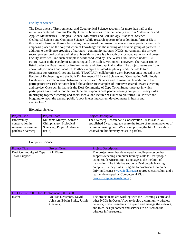## Faculty of Science

The Department of Environmental and Geographical Science accounts for more than half of the initiatives captured from this Faculty. Other submissions from the Faculty are from Mathematics and Applied Mathematics, Biological Science, Molecular and Cell Biology, Statistical Science, Geological Science and Computer Science. While research appears to be a dominant form of SR in this Faculty based on these submissions, the nature of the research comes across as participatory, with emphasis placed on the co-production of knowledge and the meeting of a diverse group of partners. In addition to the diverse grouping of partners – community partners, NGOs, government, the private sector, professional bodies and other universities – there is a breadth of cross-departmental and cross-Faculty activities. One such example is work conducted by 'The Water Hub', housed under UCT Future Water in the Faculty of Engineering and the Built Environment. However, The Water Hub is listed under the Department for Environmental and Geographical studies. The project teams are from various departments and faculties. Further examples of interdisciplinary work include Future Resilience for African Cities and Lands (FRACTAL), collaborative work between units housed in the Faculty of Engineering and the Built Environment (EBE) and Science and 'Co-creating Wild Foods Livelihoods', a collaboration between the Faculties of Science and Humanities. In addition to the participatory research activities listed above there are examples of initiatives geared towards teaching and service. One such initiative is the Deaf Community of Cape Town Support project in which participants have built a mobile prototype that supports deaf people learning computer literacy skills. In bringing together teaching and social media, one lecturer has taken to platforms like Twitter and blogging to teach the general public 'about interesting current developments in health and vaccinology'.

#### Biological Science

| <b>Project Title</b> | <b>Project Team</b>        | <b>Project Description</b>                                         |
|----------------------|----------------------------|--------------------------------------------------------------------|
| Biodiversity         | Muthama Muasya, Samson     | The Overberg Renosterveld Conservation Trust is an NGO             |
| conservation in      | Chimphango (Biological     | established 5 years ago to secure the future of remnant patches of |
| remnant renosterveld | Sciences), Pippin Anderson | nature in farming land. We are supporting the NGO to establish     |
| patches, Overberg    | (EGS)                      | what/where biodiversity exists in patches.                         |
|                      |                            |                                                                    |

#### Computer Science

| <b>Project Title</b>                          | <b>Project Team</b>                                                 | <b>Project Description</b>                                                                                                                                                                                                                                                                                                                                                                                                                   |
|-----------------------------------------------|---------------------------------------------------------------------|----------------------------------------------------------------------------------------------------------------------------------------------------------------------------------------------------------------------------------------------------------------------------------------------------------------------------------------------------------------------------------------------------------------------------------------------|
| Deaf Community of Cape<br><b>Town Support</b> | E H Blake                                                           | The project team has developed a mobile prototype that<br>supports teaching computer literacy skills to Deaf people,<br>using South African Sign Language as the medium of<br>instruction. The initiative supports Deaf people learning<br>computer literacy skills using the International Computer<br>Driving License (www.icdl.org.za) approved curriculum and e-<br>learner developed by Computers 4 Kids<br>(www.computers4kids.co.za). |
| UCT Centre in ICT for Development (UCT 4D)    |                                                                     |                                                                                                                                                                                                                                                                                                                                                                                                                                              |
| iNethi                                        | Melissa Densmore, David<br>Johnson, Edwin Blake, Josiah<br>Chavula, | The project team are working with the iLearning Centre and<br>other NGOs in Ocean View to deploy a community wireless<br>network, upskill residents to expand and manage the network,<br>and to co-design content and services to be used on the<br>wireless infrastructure.                                                                                                                                                                 |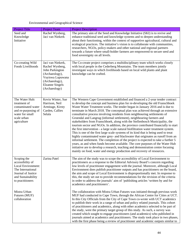# Environmental and Geographical Science

| <b>Project Title</b>                                                                                                                       | <b>Project Team</b>                                                                                                                                        | <b>Project Description</b>                                                                                                                                                                                                                                                                                                                                                                                                                                                                                                                                                                                                                                                                                                                                                                                                                                                                                                                                                                                                                                                                                                                                                                                                                                            |
|--------------------------------------------------------------------------------------------------------------------------------------------|------------------------------------------------------------------------------------------------------------------------------------------------------------|-----------------------------------------------------------------------------------------------------------------------------------------------------------------------------------------------------------------------------------------------------------------------------------------------------------------------------------------------------------------------------------------------------------------------------------------------------------------------------------------------------------------------------------------------------------------------------------------------------------------------------------------------------------------------------------------------------------------------------------------------------------------------------------------------------------------------------------------------------------------------------------------------------------------------------------------------------------------------------------------------------------------------------------------------------------------------------------------------------------------------------------------------------------------------------------------------------------------------------------------------------------------------|
| Seed and<br>Knowledge<br>Initiative                                                                                                        | Rachel Wynberg,<br>Jaci van Niekerk                                                                                                                        | The primary aim of the Seed and Knowledge Initiative (SKI) is to revive and<br>enhance traditional seed and knowledge systems and to deepen understanding<br>about their functioning, within the context of supportive agricultural, cultural and<br>ecological practices. The initiative's vision is to collaborate with communities,<br>researchers, NGOs, policy-makers and other national and regional partners<br>towards a future where small-holder farmers are empowered to secure seed and<br>food sovereignty on all levels.                                                                                                                                                                                                                                                                                                                                                                                                                                                                                                                                                                                                                                                                                                                                |
| Co-creating Wild<br>Foods Livelihoods                                                                                                      | Jaci van Niekerk,<br>Rachel Wynberg,<br>John Parkington<br>(Archaeology),<br>Vuyiswa Lupuwana<br>(Archaeology),<br><b>Elzanne Singels</b><br>(Archaeology) | The Co-create project comprises a multidisciplinary team which works closely<br>with local people in the Cederberg Mountains. The team members jointly<br>investigate ways in which livelihoods based on local wild plants and plant<br>knowledge can be crafted.                                                                                                                                                                                                                                                                                                                                                                                                                                                                                                                                                                                                                                                                                                                                                                                                                                                                                                                                                                                                     |
| The Water Hub:<br>treatment of<br>contaminated water<br>and re-purposing of<br>water for small<br>scale urban<br>agriculture               | Kevin Winter, Sue<br>Harrison, Neil<br>Armitage, Kirsty<br>Carden, Callies<br>Selala                                                                       | The Western Cape Government established and financed a 2-year tender contract<br>to develop the concept and business plan for re-developing the old Franschhoek<br>Waste Water Treatment works. The tender began in January 2016 and is due to<br>terminate in March 2018. The conceptual plan was achieved through an extensive<br>consultative process involving residents from neighbouring settlements of<br>Groendal and Langrug (informal settlement), neighbouring farmers and<br>stakeholders from Franschhoek, along with the Stellenbosch Municipality, the<br>tourism sector and NGOs. In addition, the province contributed financially to start<br>the first intervention - a large scale natural biofiltration water treatment system.<br>This is one of the first large scale systems of its kind that is being used to treat<br>highly contaminated water grey- and blackwater that originates as runoff from an<br>informal settlement. The completion of the project is expected to take a further 5<br>years, as and when funds become available. The core purposes of the Water Hub<br>initiative are to develop a research, teaching and demonstration centre focusing<br>mainly on food, water and energy production and recovery of resources. |
| Scoping the<br>accessibility of<br>Local Environment:<br>The International<br>Journal of Justice<br>and Sustainability<br>to practitioners | Zarina Patel                                                                                                                                               | The aim of the study was to scope the accessibility of Local Environment to<br>practitioners as a response to the Editorial Advisory Board's concern regarding<br>low levels of practitioner engagement with the journal. Moreover, although Local<br>Environment does publish practitioner outputs and has practitioners on the board,<br>the aim and scope of Local Environment is disproportionally met. In response to<br>this, the study set out to provide recommendations for the revision of the criteria<br>in order to address the journals' aim of 'publishing articles 'written by and for<br>academics and practitioners'.                                                                                                                                                                                                                                                                                                                                                                                                                                                                                                                                                                                                                               |
| Mistra Urban<br>Futures (MUF)<br>collaboration                                                                                             |                                                                                                                                                            | The collaboration with Mistra Urban Futures was initiated through previous work<br>MUF had conducted in Cape Town, through the African Centre for Cities at UCT.<br>In this City Officials from the City of Cape Town co-wrote with UCT academics<br>to publish their work in a range of urban and policy related journals. This cohort<br>of practitioners and academics, along with other academics selected to be part of<br>the study, were the primary target group of this study. As such, a survey was<br>created which sought to engage practitioners (and academics) who published in<br>journals aimed at academics and practitioners. The study took place in two phases,<br>with the first phase being a review of practitioner and academic outputs similar to                                                                                                                                                                                                                                                                                                                                                                                                                                                                                           |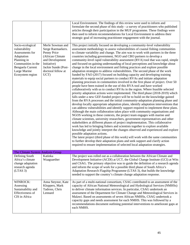|                                                                                                                                                                 |                                                                                                                                                                 | Local Environment. The findings of this review were used to inform and<br>formulate the second phase of this study - a survey of practitioners who published<br>articles through their participation in the MUF programme. These findings were<br>then used to inform recommendations for Local Environment to address their<br>strategic goal of increasing practitioner engagement with the journal.                                                                                                                                                                                                                                                                                                                                                                                                                                                                                                                                                                                                                                                                                                                                                                                                                                                                                                                                                                                                                                                                                                                                                                                                                                                                                                                                                                                                                                                                                                                                                                                                                                                                                                                                                                                                                                                                                                   |
|-----------------------------------------------------------------------------------------------------------------------------------------------------------------|-----------------------------------------------------------------------------------------------------------------------------------------------------------------|----------------------------------------------------------------------------------------------------------------------------------------------------------------------------------------------------------------------------------------------------------------------------------------------------------------------------------------------------------------------------------------------------------------------------------------------------------------------------------------------------------------------------------------------------------------------------------------------------------------------------------------------------------------------------------------------------------------------------------------------------------------------------------------------------------------------------------------------------------------------------------------------------------------------------------------------------------------------------------------------------------------------------------------------------------------------------------------------------------------------------------------------------------------------------------------------------------------------------------------------------------------------------------------------------------------------------------------------------------------------------------------------------------------------------------------------------------------------------------------------------------------------------------------------------------------------------------------------------------------------------------------------------------------------------------------------------------------------------------------------------------------------------------------------------------------------------------------------------------------------------------------------------------------------------------------------------------------------------------------------------------------------------------------------------------------------------------------------------------------------------------------------------------------------------------------------------------------------------------------------------------------------------------------------------------|
| Socio-ecological<br>vulnerability<br>Assessments for<br>Adaptation<br>Planning in<br>Communities in the<br>Benguela Current<br>Large Marine<br>Ecosystem region | Merle Sowman and<br>Serge Raemaekers.<br>Penny Price<br>(African Climate<br>and Development<br>Initiative)<br>Jackie Sunde (Post-<br>doctoral fellow at<br>UCT) | This project initially focused on developing a community-level vulnerability<br>assessment methodology to assess vulnerabilities of coastal fishing communities<br>to climate variability and change. The aim was to work with partners in the three<br>countries including government, NGO and CBO partners to develop a<br>community-level rapid vulnerability assessment (RVA) tool that was rapid, simple<br>and focused on gaining understanding of local perceptions and knowledge about<br>change in the local environment and fishing practices and explore possible<br>adaptation strategies to address vulnerabilities. The second phase of the work<br>funded by FAO (2017) focused on building capacity and developing training<br>materials to equip social partners to conduct RVAs and initiate adaptation<br>planning processes in communities involved in the first phase of project. Over 50<br>people have been trained in the use of this RVA tool and have worked<br>collaboratively with us to conduct RVAs in the region. Where feasible selected<br>priority adaptation actions were implemented. The third phase (2018-2019) which<br>falls under a new GEF-funded project will be to build on the knowledge gained<br>from the RVA processes and the initial community-adaptation planning phase and<br>develop locally appropriate adaptation plans, identify adaptation interventions that<br>can address vulnerabilities and identify support required to implement these plans.<br>Although the main collaboration takes place with community organisations and<br>NGOS working in these contexts, the project team engages with marine and<br>climate scientists, university researchers, government representatives and other<br>stakeholders at different phases of project implementation. This collaborative<br>work has led to bringing fishers and scientists together to explore available<br>knowledge and jointly interpret the changes observed and experienced and explore<br>possible adaptation actions.<br>The latest project (third phase of this work) will work with the same communities<br>to further develop their adaptation plans and seek support and clarify action<br>required to ensure implementation of selected local adaptation strategies. |
| The Climate System Analysis Group                                                                                                                               |                                                                                                                                                                 |                                                                                                                                                                                                                                                                                                                                                                                                                                                                                                                                                                                                                                                                                                                                                                                                                                                                                                                                                                                                                                                                                                                                                                                                                                                                                                                                                                                                                                                                                                                                                                                                                                                                                                                                                                                                                                                                                                                                                                                                                                                                                                                                                                                                                                                                                                          |
| Defining South<br>Africa's climate<br>change adaptation<br>research agenda<br>(LTAS 3)                                                                          | Katinka<br>Waagsaether                                                                                                                                          | The project was rolled out as a collaboration between the African Climate and<br>Development Initiative (ACDI) at UCT, the Global Change Institute (GCI) at Wits<br>and CSAG. The primary objective was to guide the definition of a research agenda<br>and inform the scope of work for a possible third phase of South Africa's<br>Adaptation Research Flagship Programme (LTAS 3), that builds the knowledge<br>needed to support the country's climate change adaptation response.                                                                                                                                                                                                                                                                                                                                                                                                                                                                                                                                                                                                                                                                                                                                                                                                                                                                                                                                                                                                                                                                                                                                                                                                                                                                                                                                                                                                                                                                                                                                                                                                                                                                                                                                                                                                                   |
| WINROCK:<br>Assessing<br>Sustainability and<br>Effectiveness of<br>CIS in Africa                                                                                | Anna Steynor, Kate<br>Kloppers, Mark<br>Tadross, Chris<br>Lennard                                                                                               | As part of a multi-national consortium, CSAG contributed to an assessment of the<br>capacity of African National Meteorological and Hydrological Services (NMHSs)<br>to deliver climate information services. In particular, CSAG undertook an<br>assessment of the Department for Climate Change and Meteorological Services in<br>Malawi. Based on assessments of seven African NMHSs, CSAG undertook a<br>capacity gaps and needs assessment for each NMHS. This was followed by a<br>recommendations document outlining potential interventions to ameliorate gaps at<br>each NMHS.                                                                                                                                                                                                                                                                                                                                                                                                                                                                                                                                                                                                                                                                                                                                                                                                                                                                                                                                                                                                                                                                                                                                                                                                                                                                                                                                                                                                                                                                                                                                                                                                                                                                                                                  |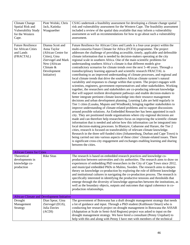| <b>Climate Change</b><br>Spatial Risk and<br><b>Vulnerability Study</b><br>for the Western<br>Cape. | Piotr Wolski, Chris<br>Jack, Katinka<br>Waagsaether                                                                                                        | CSAG undertook a feasibility assessment for developing a climate change spatial<br>risk and vulnerability assessment for the Western Cape. The feasibility assessment<br>included a review of the spatial data available that may inform a vulnerability<br>assessment as well as recommendations for how to go about such a vulnerability<br>assessment.                                                                                                                                                                                                                                                                                                                                                                                                                                                                                                                                                                                                                                                                                                                                                                                                                                                                                                                                                                                                                                                                                                                                                                                                                                                                                                                                                                                                                                                                                                                                                                                                                                                                                                                                                                                                                                                                                                                                                       |
|-----------------------------------------------------------------------------------------------------|------------------------------------------------------------------------------------------------------------------------------------------------------------|-----------------------------------------------------------------------------------------------------------------------------------------------------------------------------------------------------------------------------------------------------------------------------------------------------------------------------------------------------------------------------------------------------------------------------------------------------------------------------------------------------------------------------------------------------------------------------------------------------------------------------------------------------------------------------------------------------------------------------------------------------------------------------------------------------------------------------------------------------------------------------------------------------------------------------------------------------------------------------------------------------------------------------------------------------------------------------------------------------------------------------------------------------------------------------------------------------------------------------------------------------------------------------------------------------------------------------------------------------------------------------------------------------------------------------------------------------------------------------------------------------------------------------------------------------------------------------------------------------------------------------------------------------------------------------------------------------------------------------------------------------------------------------------------------------------------------------------------------------------------------------------------------------------------------------------------------------------------------------------------------------------------------------------------------------------------------------------------------------------------------------------------------------------------------------------------------------------------------------------------------------------------------------------------------------------------|
| <b>Future Resilience</b><br>for African Cities<br>and Lands<br>(FRACTAL)                            | Dianna Scott and<br>Anna Taylor<br>(African Centre for<br>Cities), Gina<br>Ziervogel and Mark<br>New (African<br>Climate $&$<br>Development<br>Initiative) | Future Resilience for African Cities and Lands is a four-year project within the<br>multi-consortia Future Climate for Africa (FCFA) programme. The project<br>addresses the challenge of providing accessible, timely, applicable and defensible<br>climate information that is needed by decision-makers operating at the city<br>regional scale in southern Africa. One of the main scientific problems for<br>understanding southern Africa's climate is that different models give<br>contradictory scenarios for climate trends over the next 5-40 years. Through a<br>transdisciplinary learning approach and scientific research FRACTAL is<br>contributing to an improved understanding of climate processes, and regional and<br>local climate trends that drive the southern African climate system's natural<br>variability and responses to change within that system. The project engages with<br>scientists, engineers, government representatives and other stakeholders. Working<br>together, the researchers and stakeholders are co-producing relevant knowledge<br>that will support resilient development pathways and enable decision-makers to<br>better integrate pertinent climate knowledge into their resource management<br>decisions and urban development planning. Learning Labs are held regularly in<br>Tier 1 cities (Lusaka, Maputo and Windhoek), bringing together stakeholders to<br>improve understanding of climate-related problems and to support discussions<br>around possible solutions. An Embedded Researcher has been appointed in each<br>city. They are positioned inside organisations where city-regional decisions are<br>made and can therefore help researchers focus on improving the scientific climate<br>information that is needed and advise how this information can be integrated into<br>local decision-making processes. In Blantyre, Gabarone and Harare, the Tier 2<br>cities, research is focused on transferability of relevant climate knowledge.<br>Research in the three self-funded cities (Johannesburg, Durban and Cape Town) is<br>being carried out into various aspects of these cities' climate-related issues. There<br>is significant cross-city engagement and exchanges enabling learning and sharing<br>between the cities. |
| <b>African Centre for Cities</b>                                                                    |                                                                                                                                                            |                                                                                                                                                                                                                                                                                                                                                                                                                                                                                                                                                                                                                                                                                                                                                                                                                                                                                                                                                                                                                                                                                                                                                                                                                                                                                                                                                                                                                                                                                                                                                                                                                                                                                                                                                                                                                                                                                                                                                                                                                                                                                                                                                                                                                                                                                                                 |
| Theoretical<br>developments in<br>knowledge co-<br>production                                       | <b>Rike Sitas</b>                                                                                                                                          | The research is based on embedded research practices and knowledge co-<br>production between universities and city authorities. The research aims to draw on<br>experiences of embedding PhD researchers in the City of Cape Town since 2012,<br>and municipal embedded PhDs in Malmo, Sweden. The research aims to deepen<br>theory on knowledge co-production by exploring the role of different knowledge<br>and institutional cultures in navigating the co-production process. The research is<br>specifically interested in identifying the productive tensions and thresholds that<br>emerge through the diversity of knowledge approaches between the institutions, as<br>well as the boundary objects, outputs and outcomes that signal coherence in co-<br>production relationships.                                                                                                                                                                                                                                                                                                                                                                                                                                                                                                                                                                                                                                                                                                                                                                                                                                                                                                                                                                                                                                                                                                                                                                                                                                                                                                                                                                                                                                                                                                                  |
|                                                                                                     | <b>African Climate and Development Initiative</b>                                                                                                          |                                                                                                                                                                                                                                                                                                                                                                                                                                                                                                                                                                                                                                                                                                                                                                                                                                                                                                                                                                                                                                                                                                                                                                                                                                                                                                                                                                                                                                                                                                                                                                                                                                                                                                                                                                                                                                                                                                                                                                                                                                                                                                                                                                                                                                                                                                                 |
| Drought<br>Management<br>Strategy                                                                   | Dian Spear, Gina<br>Ziervogel (EGS),<br>Julia Davies<br>(ACDI)                                                                                             | The government of Botswana has a draft drought management strategy that needs<br>a lot of guidance and input. Through a PhD student (Kulthoum Omari) who is<br>conducting her research project on drought management in Botswana the ASSAR<br>(Adaptation at Scale in Semi-Arid Regions) project was asked to input on the<br>drought management strategy. We have hired a consultant (Penny Urquhart) to<br>help with this and along with Penny I have met with members of the technical                                                                                                                                                                                                                                                                                                                                                                                                                                                                                                                                                                                                                                                                                                                                                                                                                                                                                                                                                                                                                                                                                                                                                                                                                                                                                                                                                                                                                                                                                                                                                                                                                                                                                                                                                                                                                       |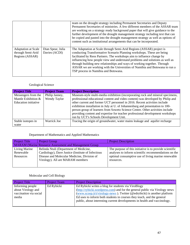|                                                                    |                                    | team on the drought strategy including Permanent Secretaries and Deputy<br>Permanent Secretaries of ministries. A few different members of the ASSAR team                                                                                                                                                                                                                                                                                                                                                   |  |  |
|--------------------------------------------------------------------|------------------------------------|-------------------------------------------------------------------------------------------------------------------------------------------------------------------------------------------------------------------------------------------------------------------------------------------------------------------------------------------------------------------------------------------------------------------------------------------------------------------------------------------------------------|--|--|
|                                                                    |                                    | are working on a strategy ready background paper that will give guidance to the<br>further development of the drought management strategy including text that can                                                                                                                                                                                                                                                                                                                                           |  |  |
|                                                                    |                                    | be copied and pasted into the drought management strategy as well as options of<br>content such as institutional arrangements that can be incorporated.                                                                                                                                                                                                                                                                                                                                                     |  |  |
| <b>Adaptation at Scale</b><br>through Semi-Arid<br>Regions (ASSAR) | Dian Spear, Julia<br>Davies (ACDI) | The Adaptation at Scale through Semi-Arid Regions (ASSAR) project is<br>conducting Transformative Scenario Planning workshops. These are being<br>facilitated by Reos Partners. The workshops aim to influence change by<br>influencing how people view and understand problems and solutions as well as<br>through building new relationships and ways of working together. Through<br>ASSAR we are working with the Universities of Namibia and Botswana to run a<br>TSP process in Namibia and Botswana. |  |  |

# Geological Science

| <b>Project Title</b>        | <b>Project Team</b> | <b>Project Description</b>                                                      |  |  |
|-----------------------------|---------------------|---------------------------------------------------------------------------------|--|--|
| Messengers from the         | Philip Janney,      | Museum-style multi-media exhibition (incorporating rock and mineral specimens,  |  |  |
| Mantle Exhibition &         | Wendy Taylor        | professional educational content and video content) was developed by Philip and |  |  |
| <b>Education</b> initiative |                     | other current and former UCT personnel in 2016. Recent activities include       |  |  |
|                             |                     | exhibition installation in July at U. of Johannesburg and presentation to 100-  |  |  |
|                             |                     | person group of learners from Soweto Science Centre. Other activities include   |  |  |
|                             |                     | providing content and expertise for teacher professional development workshops  |  |  |
|                             |                     | run by UCT's Schools Development Unit.                                          |  |  |
| Stable isotopes in          | Warrick Joe         | Tracing the origin of groundwater, water mains leakage and aquifer recharge     |  |  |
| water                       |                     |                                                                                 |  |  |

# Department of Mathematics and Applied Mathematics

| <b>Project Title</b>                                   | <b>Project Group</b>                               | <b>Project Description</b>                              |  |  |  |
|--------------------------------------------------------|----------------------------------------------------|---------------------------------------------------------|--|--|--|
| MARAM (Marine Resource Assessment and Management Group |                                                    |                                                         |  |  |  |
| Living Marine                                          | Belinda Ntuli (Department of Medicine,             | The purpose of this initiative is to provide scientific |  |  |  |
| Renewable                                              | Cardiology), Dave Justice (Institute of Infectious | analyses to inform scientific recommendations on the    |  |  |  |
| Resources                                              | Disease and Molecular Medicine, Division of        | optimal consumptive use of living marine renewable      |  |  |  |
|                                                        | Virology). All are MARAM members                   | resources.                                              |  |  |  |
|                                                        |                                                    |                                                         |  |  |  |

# Molecular and Cell Biology

| <b>Project Title</b>                                                      | <b>Project Team</b> | <b>Project Description</b>                                                                                                                                                                                                                                                                                                                                            |
|---------------------------------------------------------------------------|---------------------|-----------------------------------------------------------------------------------------------------------------------------------------------------------------------------------------------------------------------------------------------------------------------------------------------------------------------------------------------------------------------|
| Informing people<br>about Virology and<br>vaccination via social<br>media | Ed Rybicki          | Ed Rybicki writes a blog for students via ViroBlogy<br>(http://rybicki.wordpress.com) and for the general public via Virology news<br>(www.scoop.it/t/virology-news). Twitter (@edrybicki) is another platform<br>Ed uses to inform both students in courses they teach, and the general<br>public, about interesting current developments in health and vaccinology. |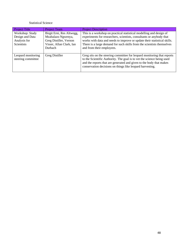# Statistical Science

| <b>Project Title</b>                                             | <b>Project Team</b>                                                                                                     | <b>Project Description</b>                                                                                                                                                                                                                                                                                                     |
|------------------------------------------------------------------|-------------------------------------------------------------------------------------------------------------------------|--------------------------------------------------------------------------------------------------------------------------------------------------------------------------------------------------------------------------------------------------------------------------------------------------------------------------------|
| Workshop: Study<br>Design and Data<br>Analysis for<br>Scientists | Birgit Erni, Res Altwegg,<br>Mzabalazo Ngwenya,<br>Greg Distiller, Vernon<br>Visser, Allan Clark, Ian<br><b>Durbach</b> | This is a workshop on practical statistical modelling and design of<br>experiments for researchers, scientists, consultants or anybody that<br>works with data and needs to improve or update their statistical skills.<br>There is a large demand for such skills from the scientists themselves<br>and from their employees. |
| Leopard monitoring<br>steering committee                         | Greg Distiller                                                                                                          | Greg sits on the steering committee for leopard monitoring that reports<br>to the Scientific Authority. The goal is to vet the science being used<br>and the reports that are generated and given to the body that makes<br>conservation decisions on things like leopard harvesting.                                          |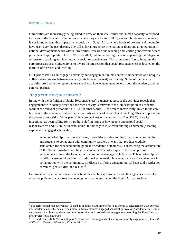#### Section C: Analysis

Universities are increasingly being asked to draw on their intellectual and human capacity to respond to issues in the broader communities in which they are located. UCT, a research intensive university, is not immune from this imperative, especially in South Africa where levels of poverty and inequality have risen over the past decade. The call is for an urgent re-orientation of focus and an integration of national development needs within universities' research and teaching and learning endeavours where possible and appropriate. Thus UCT, since 2004, put an increasing focus on supporting the integration of research, teaching and learning with social responsiveness. This conscious effort to integrate the core processes of the university is to thwart the impression that social responsiveness is located on the margins of research and teaching.

UCT prides itself as an engaged university and engagement in this context is understood as a uniquely collaborative process between science (in its broader context) and society. Some of the Faculty activities profiled in the report capture succinctly how engagement benefits both the academy and the external partner.

#### 'Engagement' is Integral to Scholarship

 $\overline{a}$ 

In line with the definition of Social Responsiveness<sup>9</sup>, a glance at most of the activities reveals that engagement with society described for each activity is relevant to the job description or academic work of the relevant person/unit at UCT. In other words, SR is seen as inextricably linked to the core business of the university, rather than an activity outside of research and teaching. This is important in the efforts to reposition SR as part of the core business of the university. The USRC, since its inception, has been calling for a paradigm shift in terms of how people understood social responsiveness and its link with scholarship. In this regard it is worth quoting Sandmann (a leading exponent of engaged scholarship):

When scholarship... acts as the frame, it provides a stable architecture that enables faculty and students to collaborate with community partners in ways that produce credible scholarship for enhanced public good and academic outcomes.… constructing the architecture of the 'frame' involves coupling the standards of scholarship with the principles of engagement to form the foundation of community-engaged scholarship. This scholarship has significant structural parallels to traditional scholarship; however, because it is carried out in collaboration with the community, it reflects a differing epistemological basis and a wider set of values, goals, skills, and results.<sup>10</sup>

Empirical and qualitative research is critical for enabling government and other agencies to develop effective policies that address the development challenges facing the South African society.

<sup>&</sup>lt;sup>9</sup> The term 'social responsiveness' is used as an umbrella term to refer to all forms of engagement with external non-academic constituencies. The umbrella term embraces engaged scholarship involving academic staff, civic engagement involving students' community service, and professional engagement involving PASS staff using their professional expertise.

<sup>10</sup> L. Sandmann, 2006. 'Scholarship as Architecture: Framing and enhancing community engagement', *Journal of Physical Therapy Education,* Volume 20 No.3.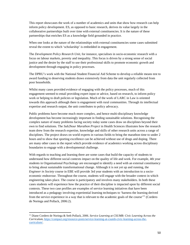This report showcases the work of a number of academics and units that show how research can help inform policy development. ES, as opposed to basic research, derives its value largely in the collaborative partnerships built over time with external constituencies. It is the nature of these partnerships that enriches ES as a knowledge field grounded in practice.

When one looks at the nature of the relationships with external constituencies some cases submitted reveal the extent to which 'scholarship' is embedded in engagement.

The *Development Policy Research Unit*, for instance, specialises in socio-economic research with a focus on labour markets, poverty and inequality. This focus is driven by a strong sense of social justice and the desire by the staff to use their professional skills to promote economic growth and development through engaging in policy processes.

The DPRU's work with the National Student Financial Aid Scheme to develop a reliable means test to award funding to deserving students draws extensively from data the unit regularly collected from poor households.

Whilst many cases provided evidence of engaging with the policy processes, much of this engagement seemed to entail providing expert input or advice, based on research, to inform policy work or helping to draft policies or legislation. Much of the work of LARC in Law is oriented towards this approach although there is engagement with rural communities. Through its intellectual expertise and research output, the unit contributes to policy advocacy.

Public problems have become much more complex, and hence multi-disciplinary knowledge development has become increasingly important in finding sustainable solutions. Recognising the complex nature of many problems facing society today some cases draw on disciplines beyond their own to find solutions. The *Sub2hour Marathon Project* in Health Sciences illustrates how the research team drew from the research expertise, knowledge and skills of other research units across a range of disciplines. The project draws on world experts in various fields to bring the marathon time to under 2 hours and to show that sporting excellence can be achieved without use of drugs and doping. There are many other cases in the report which provide evidence of academics working across disciplinary boundaries to engage with a developmental challenge.

With regards to teaching and learning there are some cases that build the capacity of students to understand how different social contexts impact on the quality of life and work. For example, 4th year students in Organisational Psychology are encouraged to identify a need with an external constituency to bring about sustainable transformational change. Although it is not yet up and running, the *Engineer in Society* course in EBE will provide 3rd year students with an introduction to a socioeconomic endeavour. Throughout the course, students will engage with the broader context in which engineering takes place. The course is participatory and involves many stakeholders. In both these cases students will experience how the practice of their discipline is impacted upon by different social contexts. These two case profiles are examples of service learning initiatives that have been introduced as a pedagogy involving experiential learning techniques to 'harness the learning derived from the service experience in a way that is relevant to the academic goals of the course'<sup>11</sup> (Cordero de Noriega and Pollack, 2006:2).

 $\overline{a}$ 

<sup>11</sup> Diane Cordero de Noriega & Seth Pollack, 2006. *Service Learning at CSUMB: Civic Learning Across the Curriculum*, https://compact.org/resource-posts/service-learning-at-csumb-civic-learning-across-thecurriculum/.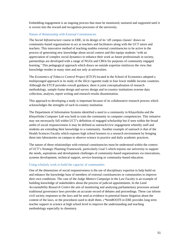Embedding engagement is an ongoing process that must be monitored, nurtured and supported until it is woven into the reward and recognition processes of the university.

#### Nature of Relationship with External Constituencies

The *Social Infrastructure* course in EBE, in its design of its 'off campus classes' draws on community-based organisations to act as teachers and facilitators along with the UCT tutors and teachers. This innovative method of teaching enables external constituencies to be active in the process of generating new knowledge about social context and this equips students 'with an appreciation of complex social dynamics to enhance their work as future professionals in society, partnerships are developed with a range of NGOs and CBOs for purposes of community engaged learning.' This pedagogical approach which draws on outside expertise reinforces the view that knowledge resides in many sites and not only at universities.

The *Economics of Tobacco Control Project* (ETCP) located in the School of Economics adopted a multipronged approach in its study of the illicit cigarette trade in four lower middle income countries. Although the ETCP provides overall guidance, there is joint conceptualisation of research methodology, sample frame design and survey design and in-country institutions oversee data collection, analysis, report writing and research results dissemination.

This approach to developing a study is important because of its collaborative research process which acknowledges the strengths of each in-country institution.

The Department of Information Systems identified a need in a community in Khayelitsha and the *Khayelitsha Computer Lab* was built to train the community in computer competencies. This initiative may not necessarily fall within UCT's definition of engaged scholarship but if seen within the broad ambit of social responsiveness it may be defined as outreach/civic engagement whereby staff and students are extending their knowledge to a community. Another example of outreach is that of the Health Sciences Faculty which exposes high school learners to a research environment by bringing them into laboratories on campus to observe science in practice and daily academic practices.

The nature of these relationships with external constituencies must be understood within the context of UCT's Strategic Planning Framework, particularly Goal 5 which enjoins our university to support the needs, aspirations and development challenges of community-based organisations via innovations, systems development, technical support, service-learning or community-based education.

#### Using scholarly work to build the capacity of communities

One of the dimensions of social responsiveness is the use of disciplinary expertise to help build on and enhance the knowledge base of members of external constituencies or communities to improve their own conditions. The case of the *Judge Matters Campaign* in the Law Faculty is an example of building knowledge of stakeholders about the process of judicial appointments. In the *Land Accountability Research Centre* the aim of monitoring and analysing parliamentary processes around traditional governance laws provides an accurate record of debates and proceedings. These can inform civil society responses to the laws and be used as evidence in potential future litigation about the content of the laws, or the procedures used to draft them. *c\*hemROOTS* in EBE provides long term teacher support in science at high school level to improve the understanding and teaching methodology especially in chemistry.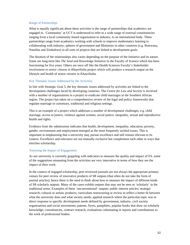# Range of Partnerships

What is equally significant about these activities is the range of partnerships that academics are engaged in. 'Community' at UCT is understood to refer to a wide range of external constituencies ranging from a local community-based organisation to industry, to an international body. These partnerships range from academics working with schools to improve mathematics learning to collaborating with industry, spheres of government and Ministries in other countries (e.g. Botswana, Namibia and Zimbabwe) in all sorts of projects that are linked to development goals.

The duration of the relationships also varies depending on the purpose of the initiative and its nature. Some are long-term like *The Seed and Knowledge Initiative* in the Faculty of Science which has been functioning for five years. Others are once off like the Health Sciences Faculty's *Stakeholder involvement in senior citizens in Khayelitsha* project which will produce a research output on the lifestyle and health of senior citizens in Khayelitsha.

# Key Thematic Issues Addressed by the Activities

In line with Strategic Goal 5, the key thematic issues addressed by activities are linked to the development challenges faced by developing countries. The *Centre for Law and Society* is involved with a number of organisations in a project to eradicate child marriages in the Southern African region. The project has taken on a comprehensive review of the legal and policy frameworks that regulate marriage in customary, traditional and religious settings.

This is an example of a project which addresses a number of development challenges, e.g. child marriage, access to justice, violence against women, social justice, inequality, sexual and reproductive health and rights.

Evidence from the submissions indicates that health, development, inequality, education, poverty, gender, environment and employment emerged as the most frequently tackled issues. This is important in emphasising that a university may pursue excellence and still remain relevant to its context. Excellence and relevance are not mutually exclusive but complement each other in ways that enriches scholarship.

# Assessing the Impact of Engagement

As our university is currently grappling with indicators to measure the quality and impact of ES, some of the suggestions emanating from the activities are very innovative in terms of how they see the impact of their work.

In the context of engaged scholarship, peer-reviewed journals are not always the appropriate primary venues for peer review of innovative products of SR outputs (that often do not take the form of journal articles); hence there is the need to think about how to measure the impact of different kinds of SR scholarly outputs. Many of the cases exhibit outputs that may not be seen as 'scholarly' in the traditional sense. Examples of these 'unconventional' outputs: public interest articles; strategic research; cultural or artistic products; curriculum restructuring or review to reflect a better fit between what the university does and what society needs; applied research where the particular topic was in direct response to specific development needs defined by government, industry, civil society organisations and social movements; patents; flyers, pamphlets, popular books that draw on scholarly knowledge; consultancies, contract research, evaluations culminating in reports and contributions to the work of professional bodies.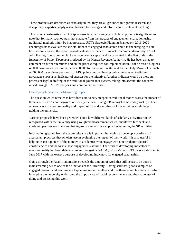These products are described as scholarly in that they are all grounded in rigorous research and disciplinary expertise, apply research-based technology and inform context-relevant teaching.

This is not an exhaustive list of outputs associated with engaged scholarship, but it is significant to note that for many such outputs that emanate from the practice of engagement evaluation using traditional methods might be inappropriate. UCT's Strategic Planning Framework 2016-2020 encourages us to evaluate the societal impact of engaged scholarship and it is encouraging to note how several cases in the report provide valuable evidence of impact. Recommendations by A/Prof John Hatting from Commercial Law have been accepted and incorporated in the first draft of the *International Policy Document* produced by the Kenya Revenue Authority. He has been asked to comment on further iterations and on the process required for implementation. Prof de Vos's blog has 40 000 page views per month, he has 90 000 followers on Twitter and on the Daily Maverick a reach of 500 000 page views per month. LARC points out that having public debates on traditional governance laws is an indicator of success for the initiative. Another indicator would be thorough process of legal redrafting of the traditional governance system, taking into account the concerns raised through LARC's analyses and community activists.

# Developing Indicators for Measuring Impact

The question which remains is how does a university steeped in traditional modes assess the impact of these activities? As an 'engaged' university the new Strategic Planning Framework (Goal 5) is keen on new ways to measure quality and impact of ES and a synthesis of the activities might help in guiding the university.

Various proposals have been generated about how different kinds of scholarly activities can be recognised within the university using weighted measurement scales, qualitative feedback and academic peer review to ensure that rigorous standards are applied in assessing the SR activities.

Information gleaned from the submissions are is important in helping us develop a portfolio of assessment practices that scholars use in evaluating the impact of their work. It is also useful in helping us get a picture of the number of academics who engage with non-academic external constituencies and the forms these engagements assume. The work of developing indicators to measure quality has been delegated to an *Engaged Scholarship Task Team* (ESTT) was established in June 2017 with the express purpose of developing indicators for engaged scholarship.

Going through the Faculty submissions reveals the amount of work that still needs to be done in mainstreaming SR as one of the functions of the university. Having said that, good examples of engaged research and teaching are happening in our faculties and it is these examples that are useful in helping the university understand the importance of social responsiveness and the challenges of doing and assessing this work.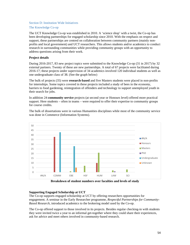#### Section D: Institution Wide Initiatives

## The Knowledge Co-op

The UCT Knowledge Co-op was established in 2010. A 'science shop' with a twist, the Co-op has been developing partnerships for engaged scholarship since 2010. With the emphasis on respect and support, these partnerships are centred on collaboration between community partners (mainly nonprofits and local government) and UCT researchers. This allows students and/or academics to conduct research in surrounding communities while providing community groups with an opportunity to address questions arising from their work.

# **Project details**

During 2016-2017, 83 new project topics were submitted to the Knowledge Co-op (31 in 2017) by 32 external partners. Twenty of these are new partnerships. A total of 67 projects were facilitated during 2016-17; these projects under supervision of 34 academics involved 120 individual students as well as one undergraduate class of 38. (See the graph below)

The bulk of projects (35) were **research-based** and five Masters students were placed in non-profits for internships. Some topics covered in these projects included a study of bees in the economy, barriers to food gardening, reintegration of offenders and technology to support unemployed youth in their search for jobs.

In addition 24 **community service** projects (at second year or Honours level) offered more practical support. Here students – often in teams – were required to offer their expertise to community groups for course credits.

The bulk of dissertations were in various Humanities disciplines while most of the community service was done in Commerce (Information Systems).



**Breakdown of student numbers over faculties and levels of study** 

# **Supporting Engaged Scholarship at UCT**

The Co-op supports engaged scholarship at UCT by offering researchers opportunities for engagement. A seminar in the Early Researcher programme, *Respectful Partnerships for Community-Based Research,* introduced academics to the brokering model used by the Co-op.

The Co-op offered support to those involved in its projects. Besides regular checking-in with students they were invited twice a year to an informal get-together where they could share their experiences, ask for advice and meet others involved in community-based research.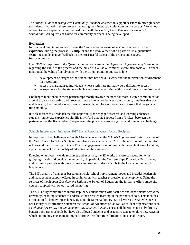*The Student Guide: Working with Community Partners* was used in support sessions to offer guidance to students involved in these projects regarding their interaction with community groups. Workshops offered to their supervisors familiarised them with the *Code of Good Practice for Engaged Scholarship*. An equivalent *Guide* for community partners is being developed.

# **Evaluation**

In its annual quality assurance process the Co-op assesses stakeholders' satisfaction with their **experience** during the process, its **outputs** and the **involvement** of all partners. In a qualitative section respondents give feedback on the **most useful** aspect of the project and suggest **improvements**.

Over 90% of responses in the Quantitative section were in the '*Agree'* or '*Agree strongly'* categories regarding the value of the process and the bulk of Qualitative comments were also positive. Partners mentioned the value of involvement with the Co-op, pointing out issues like

- development of insight of the student into how NGO's work and the intervention environment they work in;
- access to marginalised individuals whose stories are normally very difficult to access;
- an experience for the student which was closest to working within a real life work environment.

Challenges mentioned in these partnerships mostly involve the need for more, clearer communication around expectation-setting and processes; more interaction between the partners; timelines that don't match easily; the limited scope of student research; and lack of resources to ensure that projects can run smoothly.

It is clear from this feedback that the opportunity for engaged research and learning enhances students' university experience significantly. And that the support from a 'broker' between the partners – like the Knowledge Co-op – eases the process. Resourcing this work remains a challenge.

# Schools Improvement Initiative: 2017 Social Responsiveness Award Recipient

In response to the challenges in South African education, the *Schools Improvement Initiative* - one of the Vice Chancellor's four Strategic Initiatives - was launched in 2012. The intention of the initiative is to extend the University of Cape Town's engagement in schooling with the explicit aim of making a positive impact on the quality of education in the classroom.

Drawing on university-wide resources and expertise, the SII works in close collaboration with groupings inside and outside the university, in particular the Western Cape Education Department, and currently partners with three primary and two secondary schools in the local community of Khayelitsha.

The SII's theory of change is based on a whole-school improvement model and includes leadership and management support offered in conjunction with teacher professional development. Using the services of *the Schools Development Unit* in the School of Education, the initiative offers university courses coupled with school-based mentoring.

The SII is fully committed to interdisciplinary collaboration with faculties and departments across the university, enabling students to undertake their service learning in the partner schools. This includes Occupational Therapy; Speech & Language Therapy; Audiology; Social Work; the Knowledge Coop; Library & Information Sciences; the School of Architecture; as well as student organisations such as *Ubunye*, *SHAWCO* and *Students for Law & Social Justice*. These collaborations not only directly benefit our partner schools but have also allowed students and academic staff to explore new ways in which community engagement might inform curriculum transformation and social justice.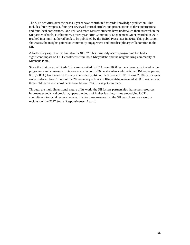The SII's activities over the past six years have contributed towards knowledge production. This includes three symposia, four peer-reviewed journal articles and presentations at three international and four local conferences. One PhD and three Masters students have undertaken their research in the SII partner schools. Furthermore, a three-year NRF Community Engagement Grant awarded in 2015 resulted in a multi-authored book to be published by the HSRC Press later in 2018. This publication showcases the insights gained on community engagement and interdisciplinary collaboration in the SII.

A further key aspect of the Initiative is *100UP*. This university access programme has had a significant impact on UCT enrolments from both Khayelitsha and the neighbouring community of Mitchells Plain.

Since the first group of Grade 10s were recruited in 2011, over 1000 learners have participated in the programme and a measure of its success is that of its 963 matriculants who obtained B-Degree passes, 851 (or 88%) have gone on to study at university, 446 of them here at UCT. During 2018 63 first-year students drawn from 19 out of the 20 secondary schools in Khayelitsha registered at UCT – an almost three-fold increase in enrolments from before *100UP* was put into place.

Through the multidimensional nature of its work, the SII fosters partnerships, harnesses resources, improves schools and crucially, opens the doors of higher learning – thus embodying UCT's commitment to social responsiveness. It is for these reasons that the SII was chosen as a worthy recipient of the 2017 Social Responsiveness Award.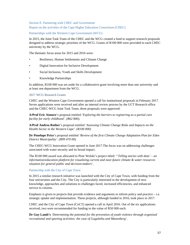Section E: Partnering with CHEC and Government

Report on the activities of the Cape Higher Education Consortium (CHEC)

Partnerships with the Western Cape Government (WCG)

In 2015, the Joint Task Team of the CHEC and the WCG created a fund to support research proposals designed to address strategic priorities of the WCG. Grants of R100 000 were provided to each CHEC university by the WCG.

The thematic focus areas for 2015 and 2016 were:

- Resilience, Human Settlements and Climate Change
- Digital Innovation for Inclusive Development
- Social Inclusion, Youth and Skills Development
- Knowledge Partnerships

In addition, R100 000 was set aside for a collaborative grant involving more than one university and at least one department from the WCG.

#### 2017 WCG Research Grants

CHEC and the Western Cape Government opened a call for institutional proposals in February 2017. Seven applications were received and after an internal review process by the UCT Research office and the CHEC-WCG Joint Task Team, three proposals were approved:

**A/Prof Eric Atmore**'s proposal entitled '*Exploring the barriers to registering as a partial care facility for early childhood'. (R62 800),*

**A/Prof Andrea Rother**'s proposal entitled '*Assessing Climate Change Risks and Impacts on the Health Sector in the Western Cape'. (R100 000)* 

**Dr Penelope Price**'s proposal entitled *'Review of the first Climate Change Adaptation Plan for Eden District Municipality'. (R99 470 00).* 

The CHEC-WCG Innovation Grant opened in June 2017.The focus was on addressing challenges associated with water security and its broad impact.

The R100 000 award was allocated to Piotr Wolski's project titled: ''*Telling stories with data' – an information/education platform for visualizing current and near-future climate & water resources situation for general public and decision-makers'.* 

#### Partnership with the City of Cape Town

In 2015 a similar research initiative was launched with the City of Cape Town, with funding from the four universities and the City. The City is particularly interested in the development of new knowledge, approaches and solutions to challenges faced, increased efficiencies, and enhanced service to citizens.

Emphasis is given to projects that provide evidence and arguments to inform policy and practice  $-i.e.$ strategic uptake and implementation. These projects, although funded in 2016, took place in 2017.

CHEC and the City of Cape Town (CoCT) opened a call in April 2016. Out of the six applications received, two were recommended for funding to the value of R50 000 each:

**Dr Guy Lamb's** *'Determining the potential for the prevention of youth violence through organised recreational and sporting activities: the case of Gugulethu and Manenberg'*.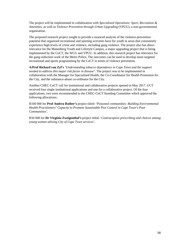The project will be implemented in collaboration with *Specialised Operations: Sport, Recreation & Amenities*, as well as *Violence Prevention through Urban Upgrading* (VPUU), a non-governmental organisation.

The proposed research project sought to provide a nuanced analysis of the violence-prevention potential that organised recreational and sporting activities have for youth in areas that consistently experience high levels of crime and violence, including gang violence. The project also has direct relevance for the Manenberg Youth and Lifestyle Campus, a major upgrading project that is being implemented by the CoCT, the WCG and VPUU. In addition, this research project has relevance for the gang-reduction work of the Metro Police. The outcomes can be used to develop more targeted recreational and sports programming by the CoCT in terms of violence prevention.

**A/Prof Richard van Zyl's** *'Understanding tobacco dependence in Cape Town and the support needed to address this major risk factor in disease'*. The project was to be implemented in collaboration with the Manager for Specialised Health, the Co-Coordinator for Health Promotion for the City, and the substance-abuse co-ordinator for the City.

Another CHEC-CoCT call for institutional and collaborative projects opened in May 2017. UCT received four single institutional applications and one for a collaborative project. Of the four applications, two were recommended to the CHEC-CoCT Standing Committee which approved the following allocations:.

R100 000 for **Prof Andrea Rother's** project titled: '*Poisoned communities: Building Environmental Health Practitioners' Capacity to Promote Sustainable Pest Control in Cape Town's Poor Communities'.*

R50 000 for **Dr Virginia Zweigenthal's** project titled: '*Contraceptive prescribing and choices among young women utlising City of Cape Town services'.*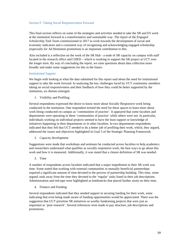## Section F: Taking Social Responsiveness Forward

This final section reflects on some of the strategies and activities needed to take the SR and ES work at the institution forward in a transformative and sustainable way. The report of the *Engaged Scholarship Task Team* commissioned in 2017 to work towards the development of social and economic indicators and a consistent way of recognising and acknowledging engaged scholarship (especially for Ad Hominem promotion) is an important contribution to this.

Also included is a reflection on the work of the SR Hub - a node of SR capacity on campus with staff located in the research office and CHED – which is working to support the SR project at UCT over the longer term. By way of concluding the report, we raise questions about data collection more broadly and make some suggestions for this in the future.

# Institutional Support

We begin with looking at what the data submitted for this report said about the need for institutional support to take the work forward. In analysing the key challenges faced by UCT community members taking on social responsiveness and their feedback of how they could be better supported by the institution, six themes emerged.

1. Visibility and Profiling

Several respondents expressed the desire to know more about Socially Responsive work being conducted in the institution. One respondent termed the need for these spaces to learn more about work being conducted on campus as 'communities of practise'. It appeared that some faculties and departments were operating in these 'communities of practise' while others were not. In particular, individuals working on individual projects seemed to have the least support or knowledge of initiatives happening in their departments or in other faculties. In two departments respondents indicated that they felt that UCT needed to do a better job of profiling their work, which, they argued, addressed the issues and objectives highlighted in Goal 5 of the Strategic Planning Framework.

2. Capacity development

Suggestions were made that workshops and seminars be conducted across faculties to help academics and researchers understand what qualifies as socially responsive work, the best ways to go about this work and how it is measured. Additionally, it was stated that a clearer definition of SR was needed.

3. Time

A number of respondents across faculties indicated that a major impediment to their SR work was time. Some stated that working with external communities in mutually beneficial partnerships required a significant amount of time devoted to the process of partnership building. This time, some argued, took away from the time they devoted to the 'regular' tasks listed in their job descriptions. Administration and red-tape were highlighted as bottlenecks that placed further strain on their time.

4. Finance and Funding

Several respondents indicated that they needed support in securing funding for their work, some indicating that even being made aware of funding opportunities would be appreciated. There was the suggestion that UCT prioritise SR initiatives as worthy fundraising projects that were just as important as 'pure research'. Several references were made to pay structure, job descriptions and promotions.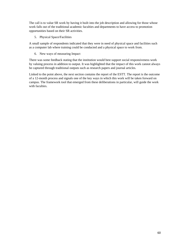The call is to value SR work by having it built into the job description and allowing for those whose work falls out of the traditional academic faculties and departments to have access to promotion opportunities based on their SR activities.

5. Physical Space/Facilities

A small sample of respondents indicated that they were in need of physical space and facilities such as a computer lab where training could be conducted and a physical space to work from.

6. New ways of measuring Impact

There was some feedback stating that the institution would best support social responsiveness work by valuing process in addition to output. It was highlighted that the impact of this work cannot always be captured through traditional outputs such as research papers and journal articles.

Linked to the point above, the next section contains the report of the ESTT. The report is the outcome of a 12-month process and signals one of the key ways in which this work will be taken forward on campus. The framework tool that emerged from these deliberations in particular, will guide the work with faculties.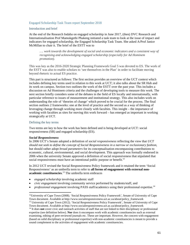#### Engaged Scholarship Task Team report September 2018

## Introduction and brief

At the end of the Research Indaba on engaged scholarship in June 2017, (then) DVC Research and Internationalisation Prof Mamokgethi Phakeng initiated a task team to look at the issue of impact and indicators for engaged scholarship, the Engaged Scholarship Task Team. She asked A/Prof Janice McMillan to chair it. The brief of the ESTT was to

*…. work towards the development of social and economic indicators and a consistent way of recognising and acknowledging engaged scholarship (especially for Ad Hominem promotion).* 

This was key as the 2016-2020 Strategic Planning Framework Goal 5 was devoted to ES. The work of the ESTT was also to enable scholars to 'see themselves in the Plan' in order to facilitate moving beyond rhetoric to actual ES practice.

This part is structured as follows: The first section provides an overview of the UCT context which includes defining key terms used in relation to this work at UCT; it also talks about the SR Hub and its work on campus. Section two outlines the work of the ESTT over the past year. This includes a discussion on Ad Hominem criteria and the challenges of developing tools to measure this work. The next section briefly considers some of the debates in the field of ES locally and internationally, with particular reference to issues of measurement and institutional strategy. This also includes work on understanding the role of 'theories of change' which proved to be crucial for the process. The final section outlines 2 frameworks: one at the level of practice and the second as a way of thinking of leveraging change through working more closely with faculties. This insight – the importance of working with faculties as sites for moving this work forward – has emerged as important in working strategically at UCT.

## Defining the key terms

Two terms are key to how the work has been defined and is being developed at UCT: social responsiveness (SR) and engaged scholarship (ES).

#### *Social Responsiveness*

 $\overline{a}$ 

In 2006 UCT's Senate adopted a definition of *social responsiveness* reflecting the view that *UCT should not seek to define the concept of Social Responsiveness in a narrow or exclusionary fashion,* but should rather adopt *broad parameters* for its conceptualisation encompassing contributions to economic, cultural, environmental, and social development. This approach was formally endorsed in 2006 when the university Senate approved a definition of social responsiveness that stipulated that social responsiveness must have an intentional public purpose or benefit.<sup>12</sup>

In 2012 UCT revised the Social Responsiveness Policy framework and it retained the term 'Social Responsiveness' as an umbrella term to refer to **all forms of engagement with external nonacademic constituencies**. 13 The umbrella term embraces

- *engaged scholarship* involving academic staff
- *civic engagement* involving community service performed by students/staff, and
- *professional engagement* involving PASS staff/academics using their professional expertise.<sup>14</sup>

<sup>&</sup>lt;sup>12</sup>University of Cape Town (2008). 'Social Responsiveness Policy Framework', Senate of University of Cape Town document. Available at http://www.socialresponsiveness.uct.ac.za/about/policy\_framework

<sup>&</sup>lt;sup>13</sup> University of Cape Town (2012). 'Social Responsiveness Policy Framework', Senate of University of Cape Town document. Available at http://www.socialresponsiveness.uct.ac.za/about/policy\_framework

<sup>&</sup>lt;sup>14</sup> It does **not** cover civic and outreach activities of staff that are not linked to their disciplinary or professional expertise (see definition below). **Nor** does it encompass work with academic constituencies such as external examining, editing of peer-reviewed journals etc. These are important. However, the concern with engagement (based on solid disciplinary or professional expertise) with non-academic constituencies is meant to provide a sound complement to the activities of engagement with academic constituencies.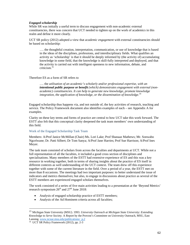# *Engaged scholarship*

While SR was initially a useful term to discuss engagement with non-academic external constituencies, there was concern that UCT needed to tighten up on the work of academics in this realm and define it more clearly.

UCT SR policy (2012) adopted a view that *academic engagement* with external constituencies should be based on scholarship:

…. the thoughtful creation, interpretation, communication, or use of knowledge that is based in the ideas of the disciplines, professions, and interdisciplinary fields. What qualifies an activity as 'scholarship' is that it should be deeply informed by (the activity of) accumulating knowledge in some field, that the knowledge is skill-fully interpreted and deployed, and that the activity is carried out with intelligent openness to new information, debate, and criticism.15

# Therefore ES as a form of SR refers to

…. the *utilisation of an academic's scholarly and/or professional expertise, with an intentional public purpose or benefit (which) demonstrates engagement with external (nonacademic) constituencies. It can help to generate new knowledge, promote knowledge integration, the application of knowledge, or the dissemination of knowledge.<sup>16</sup>*

Engaged scholarship thus happens via, and not outside of, the key activities of research, teaching and service. The Policy Framework document also identifies examples of each – see Appendix A for examples.

Clarity on these key terms and forms of practice are central to how UCT take this work forward. The ESTT also felt that this conceptual clarity deepened the task team members' own understanding of this field.

# Work of the Engaged Scholarship Task Team

Members: A/Prof Janice McMillan (Chair) Ms. Lori Lake; Prof Shanaaz Mathews; Mr. Sonwabo Ngcelwane; Dr. Patti Silbert; Dr Tom Sanya; A/Prof Jane Harries; Prof Sue Harrison; A/Prof Ines Meyer.

The task team consisted of scholars from across the faculties and departments at UCT. While not a full representation of all the faculties, it included a good cross section of disciplines and specialisations. Many members of the ESTT had extensive experience of ES and this was a key resource in working together, both in terms of sharing insights about the practice of ES itself in different contexts as well understanding of the UCT context. The team drew off this experience together with some of the current literature in the field. Over a period of a year, the ESTT met on more than 8 occasions. The meetings had two important purposes: to better understand the issue of indicators and metrics themselves; but also, to engage in discussions about practice as several of the ESTT members are experienced engaged scholars themselves.

The work consisted of a series of five main activities leading to a presentation at the 'Beyond Metrics' research symposium  $26<sup>th</sup>$  and  $27<sup>th</sup>$  June 2018:

- Analysis of engaged scholarship practice of ESTT members;
- Analysis of the Ad Hominem criteria across all faculties;

 $\overline{a}$ 

<sup>15</sup> Michigan State University (MSU). 1993. *University Outreach at Michigan State University: Extending Knowledge to Serve Society.* A Report by the Provost's Committee on University Outreach, MSU, East Lansing. www.ncsue.msu.edu/publications/ p,2

<sup>16</sup> UCT SR Policy Framework (2012), pp. 2-3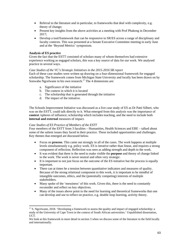- Referral to the literature and in particular, to frameworks that deal with complexity, e.g. theory of change;
- Present key insights from the above activities at a meeting with Prof Phakeng in December 2017;
- Develop a tool/framework that can be responsive to SR/ES across a range of disciplinary and faculty contexts. This was presented at a Senate Executive Committee meeting in early June and at the 'Beyond Metrics' symposium.

# **Analysis of ES practice**

Given the fact that the ESTT consisted of scholars many of whom themselves had extensive experience working as engaged scholars, this was a key source of data for our work. We analysed practice in several ways.

# *Case Studies of the VC's Strategic Initiatives in the 2015-2016 SR report*

Each of these case studies were written up drawing on a four-dimensional framework for engaged scholarship. The framework comes from Michigan State University and locally has been drawn on by Sonwabo Ngcelwane in his own research.<sup>17</sup> The 4 dimensions are:

- a. Significance of the initiative
- b. The context in which it is located
- c. The scholarship that is generated through the initiative
- d. The impact of the initiative.

The Schools Improvement Initiative was discussed as a live case study of ES as Dr Patti Silbert, who was on the ESTT, could talk directly to it. What emerged from this analysis was the importance of **context** /spheres of influence; scholarship which includes teaching, and the need to include both **internal and external** measures of impact.

# *Case Studies of ES Practice of Members of the ESTT*

Four members of the ESTT from 3 faculties – Humanities, Health Sciences and EBE – talked about some of the salient issues they faced in their practice. These included opportunities and challenges. Key themes that emerged are discussed below.

- Focus on **process**. This came out strongly in all of the cases. The work happens at multiple levels simultaneously e.g. policy work. ES is iterative rather than linear, and requires a strong component of reflection. Reflection was seen as adding strength and depth to the work.
- It was evident that there is the need to make visible the **purpose** and theory of change linked to the work. The work is never neutral and often very strategic.
- It is important to not just focus on the outcome of the ES initiative but the process is equally important.
- There can at times be a tension between quantitative indicators and measures of quality. Because of the strong relational component to this work, it is important to be mindful of intangible outcomes, ethics, and the (potentially competing) interests of multiple stakeholders.
- Many spoke of the 'messiness' of this work. Given this, there is the need to constantly reconsider and reflect on key objectives.
- Many of the issues above point to the need for learning and theoretical frameworks that one can develop and use to reflect on practice, e.g. double loop learning, activity theory.

 $\overline{a}$  $17$  S. Ngcelwane, 2018. 'Developing a framework to assess the quality and impact of engaged scholarship: a study of the University of Cape Town in the context of South African universities.' Unpublished dissertation, UCT.

We look at this framework in more detail in section 3 when we discuss some of the literature in the field locally and internationally.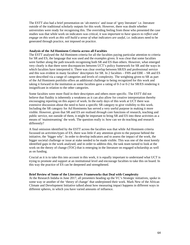The ESTT also had a brief presentation on 'alt-metrics' and issue of 'grey literature' i.e. literature outside of the traditional scholarly outputs for this work. However, there was doubt whether universities were ready for recognising this. The overriding feeling from those who presented the case studies was that while work on indicators was critical, it was i*mportant to have spaces to reflect and engage on this work as this will build a sense of what indicators are useful,* i.e. indicators need to be generated through practice, not imposed on practice.

# **Analysis of the Ad Hominem Criteria across all Faculties**

The ESTT analysed the Ad Hominem criteria for all the faculties paying particular attention to criteria for SR and ES, the language that was used and the examples given. It was clear that some faculties were further along the path towards recognising both SR and ES than others. However, what emerged very clearly is that there were discrepancies between UCT's policy framework for SR and the ways in which faculties have interpreted it. There was clear overlap between SR/ES and professional service and this was evident in many faculties' descriptors for SR. In 2 faculties – FHS and EBE – SR and ES were described via a range of categories and levels of complexity. The weighting given to SR as part of the Ad Hominem portfolio offers an additional challenge to being recognized for this work and taking it forward in the institution as some faculties gave a rating of 0-3 or 0-2 for SR/ES rendering it insignificant in relation to the other categories.

Some faculties were more fluid in their descriptors and others more specific. The ESTT did not believe that fluidity is inherently a weakness as it can also allow for creative interpretation thereby encouraging reporting on this aspect of work. In the early days of this work at UCT there was extensive discussion about the need to have a specific SR category to give visibility to this work. Including the SR category for Ad Hominems has served a very useful purpose in making it more visible. However, given that SR and ES are realised *through* core functions of research, teaching and public service, not outside of them, it might be important to bring SR and ES into these activities as a means of 'mainstreaming' the work. The question really is: how can we do teaching and research differently?

A final omission identified by the ESTT across the faculties was that while Ad Hominem criteria focussed on activities/types of ES, there was little if any attention given to the purpose behind the initiative, the 'bigger why'. In order to develop indicators and to assess the impact of the work, the bigger societal challenge or issue at stake needed to be made visible. This was one of the most keenly identified gaps in the work analysed, and in order to address this, the task team turned to look at the work on the theory of change (TOC) that is emerging in the literature on engaged scholarship as well as on funding.

Crucial as it is to take this into account in this work, it is equally important to understand what UCT is trying to promote and support at an institutional level and encourage faculties to take this on board. In this way the practice of ES can be deepened and strengthened.

#### **Brief Review of Some of the Literature: Frameworks that Deal with Complexity**

At the Research Indaba in June 2017, all presenters heading up the VC's Strategic initiatives, spoke in some way or another of the 'theory of change' that underpinned their work. Mark New of the African Climate and Development Initiative talked about how measuring impact happens in different ways in different spheres, in which you have varied amounts of influence.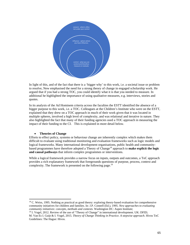

In light of this, and of the fact that there is a 'bigger why' to this work, i.e. a societal issue or problem to resolve, New emphasised the need for a strong theory of change in engaged scholarship work. He argued that if you had a strong TOC, you could identify what it is that you needed to measure. In additional he highlighted the importance of using qualitative measures, e.g. interviews, stories and quotes.

In its analysis of the Ad Hominem criteria across the faculties the ESTT identified the absence of a bigger purpose to this work, i.e. a TOC. Colleagues at the Children's Institute who were on the ESTT, explained that they drew on a TOC approach in much of their work given that it was located in multiple spheres, involved a high level of complexity, and was relational and iterative in nature. They also highlighted the fact that many of their funding agencies used a TOC approach in measuring the impact of their funding to the CI. This is explained in more detail below.

# **Theories of Change**

 $\overline{a}$ 

Efforts to effect policy, systems or behaviour change are inherently complex which makes them difficult to evaluate using traditional monitoring and evaluation frameworks such as logic models and logical frameworks. Many international development organisations, public health and communitybased programmes have therefore adopted a Theory of Change<sup>18</sup> approach to **make explicit the logic and causal pathways** that inform complex programmes or interventions.

While a logical framework provides a narrow focus on inputs, outputs and outcomes, a ToC approach provides a rich explanatory framework that foregrounds questions of purpose, process, context and complexity. The framework is presented on the following page.<sup>19</sup>

<sup>&</sup>lt;sup>18</sup> C. Weiss, 1995. Nothing as practical as good theory: exploring theory-based evaluation for comprehensive community initiatives for children and families. In: J.P. Connell (Ed.), 1995. *New approaches to evaluating* 

<sup>&</sup>lt;sup>19</sup> I. Vogel, 2012. Review of the use of "Theory of Change" in international development. UK: DFID; M. Van Es I. Guijt & I. Vogel, 2015. *Theory of Change Thinking in Practice. A stepwise approach.* Hivos ToC Guidelines: The Hague: Hivos.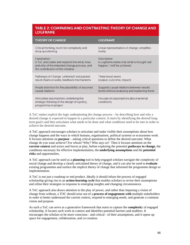# TABLE 2: COMPARING AND CONTRASTING THEORY OF CHANGE AND **LOGFRAME**

| <b>THEORY OF CHANGE</b>                                                                                                                            | <b>LOGFRAME</b>                                                                            |
|----------------------------------------------------------------------------------------------------------------------------------------------------|--------------------------------------------------------------------------------------------|
| Critical thinking, room for complexity and                                                                                                         | Linear representation of change, simplifies                                                |
| deep questioning                                                                                                                                   | reality                                                                                    |
| Explanatory:<br>A ToC articulates and explains the what, how,<br>and why of the intended change process, and<br>the contribution of the initiative | Descriptive:<br>A Logframe states only what is thought will<br>happen / 'will' be achieved |
| Pathways of Change, 'unlimited' and parallel                                                                                                       | Three result levels                                                                        |
| result chains or webs, feedback mechanisms                                                                                                         | (output, outcome, impact)                                                                  |
| Ample attention for the plausibility of assumed                                                                                                    | Suggests causal relations between results                                                  |
| causal relations                                                                                                                                   | levels without analysing and explaining these                                              |
| Articulates assumptions underlying the<br>strategic thinking of the design of a policy,<br>programme or project                                    | Focuses on assumptions about external<br>conditions                                        |

A ToC makes explicit the logic underpinning the change process – by describing how and why a desired change is expected to happen in a particular context. It starts by identifying the desired longterm goal/s and then articulates what needs to be done and what conditions need to be met in order to achieve the desired outcome.

A ToC approach encourages scholars to articulate and make visible their assumptions about how change happens and the ways in which humans, organisations, political systems or ecosystems work. It focuses attention on **purpose** – asking critical questions to define the desired outcome: What change do you want achieve? For whom? Why? Who says so? Then it focuses attention on the **current context** and actors and forces at play, before exploring the potential **pathways to change**, the conditions necessary for effective implementation, the **underlying assumptions** and the **potential risks** and opportunities.

A ToC approach can be used as a **planning** tool to help engaged scholars navigate the complexity of social change and develop a clearly articulated theory of change, and it can also be used to **evaluate** existing programmes and surface the implicit theory of change that informed the programme design or implementation.

A ToC is not just a roadmap or end product. Ideally it should infuse the process of engaged scholarship giving rise to an **action-learning cycle** that enables scholars to revise their assumptions and refine their strategies in response to emerging insights and changing circumstances.

A ToC approach also draws attention to the play of power, and rather than imposing a vision of change from without, a TOC should arise out of a **process of engagement with** multiple stakeholders in order to better understand the current context, respond to emerging needs, and generate a common vision and purpose.

As such a ToC can serve as a generative framework that starts to capture the **complexit**y of engaged scholarship. It locates such work in context and identifies potential barriers and enablers. It encourages the scholars to be more conscious - and critical - of their assumptions, and it opens up space for engagement, collaboration, and co-creation.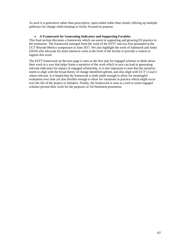As such it is generative rather than prescriptive, open-ended rather than closed, offering up multiple pathways for change while keeping us firmly focused on purpose.

# **A Framework for Generating Indicators and Supporting Faculties**

This final section discusses a framework which can assist in supporting and growing ES practice in the institution. The framework emerged from the work of the ESTT and was first presented at the UCT Beyond Metrics symposium in June 2017. We also highlight the work of Saltmarsh and Janke (2019) who advocate for more intensive work at the level of the faculty to provide a context to support this work.

The ESTT framework on the next page is seen as the first step for engaged scholars to think about their work in a way that helps frame a narrative of the work which in turn can lead to generating relevant indicators for impact of engaged scholarship. It is also important to note that the narrative needs to align with the broad theory of change identified upfront, and also align with UCT's Goal 5 where relevant. It is hoped that the framework is both stable enough to allow for meaningful evaluation over time yet also flexible enough to allow for variations in practice which might occur over the life of the project or initiative. Finally, the framework is seen as a tool to assist engaged scholars present their work for the purposes of Ad Hominem promotion.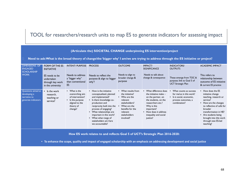# TOOL for researchers/research units to map ES to generate indicators for assessing impact

| (Articulate the) SOCIETAL CHANGE underpinning ES intervention/project                                                                |                                                                       |                                                                                                                  |                                                                                                                                                                                                                                                                                                       |                                                                                                                                                                                |                                                                                                                                                                                                                 |                                                                                                                       |                                                                                                                                                                                                                                                                      |
|--------------------------------------------------------------------------------------------------------------------------------------|-----------------------------------------------------------------------|------------------------------------------------------------------------------------------------------------------|-------------------------------------------------------------------------------------------------------------------------------------------------------------------------------------------------------------------------------------------------------------------------------------------------------|--------------------------------------------------------------------------------------------------------------------------------------------------------------------------------|-----------------------------------------------------------------------------------------------------------------------------------------------------------------------------------------------------------------|-----------------------------------------------------------------------------------------------------------------------|----------------------------------------------------------------------------------------------------------------------------------------------------------------------------------------------------------------------------------------------------------------------|
| Need to ask: What is the broad theory of change/the 'bigger why' I am/we are trying to address through the ES initiative or project? |                                                                       |                                                                                                                  |                                                                                                                                                                                                                                                                                                       |                                                                                                                                                                                |                                                                                                                                                                                                                 |                                                                                                                       |                                                                                                                                                                                                                                                                      |
| <b>DIMENSIONS OF</b><br><b>ENGAGED</b><br><b>SCHOLARSHIP</b>                                                                         | <b>FORM OF THE ES</b><br><b>INITIATIVE</b>                            | <b>INTENT/PURPOSE</b>                                                                                            | <b>PROCESS</b>                                                                                                                                                                                                                                                                                        | <b>OUTCOME</b>                                                                                                                                                                 | <b>IMPACT/</b><br><b>SIGNIFICANCE</b>                                                                                                                                                                           | <b>INDICATORS/</b><br><b>OUTPUTS</b>                                                                                  | <b>ACADEMIC IMPACT</b>                                                                                                                                                                                                                                               |
| <b>WORK</b>                                                                                                                          | ES needs to be<br>undertaken<br>through key work<br>in the university | Needs to address<br>a "bigger why"<br>than conventional<br>ES.                                                   | Needs to reflect the<br>purpose & align to 'bigger<br>why?                                                                                                                                                                                                                                            | Needs to align to<br>broader change &<br>purpose                                                                                                                               | Needs to talk about<br>change & consequence                                                                                                                                                                     | These emerge from TOC &<br>purpose; link to Goal 5 of<br><b>UCT Strategic Plan</b>                                    | This refers to<br>relationship between<br>outcome of ES initiative<br>& current ES practice                                                                                                                                                                          |
| Questions aimed at<br>developing a<br>narrative to<br>generate indicators                                                            | • Is the work<br>research.<br>teaching or<br>service?                 | • What is the<br>overarching aim<br>of intervention?<br>Is the purpose<br>aligned to the<br>theory of<br>change? | • How is the initiative<br>conceptualized, planned<br>and implemented?<br>• Is there knowledge co-<br>production and<br>reciprocity built into the<br>process of engaging?<br>• What relationships are<br>important in this work?<br>• What what range of<br>stakeholders am I/are<br>we accountable? | • What results from<br>the initiative?<br>• Who are the<br>relevant<br>stakeholders?<br>What are the<br>$\bullet$<br>benefits for the<br>relevant<br>stakeholders<br>involved? | • What difference does<br>the initiative make $-$<br>on the partner, on<br>the students, on the<br>researchers etc.?<br>Why is this<br>important?<br>• How does it address<br>inequality and social<br>justice? | What counts as success<br>for me/us in this work?<br>• Is is social, economic,<br>process outcomes, a<br>combination? | How does the ES<br>$\bullet$<br>initiative change<br>teaching, research or<br>service?<br>How are the changes<br>to reflective of calls for<br>broader<br>transformation in HE?<br>• Are students being<br>brought into this work<br>through new ES-led<br>teaching? |

**How ES work relates to and reflects Goal 5 of UCT's Strategic Plan 2016-2020:** 

• **To enhance the scope, quality and impact of engaged scholarship with an emphasis on addressing development and social justice**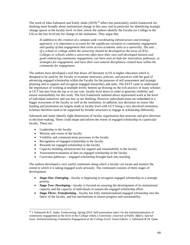The work of John Saltmarsh and Emily Janke  $(2019)^{20}$  offers this particularly useful framework for thinking more broadly about institutional change in this area, and in particular for identifying strategic change spaces at the faculty level. In their article the authors identify the Faculty (or College in the US) as the key level/site for change in the institution. They argue that

*In addition to the creation of a campus-wide coordinating infrastructure and strategic approach, it is important to account for the significant variation in community engagement and quality of that engagement that exists across academic units at a university. The unit … of a school or college within the university should be developed as the locus of [ES]… Colleges or schools within a university often have their own well-developed mission and goals embracing community engagement, can been seen as hubs for innovation, pathways, or strategies for engagement, and have their own natural disciplinary-related base within the community for engagement*.

The authors have developed a tool that draws off literature in ES in higher education which is designed to be used by the Faculty to examine structures, policies, and practices with the goal of advancing engaged scholarship within the Faculty for the purposes of self-assessment and strategic planning and to support and recognise engaged researchers and units. The ESTT came to understand the importance of working at multiple levels: bottom up drawing on the rich practice of many scholars at UCT but also from the top or in our case, faculty level down in order to generate visibility and ensure sustainability for this work. The first framework outlined above represented work at the level of individual initiatives and was key in our thinking. However individuals/units are embedded in a bigger ecosystem of the faculty as well as the institution. In addition, key decisions on issues like funding and promotion are largely made at faculty level with UCT being a very devolved institution. Scholars therefore need to be supported by broader structures to engage in scholarship differently.

Saltmarsh and Janke identify eight dimensions of faculty organisation that structure and give direction to decision-making. These could shape and inform the extent of engaged scholarship in a particular faculty. These are:

• Leadership in the faculty

 $\overline{a}$ 

- Mission and vision of the faculty
- Visibility and communication processes in the faculty
- Recognition of engaged scholarship in the faculty
- Rewards for engaged scholarship in the faculty
- Capacity-building infrastructure for support and sustainability in the faculty
- Assessment/evaluation of data on engaged scholarship in the faculty
- Curricular pathways engaged scholarship brought back into teaching

The authors developed a very useful continuum along which a faculty can locate and monitor the extent to which it is taking engaged work seriously. The continuum consists of three stages of development:

- *Stage One: Emerging*—faculty is beginning to recognise engaged scholarship as a strategic priority.
- *Stage Two: Developing*—faculty is focused on ensuring the development of its institutional capacity and the capacity of individuals to sustain the engaged scholarship effort.
- *Stage Three: Transforming*—faculty has fully institutionalised engaged scholarship into the fabric of the faculty, and has mechanisms to ensure progress and sustainability

<sup>&</sup>lt;sup>20</sup> J. Saltmarsh & E. Janke. Forthcoming, Spring 2019. Self-assessment rubric for the institutionalisation of community engagement at the level of the College within a University. *eJournal of Public Affairs. Special Issue: Institutionalizing Community Engagement at the College Level.* Guest Editors: J. Saltmarsh & M. Quan.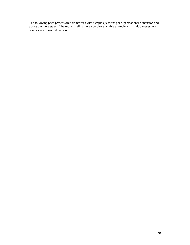The following page presents this framework with sample questions per organisational dimension and across the three stages. The rubric itself is more complex than this example with multiple questions one can ask of each dimension.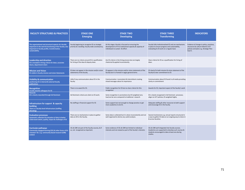| <b>FACULTY STRUCTURES &amp; PRACTICES</b>                                                                                                                                              | <b>STAGE ONE</b><br><b>Emerging</b>                                                                 | <b>STAGE TWO</b><br><b>Developing</b>                                                                                                                 | <b>STAGE THREE</b><br><b>Transforming</b>                                                                                                                           | <b>INDICATORS</b>                                                                                                                   |
|----------------------------------------------------------------------------------------------------------------------------------------------------------------------------------------|-----------------------------------------------------------------------------------------------------|-------------------------------------------------------------------------------------------------------------------------------------------------------|---------------------------------------------------------------------------------------------------------------------------------------------------------------------|-------------------------------------------------------------------------------------------------------------------------------------|
| The organizational and structural aspects of a faculty<br>important in the work & functioning of the faculty; also<br>important in faculty profile, transformation,<br>sustainability. | Faculty beginning to recognize ES as strategic<br>priority & is building faculty-wide constituency. | At this stage a faculty is focused on ensuring the<br>development of if its institutional capacity & capacity of<br>individuals to sustain ES effort. | Faculty fully institutionalized ES and are mechanisms<br>in place to ensure progress and sustainability,<br>evaluating its ES work on a regular basis               | Evidence of change in policy, practices,<br>structures & culture linked to UCT<br>policies and plans e.g. Strategic Plan<br>Goal 5. |
| <b>Leadership and direction</b><br>ES is included in hiring criteria for dean, associate<br>deans, department chairs                                                                   | There are no criteria around ES in qualification<br>for hiring of the dean & deputy dean.           | Are ES criteria in the hiring process but are largely<br>rhetorical & applied inconsistently.                                                         | Clear criteria for ES as a qualification for hiring of<br>dean.                                                                                                     |                                                                                                                                     |
| <b>Mission and Vision</b><br>ES visible in faculty mission and vision Statements                                                                                                       | ES does not appear in the mission and/or vision<br>statements of the faculty.                       | ES appears in the mission and/or vision statements of the<br>faculty but it is framed in vague general terms                                          | ES clearly fin both mission & vision statement of the<br>faculty & clear commitment to ES                                                                           |                                                                                                                                     |
| <b>Visibility &amp; communication</b><br>positioning ES in internal & external faculty<br>publications                                                                                 | Little if any communication about ES in the<br>faculty                                              | Communication inconsistent & intermittent creating<br>mixed messages about its importance                                                             | Communication about ES found in all media providing<br>clarity re commitment                                                                                        |                                                                                                                                     |
| <b>Recognition</b><br><b>Faculty awards colleagues for ES</b>                                                                                                                          | There is no award for ES.                                                                           | Public recognition for ES but no clear criteria for this<br>recognition                                                                               | Awards for ES; important aspect of the faculty's work                                                                                                               |                                                                                                                                     |
| <b>Rewards</b><br>ES is clearly rewarded through Ad Hominem                                                                                                                            | Ad Hominem criteria are silent on ES work.                                                          | Some recognition in promotions but ES weighted very<br>low/can be zero compared to traditional research                                               | ES is clearly recognized in Ad Hominem processes;<br>aligns to UCT policies; ES weighted highly.                                                                    |                                                                                                                                     |
| Infrastructure for support & capacity<br>building<br>There is a faculty-level infrastructure (staffing<br>&funding)                                                                    | No staffing or financial support for ES                                                             | Some support but not enough to change practice or get<br>more academics to do ES.                                                                     | Adequate staffing & other resources to both support<br>and encourage ES in the faculty.                                                                             |                                                                                                                                     |
| <b>Evaluation processes</b><br>Systematic collection & evaluation of data to better<br>understand extent, quality, impact & challenges of ES                                           | There are no mechanisms in place to gather<br>data on SR in the faculty.                            | Some data is collected but it is done inconsistently and not<br>well organized to derive any useful analysis.                                         | Several mechanisms e.g. annual reports structured in<br>a way to gather ES data on an ongoing way to share in<br>& across faculties                                 |                                                                                                                                     |
| <b>Curricular pathways</b><br>Community engaged learning (CEL) & other forms of ES-<br>oriented T & L e.g. community-based research (CBR)<br>evident                                   | CEL & CBR not part of the faculty courses, & if<br>so, not recognized as important.                 | Some evidence of CEL & CBR but limited to individual<br>interests and not viewed as part of the faculty's interests.                                  | CEL & CBR well integrated into faculty courses.<br>Academics are supported to develop such courses &<br>students encouraged to take at least one during<br>studies. |                                                                                                                                     |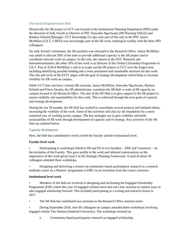## The Social Responsiveness Hub

Historically the SR project at UCT was located in the Institutional Planning Department (IPD) under the direction of Judy Favish as Director of IPD. Sonwabo Ngcelwane (SR Planning Officer) and Barbara Schmid (Manager: UCT Knowledge Co-op) were part of this unit in the IPD. Janice McMillan (CILT, CHED) was increasingly part of the SR work, meeting bi-weekly with the three IPD colleagues.

On Judy Favish's retirement, the SR portfolio was relocated to the Research Office. Janice McMillan was asked to allocate 50% of her time to provide additional capacity to the SR project and to coordinate relevant work on campus. In this role, she reports to the DVC Research and Internationalisation; the other 50% of her work is as Director of the Global Citizenship Programme in CILT. Part of A/Prof McMillan's role is to scope out the SR project at UCT over the longer term, including identifying possible funding and a more permanent and sustainable structure for this work. The role and work of the ESTT aligns with the goal of strategy development which helps to increase visibility for SR work on campus.

While UCT does not have a formal SR structure, Janice McMillan, Sonwabo Ngcelwane, Barbara Schmid and Prince Qwaka, the SR administrator, constitute the *SR Hub: a node of SR capacity on campus located in the Research Office*. The aim of the SR Hub is to give support to the SR project to ensure visibility and sustainability for this work. This is achieved through the twin goals of capacity and strategy development.

During the last 18 months, the SR Hub has worked to consolidate several projects and initiated others, increasing the visibility of the work. Some of the activities will also lay the foundation for a more sustained way of working across campus. The key strategies are to give visibility and build sustainability of SR work through development of capacity and of strategy. Key activities of the SR Hub are outlined below.

#### Capacity development

Here, the Hub has contributed to work at both the Faculty and the institutional level.

# **Faculty-level work**

• Participating in workshops linked to SR and ES in two faculties – EBE and Commerce – on the invitation of the Faculty. This gave profile to the work and initiated conversations on the importance of this work given Goal 5 in the Strategic Planning Framework. A total of about 30 colleagues attended these workshops.

• Designing and delivering a session on community-based participatory research in a research methods course on a Masters' programme in EBE via an invitation from the course convenor.

#### **Institutional-level work**

• Members of the Hub are involved in designing and facilitating the Engaged Scholarship Programme (ESP) where this year 18 engaged scholars have met over four sessions to explore ways to take engaged scholarship forward. This included participating in a writing and research retreat in 2017.

• The SR Hub has contributed two seminars to the Research Office seminar series.

• During September 2018, over 60 colleagues on campus attended three workshops involving engaged scholar Tim Stanton (Stanford University). The workshops focused on

o Community-based participatory research as engaged scholarship.